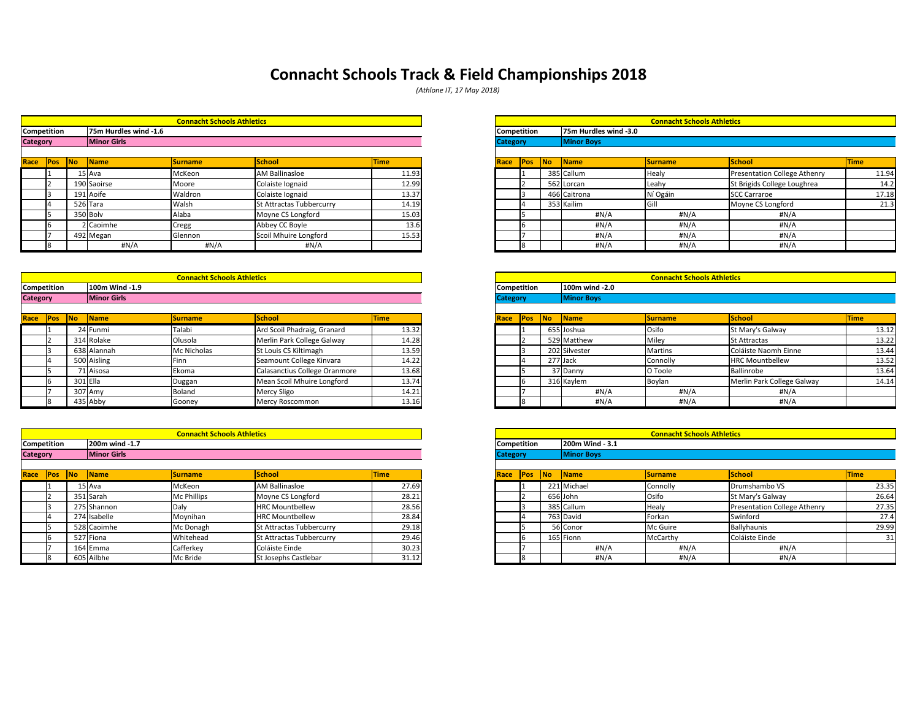|        |           |                       | <b>Connacht Schools Athletics</b> |                          |             |             |                    |           |                       | <b>Connacht Schools Athletics</b> |                                     |             |
|--------|-----------|-----------------------|-----------------------------------|--------------------------|-------------|-------------|--------------------|-----------|-----------------------|-----------------------------------|-------------------------------------|-------------|
| tition |           | 75m Hurdles wind -1.6 |                                   |                          |             |             | <b>Competition</b> |           | 75m Hurdles wind -3.0 |                                   |                                     |             |
|        |           | <b>Minor Girls</b>    |                                   |                          |             |             | <b>Category</b>    |           | <b>Minor Boys</b>     |                                   |                                     |             |
|        |           |                       |                                   |                          |             |             |                    |           |                       |                                   |                                     |             |
| Pos    | <b>No</b> | <b>Name</b>           | <b>Surname</b>                    | <b>School</b>            | <b>Time</b> | <b>Race</b> | <b>Pos</b>         | <b>No</b> | Name                  | <b>Surname</b>                    | School                              | <b>Time</b> |
|        |           | $15$ Ava              | McKeon                            | AM Ballinasloe           | 11.93       |             |                    |           | 385 Callum            | <b>Healy</b>                      | <b>Presentation College Athenry</b> | 11.94       |
|        |           | 190 Saoirse           | Moore                             | Colaiste Iognaid         | 12.99       |             |                    |           | 562 Lorcan            | Leahy                             | St Brigids College Loughrea         | 14.2        |
|        |           | 191 Aoife             | Waldron                           | Colaiste Iognaid         | 13.37       |             |                    |           | 466 Caitrona          | Ní Ogáin                          | <b>SCC Carraroe</b>                 | 17.18       |
|        |           | 526 Tara              | <b>Walsh</b>                      | St Attractas Tubbercurry | 14.19       |             |                    |           | 353 Kailim            | Gill                              | Moyne CS Longford                   | 21.3        |
|        |           | 350 Bolv              | Alaba                             | Moyne CS Longford        | 15.03       |             |                    |           | #N/A                  | $\sharp N/A$                      | #N/A                                |             |
|        |           | 2 Caoimhe             | Cregg                             | Abbey CC Boyle           | 13.6        |             |                    |           | #N/A                  | $\sharp N/A$                      | #N/A                                |             |
|        |           | 492 Megan             | Glennon                           | Scoil Mhuire Longford    | 15.53       |             |                    |           | #N/A                  | #N/A                              | # $N/A$                             |             |
|        |           | H N/A                 | #N/A                              | #N/A                     |             |             |                    |           | #N/A                  | #N/A                              | $\sharp N/A$                        |             |

|        |           |                    | <b>Connacht Schools Athletics</b> |                               |             |                 |            |            |                      | <b>Connacht Schools Athletics</b> |                            |             |
|--------|-----------|--------------------|-----------------------------------|-------------------------------|-------------|-----------------|------------|------------|----------------------|-----------------------------------|----------------------------|-------------|
| tition |           | 100m Wind -1.9     |                                   |                               |             | Competition     |            |            | 100m wind -2.0       |                                   |                            |             |
|        |           | <b>Minor Girls</b> |                                   |                               |             | <b>Category</b> |            |            | <b>Minor Boys</b>    |                                   |                            |             |
|        |           |                    |                                   |                               |             |                 |            |            |                      |                                   |                            |             |
| Pos    | <b>No</b> | Name               | <b>Surname</b>                    | <b>School</b>                 | <b>Time</b> | Race            | <b>Pos</b> | <b>INo</b> | $\sqrt{\frac{1}{1}}$ | <b>Surname</b>                    | <b>School</b>              | <b>Time</b> |
|        |           | 24 Funmi           | Talabi                            | Ard Scoil Phadraig, Granard   | 13.32       |                 |            |            | 655 Joshua           | Osifo                             | St Mary's Galway           | 13.12       |
|        |           | 314 Rolake         | Olusola                           | Merlin Park College Galway    | 14.28       |                 |            |            | 529 Matthew          | Miley                             | <b>St Attractas</b>        | 13.22       |
|        |           | 638 Alannah        | Mc Nicholas                       | St Louis CS Kiltimagh         | 13.59       |                 |            |            | 202 Silvester        | <b>Martins</b>                    | Coláiste Naomh Einne       | 13.44       |
|        |           | 500 Aisling        | Finn                              | Seamount College Kinvara      | 14.22       |                 |            |            | 277 Jack             | Connolly                          | <b>HRC Mountbellew</b>     | 13.52       |
|        |           | 71 Aisosa          | Ekoma                             | Calasanctius College Oranmore | 13.68       |                 |            |            | 37 Danny             | O Toole                           | <b>Ballinrobe</b>          | 13.64       |
|        |           | 301 Ella           | Duggan                            | Mean Scoil Mhuire Longford    | 13.74       |                 |            |            | 316 Kaylem           | Boylan                            | Merlin Park College Galway | 14.14       |
|        |           | 307 Amy            | <b>Boland</b>                     | Mercy Sligo                   | 14.21       |                 |            |            | #N/A                 | #N/A                              | #N/A                       |             |
|        |           | 435 Abby           | Gooney                            | <b>Mercy Roscommon</b>        | 13.16       |                 |            |            | #N/A                 | #N/A                              | #N/A                       |             |

|                 |             |           |                       | <b>Connacht Schools Athletics</b> |                          |             |                    |            |    |                       | <b>Connacht Schools Athletics</b> |                              |             |
|-----------------|-------------|-----------|-----------------------|-----------------------------------|--------------------------|-------------|--------------------|------------|----|-----------------------|-----------------------------------|------------------------------|-------------|
|                 | Competition |           | 75m Hurdles wind -1.6 |                                   |                          |             | <b>Competition</b> |            |    | 75m Hurdles wind -3.0 |                                   |                              |             |
| <b>Category</b> |             |           | <b>Minor Girls</b>    |                                   |                          |             | <b>Category</b>    |            |    | <b>Minor Boys</b>     |                                   |                              |             |
| Race            | Pos         | <b>No</b> | $\sqrt{\frac{1}{1}}$  | <b>Surname</b>                    | <b>School</b>            | <b>Time</b> | Race               | <b>Pos</b> | No | <b>Name</b>           | Surname                           | <b>School</b>                | <b>Time</b> |
|                 |             |           | ⊥5 Ava                | McKeon                            | <b>AM Ballinasloe</b>    | 11.93       |                    |            |    | 385 Callum            | Healy                             | Presentation College Athenry |             |
|                 |             |           | 190 Saoirse           | Moore                             | Colaiste lognaid         | 12.99       |                    |            |    | 562 Lorcan            | Leahy                             | St Brigids College Loughrea  |             |
|                 |             |           | 191 Aoife             | Waldron                           | Colaiste lognaid         | 13.37       |                    |            |    | 466 Caitrona          | Ní Ogáin                          | SCC Carraroe                 |             |
|                 |             |           | 526 Tara              | Walsh                             | St Attractas Tubbercurry | 14.19       |                    |            |    | 353 Kailim            | Gil                               | Moyne CS Longford            |             |
|                 |             |           | 350 Bolv              | Alaba                             | Moyne CS Longford        | 15.03       |                    |            |    | #N/A                  | #N/A                              | #N/A                         |             |
|                 |             |           | 2 Caoimhe             | Cregg                             | Abbey CC Boyle           | 13.6        |                    |            |    | #N/A                  | #N/A                              | #N/A                         |             |
|                 |             |           | 492 Megan             | Glennon                           | Scoil Mhuire Longford    | 15.53       |                    |            |    | #N/A                  | #N/A                              | #N/A                         |             |
|                 |             |           | #N/A                  | #N/A                              | #N/A                     |             |                    |            |    | #N/A                  | #N/A                              | #N/A                         |             |

|                 |                    |    |                     | <b>Connacht Schools Athletics</b> |                               |             |                 |            |           |                     | <b>Connacht Schools Athletics</b> |                            |      |
|-----------------|--------------------|----|---------------------|-----------------------------------|-------------------------------|-------------|-----------------|------------|-----------|---------------------|-----------------------------------|----------------------------|------|
|                 | <b>Competition</b> |    | 100m Wind -1.9      |                                   |                               |             | Competition     |            |           | 100m wind -2.0      |                                   |                            |      |
| <b>Category</b> |                    |    | <b>Minor Girls</b>  |                                   |                               |             | <b>Category</b> |            |           | <b>Minor Boys</b>   |                                   |                            |      |
|                 |                    |    |                     |                                   |                               |             |                 |            |           |                     |                                   |                            |      |
| Race            | Pos                | No | $\blacksquare$ Name | <b>Surname</b>                    | <b>School</b>                 | <b>Time</b> | <b>Race</b>     | <b>Pos</b> | <b>No</b> | $\blacksquare$ Name | <b>Surname</b>                    | <b>School</b>              | Time |
|                 |                    |    | 24 Funmi            | Talabi                            | Ard Scoil Phadraig, Granard   | 13.32       |                 |            |           | 655 Joshua          | Osifo                             | St Mary's Galway           |      |
|                 |                    |    | 314 Rolake          | Olusola                           | Merlin Park College Galway    | 14.28       |                 |            |           | 529 Matthew         | Miley                             | <b>St Attractas</b>        |      |
|                 |                    |    | 638 Alannah         | Mc Nicholas                       | St Louis CS Kiltimagh         | 13.59       |                 |            |           | 202 Silvester       | <b>Martins</b>                    | Coláiste Naomh Einne       |      |
|                 |                    |    | 500 Aisling         | l Finn                            | Seamount College Kinvara      | 14.22       |                 |            |           | 277 Jack            | Connolly                          | <b>HRC Mountbellew</b>     |      |
|                 |                    |    | 71 Aisosa           | Ekoma                             | Calasanctius College Oranmore | 13.68       |                 |            |           | 37 Danny            | O Toole                           | Ballinrobe                 |      |
|                 |                    |    | 301 Ella            | Duggan                            | Mean Scoil Mhuire Longford    | 13.74       |                 |            |           | 316 Kaylem          | Boylan                            | Merlin Park College Galway |      |
|                 |                    |    | 307 Amy             | Boland                            | <b>Mercy Sligo</b>            | 14.21       |                 |            |           | #N/A                | $\sharp N/A$                      | #N/A                       |      |
|                 |                    |    | 435 Abby            | Gooney                            | Mercy Roscommon               | 13.16       |                 |            |           | #N/A                | #N/A                              | #N/A                       |      |

|            |           |                    | <b>Connacht Schools Athletics</b> |                          |             |                 |             |            |                   | <b>Connacht Schools Athletics</b> |                                     |             |
|------------|-----------|--------------------|-----------------------------------|--------------------------|-------------|-----------------|-------------|------------|-------------------|-----------------------------------|-------------------------------------|-------------|
| tition     |           | 200m wind -1.7     |                                   |                          |             |                 | Competition |            | 200m Wind - 3.1   |                                   |                                     |             |
|            |           | <b>Minor Girls</b> |                                   |                          |             | <b>Category</b> |             |            | <b>Minor Boys</b> |                                   |                                     |             |
|            |           |                    |                                   |                          |             |                 |             |            |                   |                                   |                                     |             |
| <b>POS</b> | <b>No</b> | <b>Name</b>        | <b>Surname</b>                    | <b>School</b>            | <b>Time</b> | <b>Race</b>     | <b>Pos</b>  | <b>INo</b> | Name              | <b>Surname</b>                    | School                              | <b>Time</b> |
|            |           | $15$ Ava           | McKeon                            | AM Ballinasloe           | 27.69       |                 |             |            | 221 Michael       | Connolly                          | Drumshambo VS                       | 23.35       |
|            |           | 351 Sarah          | Mc Phillips                       | Moyne CS Longford        | 28.21       |                 |             |            | 656 John          | Osifo                             | St Mary's Galway                    | 26.64       |
|            |           | 275 Shannon        | Daly                              | <b>HRC Mountbellew</b>   | 28.56       |                 |             |            | 385 Callum        | Healy                             | <b>Presentation College Athenry</b> | 27.35       |
|            |           | 274 Isabelle       | Moynihan                          | <b>HRC Mountbellew</b>   | 28.84       |                 |             |            | 763 David         | Forkan                            | Swinford                            | 27.4        |
|            |           | 528 Caoimhe        | Mc Donagh                         | St Attractas Tubbercurry | 29.18       |                 |             |            | 56 Conor          | Mc Guire                          | Ballyhaunis                         | 29.99       |
|            |           | 527 Fiona          | Whitehead                         | St Attractas Tubbercurry | 29.46       |                 |             |            | 165 Fionn         | McCarthy                          | Coláiste Einde                      | 31          |
|            |           | 164 Emma           | Cafferkey                         | Coláiste Einde           | 30.23       |                 |             |            | #N/A              | #N/A                              | #N/A                                |             |
|            |           | 605 Ailbhe         | Mc Bride                          | St Josephs Castlebar     | 31.12       |                 |             |            | #N/A              | #N/A                              | #N/A                                |             |
|            |           |                    |                                   |                          |             |                 |             |            |                   |                                   |                                     |             |

# **Connacht Schools Track & Field Championships 2018**

|                 |                 |            |                        | <b>Connacht Schools Athletics</b> |                          |             |                    |            |    |                        | <b>Connacht Schools Athletics</b> |                                     |      |
|-----------------|-----------------|------------|------------------------|-----------------------------------|--------------------------|-------------|--------------------|------------|----|------------------------|-----------------------------------|-------------------------------------|------|
|                 | Competition     |            | 200m wind -1.7         |                                   |                          |             | <b>Competition</b> |            |    | 200m Wind - 3.1        |                                   |                                     |      |
| <b>Category</b> |                 |            | <b>Minor Girls</b>     |                                   |                          |             | <b>Category</b>    |            |    | <b>Minor Boys</b>      |                                   |                                     |      |
|                 |                 |            |                        |                                   |                          |             |                    |            |    |                        |                                   |                                     |      |
|                 | Race <b>Pos</b> | <b>INo</b> | $\sqrt{\mathsf{Name}}$ | <b>Surname</b>                    | School                   | <b>Time</b> | Race               | <b>Pos</b> | No | $\sqrt{\mathsf{Name}}$ | <b>Surname</b>                    | <b>School</b>                       | Time |
|                 |                 |            | 15 Ava                 | McKeon                            | <b>AM Ballinasloe</b>    | 27.69       |                    |            |    | 221 Michael            | Connolly                          | Drumshambo VS                       |      |
|                 |                 |            | 351 Sarah              | <b>Mc Phillips</b>                | Moyne CS Longford        | 28.21       |                    |            |    | 656 John               | Osifo                             | St Mary's Galway                    |      |
|                 |                 |            | 275 Shannon            | Daly                              | <b>HRC Mountbellew</b>   | 28.56       |                    |            |    | 385 Callum             | <b>Healy</b>                      | <b>Presentation College Athenry</b> |      |
|                 |                 |            | 274 Isabelle           | Moynihan                          | <b>HRC Mountbellew</b>   | 28.84       |                    |            |    | 763 David              | Forkan                            | Swinford                            |      |
|                 |                 |            | 528 Caoimhe            | Mc Donagh                         | St Attractas Tubbercurry | 29.18       |                    |            |    | 56 Conor               | Mc Guire                          | Ballyhaunis                         |      |
|                 |                 |            | 527 Fiona              | Whitehead                         | St Attractas Tubbercurry | 29.46       |                    |            |    | 165 Fionn              | McCarthy                          | Coláiste Einde                      |      |
|                 |                 |            | 164 Emma               | Cafferkey                         | Coláiste Einde           | 30.23       |                    |            |    | #N/A                   | $\sharp N/A$                      | #N/A                                |      |
|                 |                 |            | 605 Ailbhe             | Mc Bride                          | St Josephs Castlebar     | 31.12       |                    |            |    | #N/A                   | # $N/A$                           | #N/A                                |      |

*(Athlone IT, 17 May 2018)*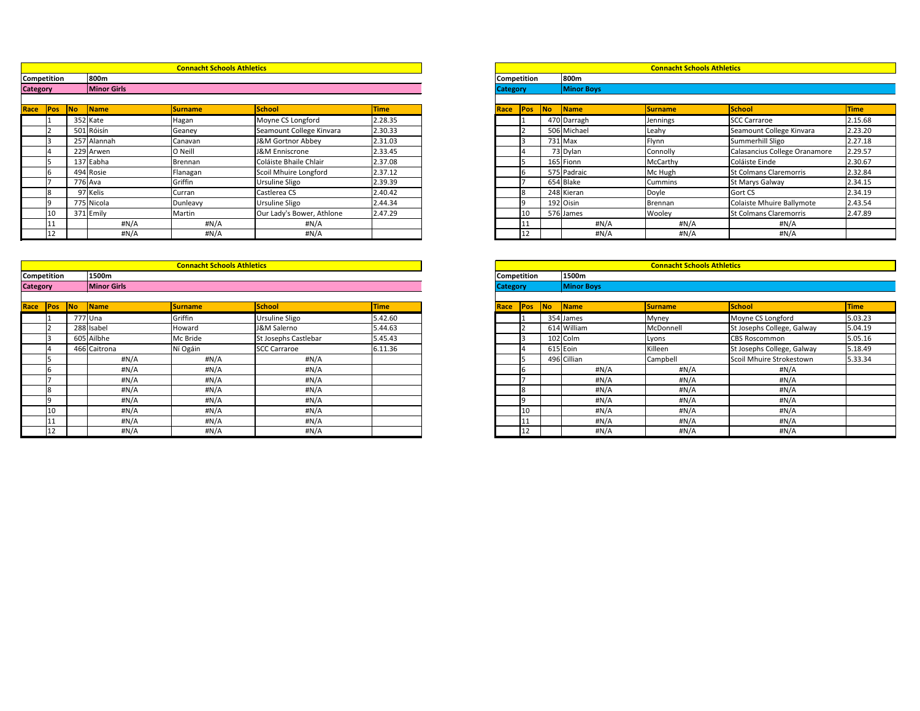|                 |                    |           |                    | <b>Connacht Schools Athletics</b> |                              |             |      |                    |                         |                   | <b>Connacht Schools Athletics</b> |                               |             |
|-----------------|--------------------|-----------|--------------------|-----------------------------------|------------------------------|-------------|------|--------------------|-------------------------|-------------------|-----------------------------------|-------------------------------|-------------|
|                 | <b>Competition</b> |           | 800m               |                                   |                              |             |      | <b>Competition</b> |                         | 800m              |                                   |                               |             |
| <b>Category</b> |                    |           | <b>Minor Girls</b> |                                   |                              |             |      | <b>Category</b>    |                         | <b>Minor Boys</b> |                                   |                               |             |
| Race            | Pos                | <b>No</b> | Name               | <b>Surname</b>                    | <b>School</b>                | <b>Time</b> | Race |                    | <b>No</b><br><b>Pos</b> | <b>Name</b>       | <b>Surname</b>                    | School                        | <b>Time</b> |
|                 |                    |           | 352 Kate           | Hagan                             | Moyne CS Longford            | 2.28.35     |      |                    |                         | 470 Darragh       | Jennings                          | <b>SCC Carraroe</b>           | 2.15.       |
|                 |                    |           | 501 Róisín         | Geaney                            | Seamount College Kinvara     | 2.30.33     |      |                    |                         | 506 Michael       | Leahy                             | Seamount College Kinvara      | 2.23.       |
|                 |                    |           | 257 Alannah        | Canavan                           | <b>J&amp;M Gortnor Abbey</b> | 2.31.03     |      |                    |                         | 731 Max           | Flynn                             | Summerhill Sligo              | 2.27.       |
|                 |                    |           | 229 Arwen          | O Neill                           | J&M Enniscrone               | 2.33.45     |      |                    |                         | 73 Dylan          | Connolly                          | Calasancius College Oranamore | 2.29        |
|                 |                    |           | 137 Eabha          | Brennan                           | Coláiste Bhaile Chlair       | 2.37.08     |      |                    |                         | 165 Fionn         | McCarthy                          | Coláiste Einde                | 2.30.       |
|                 |                    |           | 494 Rosie          | Flanagan                          | Scoil Mhuire Longford        | 2.37.12     |      |                    |                         | 575 Padraic       | Mc Hugh                           | <b>St Colmans Claremorris</b> | 2.32.       |
|                 |                    |           | 776 Ava            | Griffin                           | <b>Ursuline Sligo</b>        | 2.39.39     |      |                    |                         | 654 Blake         | <b>Cummins</b>                    | <b>St Marys Galway</b>        | 2.34.       |
|                 | 18                 |           | 97 Kelis           | Curran                            | Castlerea CS                 | 2.40.42     |      |                    |                         | 248 Kieran        | Doyle                             | Gort CS                       | 2.34.       |
|                 |                    |           | 775 Nicola         | Dunleavy                          | Ursuline Sligo               | 2.44.34     |      |                    |                         | 192 Oisin         | Brennan                           | Colaiste Mhuire Ballymote     | 2.43.       |
|                 | 10                 |           | 371 Emily          | Martin                            | Our Lady's Bower, Athlone    | 2.47.29     |      | 10                 |                         | 576 James         | Wooley                            | <b>St Colmans Claremorris</b> | 2.47.       |
|                 |                    |           | #N/A               | #N/A                              | #N/A                         |             |      |                    |                         | #N/A              | #N/A                              | #N/A                          |             |
|                 |                    |           | #N/A               | #N/A                              | #N/A                         |             |      | 12                 |                         | #N/A              | #N/A                              | #N/A                          |             |

|        |         |                    | <b>Connacht Schools Athletics</b> |                           |             |                    |            |    |                   | <b>Connacht Schools Athletics</b> |                               |             |
|--------|---------|--------------------|-----------------------------------|---------------------------|-------------|--------------------|------------|----|-------------------|-----------------------------------|-------------------------------|-------------|
| tition |         | 800m               |                                   |                           |             | <b>Competition</b> |            |    | 800m              |                                   |                               |             |
|        |         | <b>Minor Girls</b> |                                   |                           |             | <b>Category</b>    |            |    | <b>Minor Boys</b> |                                   |                               |             |
|        |         |                    |                                   |                           |             |                    |            |    |                   |                                   |                               |             |
| Pos    | No      | <b>Name</b>        | <b>Surname</b>                    | <b>School</b>             | <b>Time</b> | <b>Race</b>        | <b>Pos</b> | No | Name              | <b>Surname</b>                    | School                        | <b>Time</b> |
|        |         | 352 Kate           | Hagan                             | Moyne CS Longford         | 2.28.35     |                    |            |    | 470 Darragh       | Jennings                          | <b>SCC Carraroe</b>           | 2.15.68     |
|        | 501     | Róisín             | Geaney                            | Seamount College Kinvara  | 2.30.33     |                    |            |    | 506 Michael       | Leahy                             | Seamount College Kinvara      | 2.23.20     |
|        |         | 257 Alannah        | Canavan                           | J&M Gortnor Abbey         | 2.31.03     |                    |            |    | 731 Max           | Flynn                             | Summerhill Sligo              | 2.27.18     |
|        |         | 229 Arwen          | O Neill                           | J&M Enniscrone            | 2.33.45     |                    |            |    | 73 Dylan          | Connolly                          | Calasancius College Oranamore | 2.29.57     |
|        |         | 137 Eabha          | Brennan                           | Coláiste Bhaile Chlair    | 2.37.08     |                    |            |    | 165 Fionn         | McCarthy                          | Coláiste Einde                | 2.30.67     |
|        |         | 494 Rosie          | <b> Flanagan</b>                  | Scoil Mhuire Longford     | 2.37.12     |                    |            |    | 575 Padraic       | Mc Hugh                           | <b>St Colmans Claremorris</b> | 2.32.84     |
|        | 776 Ava |                    | Griffin                           | Ursuline Sligo            | 2.39.39     |                    |            |    | 654 Blake         | Cummins                           | <b>St Marys Galway</b>        | 2.34.15     |
|        |         | 97 Kelis           | Curran                            | Castlerea CS              | 2.40.42     |                    |            |    | 248 Kieran        | Doyle                             | <b>Gort CS</b>                | 2.34.19     |
|        |         | 775 Nicola         | Dunleavy                          | Ursuline Sligo            | 2.44.34     |                    |            |    | 192 Oisin         | Brennan                           | Colaiste Mhuire Ballymote     | 2.43.54     |
|        |         | 371 Emily          | Martin                            | Our Lady's Bower, Athlone | 2.47.29     |                    | 10         |    | 576 James         | Wooley                            | <b>St Colmans Claremorris</b> | 2.47.89     |
|        |         | #N/A               | #N/A                              | #N/A                      |             |                    |            |    | #N/A              | #N/A                              | #N/A                          |             |
| 12     |         | #N/A               | #N/A                              | #N/A                      |             |                    | 12         |    | #N/A              | H N/A                             | #N/A                          |             |

|                 |                    |                          |                      | <b>Connacht Schools Athletics</b> |                       |         |      |                    |    |                   | <b>Connacht Schools Athletics</b> |                            |             |
|-----------------|--------------------|--------------------------|----------------------|-----------------------------------|-----------------------|---------|------|--------------------|----|-------------------|-----------------------------------|----------------------------|-------------|
|                 | <b>Competition</b> |                          | 1500m                |                                   |                       |         |      | <b>Competition</b> |    | 1500m             |                                   |                            |             |
| <b>Category</b> |                    |                          | <b>Minor Girls</b>   |                                   |                       |         |      | <b>Category</b>    |    | <b>Minor Boys</b> |                                   |                            |             |
| Race            | Pos                | $\overline{\mathsf{No}}$ | $\sqrt{\frac{1}{2}}$ | <b>Surname</b>                    | School                | Time    | Race | <b>Pos</b>         | No | Name              | <b>Surname</b>                    | <b>School</b>              | <b>Time</b> |
|                 |                    |                          | 777 Una              | Griffin                           | <b>Ursuline Sligo</b> | 5.42.60 |      |                    |    | 354 James         | Myney                             | Moyne CS Longford          | 5.03.23     |
|                 |                    |                          | 288 Isabel           | Howard                            | J&M Salerno           | 5.44.63 |      |                    |    | 614 William       | McDonnell                         | St Josephs College, Galway | 5.04.19     |
|                 |                    |                          | 605 Ailbhe           | Mc Bride                          | St Josephs Castlebar  | 5.45.43 |      |                    |    | $102$ Colm        | Lyons                             | <b>CBS Roscommon</b>       | 5.05.16     |
|                 |                    |                          | 466 Caitrona         | Ní Ogáin                          | <b>SCC Carraroe</b>   | 6.11.36 |      |                    |    | 615 Eoin          | Killeen                           | St Josephs College, Galway | 5.18.49     |
|                 |                    |                          | #N/A                 | #N/A                              | #N/A                  |         |      |                    |    | 496 Cillian       | Campbell                          | Scoil Mhuire Strokestown   | 5.33.34     |
|                 | IЬ                 |                          | #N/A                 | #N/A                              | #N/A                  |         |      | ın                 |    | #N/A              | #N/A                              | #N/A                       |             |
|                 |                    |                          | $\#N/A$              | #N/A                              | #N/A                  |         |      |                    |    | #N/A              | #N/A                              | #N/A                       |             |
|                 |                    |                          | #N/A                 | #N/A                              | #N/A                  |         |      |                    |    | #N/A              | #N/A                              | # $N/A$                    |             |
|                 |                    |                          | #N/A                 | #N/A                              | #N/A                  |         |      |                    |    | #N/A              | H N/A                             | #N/A                       |             |
|                 |                    |                          | #N/A                 | #N/A                              | #N/A                  |         |      | 10                 |    | #N/A              | #N/A                              | #N/A                       |             |
|                 |                    |                          | $\#N/A$              | #N/A                              | #N/A                  |         |      |                    |    | #N/A              | #N/A                              | #N/A                       |             |
|                 | 12                 |                          | #N/A                 | #N/A                              | #N/A                  |         |      | 12                 |    | #N/A              | #N/A                              | #N/A                       |             |

|                    |     |           |                   | <b>Connacht Schools Athletics</b> |                            |             |
|--------------------|-----|-----------|-------------------|-----------------------------------|----------------------------|-------------|
| <b>Competition</b> |     |           | 1500m             |                                   |                            |             |
| <b>Category</b>    |     |           | <b>Minor Boys</b> |                                   |                            |             |
|                    |     |           |                   |                                   |                            |             |
| Race               | Pos | <b>No</b> | <b>Name</b>       | <b>Surname</b>                    | <b>School</b>              | <b>Time</b> |
|                    |     |           | 354 James         | Myney                             | Moyne CS Longford          | 5.03.23     |
|                    | 2   |           | 614 William       | McDonnell                         | St Josephs College, Galway | 5.04.19     |
|                    | 3   |           | 102 Colm          | Lyons                             | <b>CBS Roscommon</b>       | 5.05.16     |
|                    | 4   |           | $615$ Eoin        | Killeen                           | St Josephs College, Galway | 5.18.49     |
|                    | 5   |           | 496 Cillian       | Campbell                          | Scoil Mhuire Strokestown   | 5.33.34     |
|                    | 6   |           | #N/A              | $\sharp N/A$                      | H N/A                      |             |
|                    | 7   |           | $\sharp N/A$      | #N/A                              | #N/A                       |             |
|                    | 8   |           | #N/A              | #N/A                              | #N/A                       |             |
|                    | 9   |           | $\sharp N/A$      | # $N/A$                           | #N/A                       |             |
|                    | 10  |           | $\sharp N/A$      | #N/A                              | #N/A                       |             |
|                    | 11  |           | #N/A              | #N/A                              | #N/A                       |             |
|                    | 12  |           | #N/A              | # $N/A$                           | #N/A                       |             |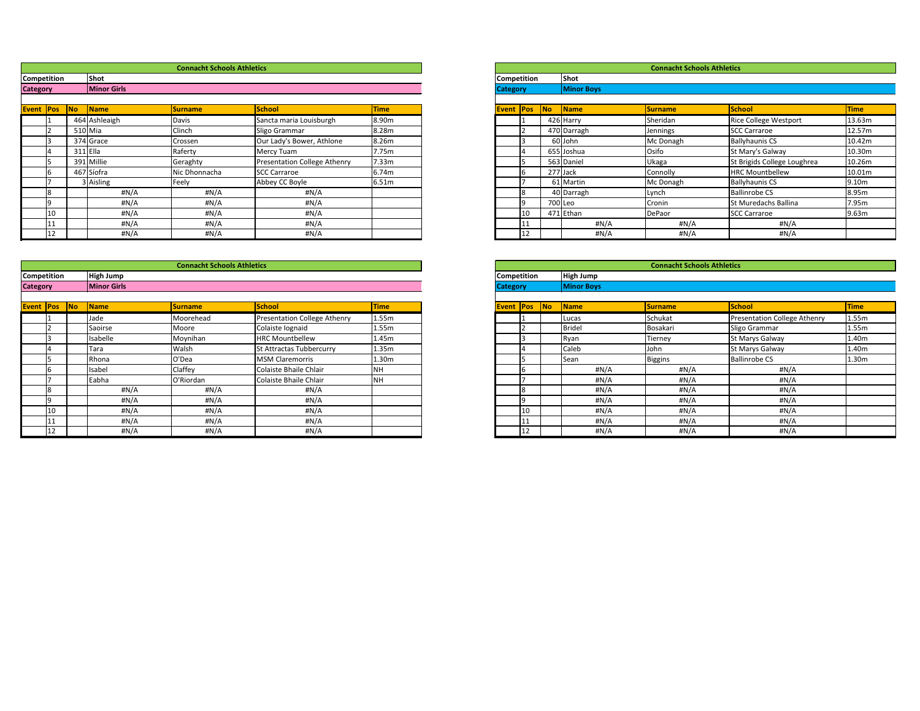|        |           |                    | <b>Connacht Schools Athletics</b> |                                     |             |
|--------|-----------|--------------------|-----------------------------------|-------------------------------------|-------------|
| tition |           | <b>Shot</b>        |                                   |                                     |             |
|        |           | <b>Minor Girls</b> |                                   |                                     |             |
|        |           |                    |                                   |                                     |             |
| Pos    | <b>No</b> | Name               | <b>Surname</b>                    | <b>School</b>                       | <b>Time</b> |
|        |           | 464 Ashleaigh      | Davis                             | Sancta maria Louisburgh             | 8.90m       |
|        |           | 510 Mia            | Clinch                            | Sligo Grammar                       | 8.28m       |
|        |           | 374 Grace          | Crossen                           | Our Lady's Bower, Athlone           | 8.26m       |
|        |           | $311$  Ella        | Raferty                           | Mercy Tuam                          | 7.75m       |
|        |           | 391 Millie         | Geraghty                          | <b>Presentation College Athenry</b> | 7.33m       |
|        |           | 467 Síofra         | Nic Dhonnacha                     | <b>SCC Carraroe</b>                 | 6.74m       |
|        |           | Aisling            | Feely                             | Abbey CC Boyle                      | 6.51m       |
|        |           | #N/A               | #N/A                              | #N/A                                |             |
|        |           | #N/A               | #N/A                              | #N/A                                |             |
| 10     |           | H N/A              | #N/A                              | #N/A                                |             |
|        |           | #N/A               | #N/A                              | #N/A                                |             |
| 12     |           | H N/A              | #N/A                              | H N/A                               |             |

|                  |             |                    | <b>Connacht Schools Athletics</b> |                                     |             |                 |                    |           |                        | <b>Connacht Schools Athletics</b> |                              |                   |
|------------------|-------------|--------------------|-----------------------------------|-------------------------------------|-------------|-----------------|--------------------|-----------|------------------------|-----------------------------------|------------------------------|-------------------|
|                  | Competition | <b>Shot</b>        |                                   |                                     |             |                 | <b>Competition</b> |           | <b>Shot</b>            |                                   |                              |                   |
| <b>Category</b>  |             | <b>Minor Girls</b> |                                   |                                     |             | <b>Category</b> |                    |           | <b>Minor Boys</b>      |                                   |                              |                   |
| <b>Event Pos</b> |             | No <br><b>Name</b> | <b>Surname</b>                    | School                              | <b>Time</b> |                 | <b>Event Pos</b>   | <b>No</b> | $\sqrt{\mathsf{Name}}$ | <b>Surname</b>                    | <b>School</b>                | Time              |
|                  |             | 464 Ashleaigh      | Davis                             | Sancta maria Louisburgh             | 8.90m       |                 |                    |           | 426 Harry              | Sheridan                          | <b>Rice College Westport</b> | 13.63             |
|                  | 2           | $510$ Mia          | Clinch                            | Sligo Grammar                       | 8.28m       |                 |                    |           | 470 Darragh            | Jennings                          | <b>SCC Carraroe</b>          | 12.57             |
|                  | l3          | 374 Grace          | Crossen                           | Our Lady's Bower, Athlone           | 8.26m       |                 |                    |           | 60 John                | Mc Donagh                         | <b>Ballyhaunis CS</b>        | 10.42             |
|                  | 14          | 311 Ella           | Raferty                           | Mercy Tuam                          | 7.75m       |                 |                    |           | 655 Joshua             | Osifo                             | St Mary's Galway             | 10.30             |
|                  |             | 391 Millie         | Geraghty                          | <b>Presentation College Athenry</b> | 7.33m       |                 |                    |           | 563 Daniel             | Ukaga                             | St Brigids College Loughrea  | 10.26             |
|                  |             | 467 Síofra         | Nic Dhonnacha                     | <b>SCC Carraroe</b>                 | 6.74m       |                 |                    |           | 277 Jack               | Connolly                          | <b>HRC Mountbellew</b>       | 10.01             |
|                  |             | 3 Aisling          | Feely                             | Abbey CC Boyle                      | 6.51m       |                 |                    |           | 61 Martin              | Mc Donagh                         | <b>Ballyhaunis CS</b>        | 9.10 <sub>m</sub> |
|                  | l8          | #N/A               | #N/A                              | #N/A                                |             |                 |                    |           | 40 Darragh             | Lynch                             | <b>Ballinrobe CS</b>         | 8.95m             |
|                  |             | $\sharp N/A$       | #N/A                              | #N/A                                |             |                 |                    |           | 700 Leo                | Cronin                            | St Muredachs Ballina         | 7.95m             |
|                  | L TO        | $\sharp N/A$       | #N/A                              | #N/A                                |             |                 | 10                 |           | 471 Ethan              | DePaor                            | <b>SCC Carraroe</b>          | 9.63 <sub>m</sub> |
|                  | 11          | #N/A               | #N/A                              | #N/A                                |             |                 |                    |           | #N/A                   | #N/A                              | #N/A                         |                   |
|                  | 12          | #N/A               | #N/A                              | #N/A                                |             |                 |                    |           | #N/A                   | #N/A                              | #N/A                         |                   |

|                 |                    |                          |                    | <b>Connacht Schools Athletics</b> |                              |                   |                    |                  |    |                   | <b>Connacht Schools Athletics</b> |                                     |       |
|-----------------|--------------------|--------------------------|--------------------|-----------------------------------|------------------------------|-------------------|--------------------|------------------|----|-------------------|-----------------------------------|-------------------------------------|-------|
|                 | <b>Competition</b> |                          | High Jump          |                                   |                              |                   | <b>Competition</b> |                  |    | <b>High Jump</b>  |                                   |                                     |       |
| <b>Category</b> |                    |                          | <b>Minor Girls</b> |                                   |                              |                   | <b>Category</b>    |                  |    | <b>Minor Boys</b> |                                   |                                     |       |
|                 | <b>Event Pos</b>   | $\overline{\mathsf{No}}$ | Name               | <b>Surname</b>                    | School                       | <b>Time</b>       |                    | <b>Event Pos</b> | No | <b>Name</b>       | <b>Surname</b>                    | <b>School</b>                       | Time  |
|                 |                    |                          | Jade               | Moorehead                         | Presentation College Athenry | 1.55m             |                    |                  |    | Lucas             | Schukat                           | <b>Presentation College Athenry</b> | 1.55m |
|                 |                    |                          | Saoirse            | Moore                             | Colaiste Iognaid             | 1.55m             |                    |                  |    | <b>Bridel</b>     | Bosakari                          | Sligo Grammar                       | 1.55m |
|                 |                    |                          | Isabelle           | Moynihan                          | <b>HRC Mountbellew</b>       | 1.45m             |                    |                  |    | Ryan              | Tierney                           | <b>St Marys Galway</b>              | 1.40m |
|                 |                    |                          | Tara               | Walsh                             | St Attractas Tubbercurry     | 1.35m             |                    |                  |    | Caleb             | John                              | St Marys Galway                     | 1.40m |
|                 |                    |                          | Rhona              | O'Dea                             | <b>MSM Claremorris</b>       | 1.30 <sub>m</sub> |                    |                  |    | Sean              | <b>Biggins</b>                    | <b>Ballinrobe CS</b>                | 1.30m |
|                 |                    |                          | Isabel             | Claffey                           | Colaiste Bhaile Chlair       | NΗ                |                    |                  |    | #N/A              | #N/A                              | #N/A                                |       |
|                 |                    |                          | Eabha              | O'Riordan                         | Colaiste Bhaile Chlair       | NН                |                    |                  |    | #N/A              | #N/A                              | #N/A                                |       |
|                 |                    |                          | #N/A               | #N/A                              | #N/A                         |                   |                    |                  |    | #N/A              | #N/A                              | #N/A                                |       |
|                 |                    |                          | #N/A               | #N/A                              | #N/A                         |                   |                    |                  |    | #N/A              | #N/A                              | #N/A                                |       |
|                 | 10                 |                          | #N/A               | #N/A                              | #N/A                         |                   |                    |                  |    | #N/A              | #N/A                              | #N/A                                |       |
|                 |                    |                          | #N/A               | #N/A                              | #N/A                         |                   |                    |                  |    | #N/A              | #N/A                              | #N/A                                |       |
|                 |                    |                          | #N/A               | H N/A                             | #N/A                         |                   |                    |                  |    | H N/A             | #N/A                              | #N/A                                |       |

|                 |                  |           |                   | <b>Connacht Schools Athletics</b> |                                     |             |
|-----------------|------------------|-----------|-------------------|-----------------------------------|-------------------------------------|-------------|
| Competition     |                  |           | <b>High Jump</b>  |                                   |                                     |             |
| <b>Category</b> |                  |           | <b>Minor Boys</b> |                                   |                                     |             |
|                 |                  |           |                   |                                   |                                     |             |
| <b>Event</b>    | Pos              | <b>No</b> | Name              | <b>Surname</b>                    | <b>School</b>                       | <b>Time</b> |
|                 | 1                |           | Lucas             | Schukat                           | <b>Presentation College Athenry</b> | 1.55m       |
|                 | $\overline{2}$   |           | <b>Bridel</b>     | Bosakari                          | Sligo Grammar                       | 1.55m       |
|                 | 3                |           | Ryan              | Tierney                           | St Marys Galway                     | 1.40m       |
|                 | 4                |           | Caleb             | John                              | St Marys Galway                     | 1.40m       |
|                 | 5                |           | Sean              | <b>Biggins</b>                    | <b>Ballinrobe CS</b>                | 1.30m       |
|                 | $\boldsymbol{6}$ |           | #N/A              | $\sharp N/A$                      | $\sharp N/A$                        |             |
|                 | $\overline{7}$   |           | $\sharp N/A$      | $\sharp N/A$                      | $\sharp N/A$                        |             |
|                 | 8                |           | #N/A              | #N/A                              | H N/A                               |             |
|                 | 9                |           | $\sharp N/A$      | #N/A                              | #N/A                                |             |
|                 | 10               |           | #N/A              | $\sharp N/A$                      | $\sharp N/A$                        |             |
|                 | 11               |           | #N/A              | #N/A                              | $\sharp N/A$                        |             |
|                 | 12               |           | #N/A              | $\sharp N/A$                      | #N/A                                |             |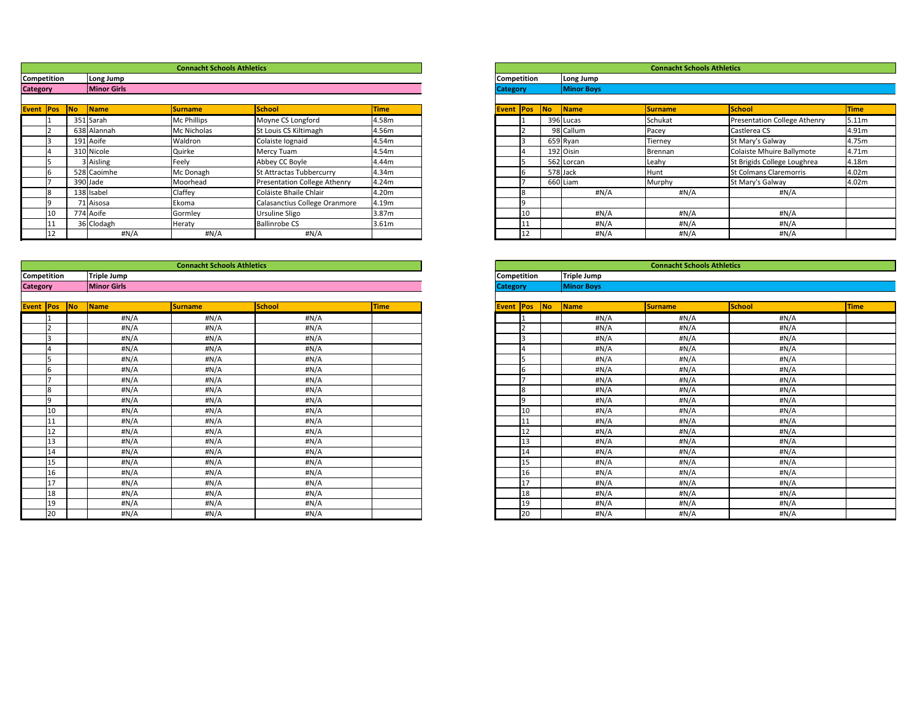|                     |             |                        | <b>Connacht Schools Athletics</b> |                                     |                   |                    |    |                        | <b>Connacht Schools Athletics</b> |                                     |                   |
|---------------------|-------------|------------------------|-----------------------------------|-------------------------------------|-------------------|--------------------|----|------------------------|-----------------------------------|-------------------------------------|-------------------|
|                     | Competition | Long Jump              |                                   |                                     |                   | <b>Competition</b> |    | Long Jump              |                                   |                                     |                   |
| <b>Category</b>     |             | <b>Minor Girls</b>     |                                   |                                     |                   | <b>Category</b>    |    | <b>Minor Boys</b>      |                                   |                                     |                   |
|                     |             |                        |                                   |                                     |                   |                    |    |                        |                                   |                                     |                   |
| <b>Event Pos No</b> |             | $\sqrt{\mathsf{Name}}$ | <b>Surname</b>                    | School                              | <b>Time</b>       | <b>Event Pos</b>   | No | $\sqrt{\mathsf{Name}}$ | <b>Surname</b>                    | <b>School</b>                       | <b>Time</b>       |
|                     |             | 351 Sarah              | Mc Phillips                       | Moyne CS Longford                   | 4.58m             |                    |    | 396 Lucas              | Schukat                           | <b>Presentation College Athenry</b> | 5.11 <sub>m</sub> |
|                     |             | 638 Alannah            | Mc Nicholas                       | St Louis CS Kiltimagh               | 4.56m             |                    |    | 98 Callum              | Pacey                             | Castlerea CS                        | 4.91m             |
|                     |             | 191 Aoife              | Waldron                           | Colaiste Iognaid                    | 4.54m             |                    |    | 659 Ryan               | Tierney                           | St Mary's Galway                    | 4.75m             |
|                     |             | 310 Nicole             | Quirke                            | Mercy Tuam                          | 4.54m             |                    |    | 192 Oisin              | Brennan                           | Colaiste Mhuire Ballymote           | 4.71m             |
|                     |             | 3 Aisling              | Feely                             | Abbey CC Boyle                      | 4.44m             |                    |    | 562 Lorcan             | Leahy                             | St Brigids College Loughrea         | 4.18m             |
|                     |             | 528 Caoimhe            | Mc Donagh                         | St Attractas Tubbercurry            | 4.34m             |                    |    | 578 Jack               | Hunt                              | <b>St Colmans Claremorris</b>       | 4.02m             |
|                     |             | 390 Jade               | Moorhead                          | <b>Presentation College Athenry</b> | 4.24m             |                    |    | 660 Liam               | Murphy                            | St Mary's Galway                    | 4.02m             |
|                     |             | 138 Isabel             | Claffey                           | Coláiste Bhaile Chlair              | 4.20m             |                    |    | #N/A                   | #N/A                              | #N/A                                |                   |
|                     |             | 71 Aisosa              | Ekoma                             | Calasanctius College Oranmore       | 4.19m             |                    |    |                        |                                   |                                     |                   |
|                     | 10          | 774 Aoife              | Gormley                           | Ursuline Sligo                      | 3.87 <sub>m</sub> | 10                 |    | #N/A                   | #N/A                              | #N/A                                |                   |
|                     |             | 36 Clodagh             | Heraty                            | <b>Ballinrobe CS</b>                | 3.61m             |                    |    | #N/A                   | #N/A                              | #N/A                                |                   |
|                     |             | #N/A                   | $\sharp N/A$                      | #N/A                                |                   |                    |    | #N/A                   | #N/A                              | #N/A                                |                   |

|                    |                          |                          |                    | <b>Connacht Schools Athletics</b> |              |      |                  |    |                   | <b>Connacht Schools Athletics</b> |              |      |
|--------------------|--------------------------|--------------------------|--------------------|-----------------------------------|--------------|------|------------------|----|-------------------|-----------------------------------|--------------|------|
| <b>Competition</b> |                          |                          | Triple Jump        |                                   |              |      | Competition      |    | Triple Jump       |                                   |              |      |
| <b>Category</b>    |                          |                          | <b>Minor Girls</b> |                                   |              |      | <b>Category</b>  |    | <b>Minor Boys</b> |                                   |              |      |
|                    |                          |                          |                    |                                   |              |      |                  |    |                   |                                   |              |      |
| <b>Event Pos</b>   |                          | $\overline{\mathsf{No}}$ | <b>Name</b>        | <b>Surname</b>                    | School       | Time | <b>Event Pos</b> | No | Name              | <b>Surname</b>                    | School       | Time |
|                    |                          |                          | #N/A               | #N/A                              | $\sharp N/A$ |      |                  |    | #N/A              | #N/A                              | #N/A         |      |
|                    |                          |                          | #N/A               | #N/A                              | #N/A         |      |                  |    | #N/A              | #N/A                              | $\sharp N/A$ |      |
|                    | 13                       |                          | #N/A               | #N/A                              | #N/A         |      |                  |    | $\sharp N/A$      | #N/A                              | #N/A         |      |
|                    |                          |                          | #N/A               | #N/A                              | #N/A         |      |                  |    | #N/A              | #N/A                              | #N/A         |      |
|                    | 15                       |                          | #N/A               | #N/A                              | #N/A         |      |                  |    | #N/A              | #N/A                              | #N/A         |      |
|                    | 16                       |                          | #N/A               | #N/A                              | #N/A         |      |                  |    | #N/A              | #N/A                              | #N/A         |      |
|                    | $\overline{\phantom{0}}$ |                          | #N/A               | $\sharp N/A$                      | #N/A         |      |                  |    | #N/A              | #N/A                              | $\sharp N/A$ |      |
|                    | 8                        |                          | #N/A               | #N/A                              | #N/A         |      |                  |    | #N/A              | #N/A                              | #N/A         |      |
|                    | l9                       |                          | #N/A               | #N/A                              | #N/A         |      |                  |    | #N/A              | #N/A                              | #N/A         |      |
|                    | 10                       |                          | #N/A               | $\sharp N/A$                      | #N/A         |      |                  | 10 | #N/A              | #N/A                              | $\sharp N/A$ |      |
|                    | 11                       |                          | #N/A               | #N/A                              | #N/A         |      |                  | 11 | #N/A              | #N/A                              | #N/A         |      |
|                    | 12                       |                          | #N/A               | H N/A                             | #N/A         |      |                  | 12 | $\sharp N/A$      | #N/A                              | $\sharp N/A$ |      |
|                    | 13                       |                          | #N/A               | #N/A                              | #N/A         |      |                  | 13 | #N/A              | #N/A                              | #N/A         |      |
|                    | 14                       |                          | #N/A               | #N/A                              | #N/A         |      |                  | 14 | #N/A              | #N/A                              | #N/A         |      |
|                    | 15                       |                          | $\sharp N/A$       | H N/A                             | $\sharp N/A$ |      |                  | 15 | #N/A              | #N/A                              | $\sharp N/A$ |      |
|                    | 16                       |                          | #N/A               | H N/A                             | #N/A         |      |                  | 16 | #N/A              | #N/A                              | #N/A         |      |
|                    | 17                       |                          | $\sharp N/A$       | H N/A                             | #N/A         |      |                  | 17 | #N/A              | #N/A                              | #N/A         |      |
|                    | 18                       |                          | #N/A               | H N/A                             | #N/A         |      |                  | 18 | #N/A              | #N/A                              | #N/A         |      |
|                    | 19                       |                          | $\sharp N/A$       | H N/A                             | #N/A         |      |                  | 19 | #N/A              | #N/A                              | #N/A         |      |
|                    | 20                       |                          | #N/A               | #N/A                              | #N/A         |      |                  | 20 | #N/A              | #N/A                              | #N/A         |      |

|                 |            |           |                   | <b>Connacht Schools Athletics</b> |                               |             |
|-----------------|------------|-----------|-------------------|-----------------------------------|-------------------------------|-------------|
| Competition     |            |           | Long Jump         |                                   |                               |             |
| <b>Category</b> |            |           | <b>Minor Boys</b> |                                   |                               |             |
|                 |            |           |                   |                                   |                               |             |
| <b>Event</b>    | <b>Pos</b> | <b>No</b> | Name              | <b>Surname</b>                    | <b>School</b>                 | <b>Time</b> |
|                 |            |           | 396 Lucas         | Schukat                           | Presentation College Athenry  | 5.11m       |
|                 | 2          |           | 98 Callum         | Pacey                             | Castlerea CS                  | 4.91m       |
|                 | 3          |           | 659 Ryan          | Tierney                           | St Mary's Galway              | 4.75m       |
|                 | 4          |           | 192 Oisin         | <b>Brennan</b>                    | Colaiste Mhuire Ballymote     | 4.71m       |
|                 | 5          |           | 562 Lorcan        | Leahy                             | St Brigids College Loughrea   | 4.18m       |
|                 | 6          |           | 578 Jack          | Hunt                              | <b>St Colmans Claremorris</b> | 4.02m       |
|                 |            |           | 660 Liam          | Murphy                            | St Mary's Galway              | 4.02m       |
|                 | 8          |           | #N/A              | #N/A                              | #N/A                          |             |
|                 | 9          |           |                   |                                   |                               |             |
|                 | 10         |           | #N/A              | #N/A                              | #N/A                          |             |
|                 | 11         |           | #N/A              | $\sharp N/A$                      | # $N/A$                       |             |
|                 | 12         |           | #N/A              | #N/A                              | #N/A                          |             |

|                    |                |    |                    | <b>Connacht Schools Athletics</b> |               |             |
|--------------------|----------------|----|--------------------|-----------------------------------|---------------|-------------|
| <b>Competition</b> |                |    | <b>Triple Jump</b> |                                   |               |             |
| <b>Category</b>    |                |    | <b>Minor Boys</b>  |                                   |               |             |
|                    |                |    |                    |                                   |               |             |
| <b>Event</b>       | Pos            | No | <b>Name</b>        | <b>Surname</b>                    | <b>School</b> | <b>Time</b> |
|                    | 1              |    | #N/A               | #N/A                              | #N/A          |             |
|                    | $\overline{2}$ |    | H N/A              | #N/A                              | #N/A          |             |
|                    | 3              |    | #N/A               | #N/A                              | #N/A          |             |
|                    | 4              |    | H N/A              | #N/A                              | #N/A          |             |
|                    | 5              |    | H N/A              | #N/A                              | H N/A         |             |
|                    | 6              |    | H N/A              | #N/A                              | #N/A          |             |
|                    | $\overline{7}$ |    | #N/A               | #N/A                              | H N/A         |             |
|                    | $\overline{8}$ |    | H N/A              | #N/A                              | #N/A          |             |
|                    | 9              |    | H N/A              | #N/A                              | H N/A         |             |
|                    | $10\,$         |    | H N/A              | #N/A                              | H N/A         |             |
|                    | 11             |    | H N/A              | #N/A                              | #N/A          |             |
|                    | 12             |    | H N/A              | #N/A                              | #N/A          |             |
|                    | 13             |    | #N/A               | #N/A                              | #N/A          |             |
|                    | 14             |    | H N/A              | #N/A                              | #N/A          |             |
|                    | 15             |    | H N/A              | #N/A                              | #N/A          |             |
|                    | 16             |    | H N/A              | #N/A                              | #N/A          |             |
|                    | 17             |    | #N/A               | #N/A                              | H N/A         |             |
|                    | 18             |    | H N/A              | #N/A                              | #N/A          |             |
|                    | 19             |    | #N/A               | #N/A                              | H N/A         |             |
|                    | 20             |    | H N/A              | #N/A                              | H N/A         |             |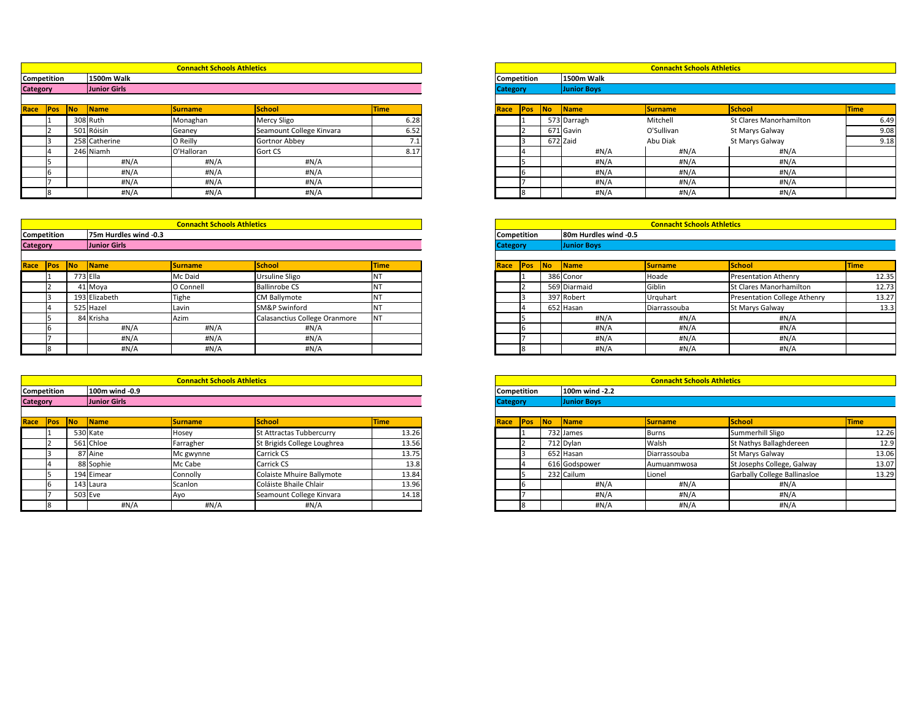|            |           |                   | <b>Connacht Schools Athletics</b> |                          |             |                 |            |    |                    | <b>Connacht Schools Athletics</b> |                                |             |
|------------|-----------|-------------------|-----------------------------------|--------------------------|-------------|-----------------|------------|----|--------------------|-----------------------------------|--------------------------------|-------------|
| tition     |           | <b>1500m Walk</b> |                                   |                          |             | Competition     |            |    | <b>1500m Walk</b>  |                                   |                                |             |
|            |           | Junior Girls      |                                   |                          |             | <b>Category</b> |            |    | <b>Junior Boys</b> |                                   |                                |             |
|            |           |                   |                                   |                          |             |                 |            |    |                    |                                   |                                |             |
| <b>Pos</b> | <b>No</b> | <b>Name</b>       | <b>Surname</b>                    | <b>School</b>            | <b>Time</b> | Race            | <b>Pos</b> | No | Name               | <b>Surname</b>                    | School                         | <b>Time</b> |
|            |           | 308 Ruth          | Monaghan                          | Mercy Sligo              | 6.28        |                 |            |    | 573 Darragh        | Mitchell                          | <b>St Clares Manorhamilton</b> | 6.49        |
|            |           | 501 Róisín        | Geaney                            | Seamount College Kinvara | 6.52        |                 |            |    | 671 Gavin          | O'Sullivan                        | St Marys Galway                | 9.08        |
|            |           | 258 Catherine     | O Reilly                          | Gortnor Abbey            | 7.⊥         |                 |            |    | 672 Zaid           | Abu Diak                          | St Marys Galway                | 9.18        |
|            |           | 246 Niamh         | O'Halloran                        | Gort CS                  | 8.17        |                 |            |    | #N/A               | #N/A                              | #N/A                           |             |
|            |           | H N/A             | #N/A                              | #N/A                     |             |                 |            |    | #N/A               | H N/A                             | #N/A                           |             |
|            |           | #N/A              | #N/A                              | H N/A                    |             |                 |            |    | #N/A               | H N/A                             | #N/A                           |             |
|            |           | H N/A             | #N/A                              | #N/A                     |             |                 |            |    | #N/A               | #N/A                              | #N/A                           |             |
|            |           | H N/A             | #N/A                              | #N/A                     |             |                 |            |    | #N/A               | H N/A                             | H N/A                          |             |

|        |    |                       | <b>Connacht Schools Athletics</b> |                               |             |                    |            |           |                       | <b>Connacht Schools Athletics</b> |                                     |             |
|--------|----|-----------------------|-----------------------------------|-------------------------------|-------------|--------------------|------------|-----------|-----------------------|-----------------------------------|-------------------------------------|-------------|
| tition |    | 75m Hurdles wind -0.3 |                                   |                               |             | <b>Competition</b> |            |           | 80m Hurdles wind -0.5 |                                   |                                     |             |
|        |    | <b>Junior Girls</b>   |                                   |                               |             | <b>Category</b>    |            |           | <b>Junior Boys</b>    |                                   |                                     |             |
|        |    |                       |                                   |                               |             |                    |            |           |                       |                                   |                                     |             |
| Pos    | No | Name                  | <b>Surname</b>                    | <b>School</b>                 | <b>Time</b> | <b>Race</b>        | <b>Pos</b> | <b>No</b> | Name                  | <b>Surname</b>                    | School                              | <b>Time</b> |
|        |    | 773 Ella              | Mc Daid                           | <b>Ursuline Sligo</b>         |             |                    |            |           | 386 Conor             | Hoade                             | <b>Presentation Athenry</b>         | 12.35       |
|        |    | 41 Moya               | O Connell                         | <b>Ballinrobe CS</b>          |             |                    |            |           | 569 Diarmaid          | Giblin                            | St Clares Manorhamilton             | 12.73       |
|        |    | 193 Elizabeth         | Tighe                             | <b>CM Ballymote</b>           |             |                    |            |           | 397 Robert            | Urquhart                          | <b>Presentation College Athenry</b> | 13.27       |
|        |    | 525 Hazel             | Lavin                             | <b>SM&amp;P Swinford</b>      |             |                    |            |           | 652 Hasan             | Diarrassouba                      | <b>St Marys Galway</b>              | 13.3        |
|        |    | 84 Krisha             | Azim                              | Calasanctius College Oranmore |             |                    |            |           | #N/A                  | H N/A                             | #N/A                                |             |
|        |    | #N/A                  | #N/A                              | #N/A                          |             |                    |            |           | #N/A                  | H N/A                             | #N/A                                |             |
|        |    | #N/A                  | #N/A                              | H N/A                         |             |                    |            |           | #N/A                  | #N/A                              | $\sharp N/A$                        |             |
|        |    | H N/A                 | #N/A                              | H N/A                         |             |                    |            |           | #N/A                  | $\sharp N/A$                      | # $N/A$                             |             |

|                 |               |                        | <b>Connacht Schools Athletics</b> |                          |             |      |                    |    |                           | <b>Connacht Schools Athletics</b> |                                |             |
|-----------------|---------------|------------------------|-----------------------------------|--------------------------|-------------|------|--------------------|----|---------------------------|-----------------------------------|--------------------------------|-------------|
| Competition     |               | <b>1500m Walk</b>      |                                   |                          |             |      | <b>Competition</b> |    | <b>1500m Walk</b>         |                                   |                                |             |
| <b>Category</b> |               | Junior Girls           |                                   |                          |             |      | <b>Category</b>    |    | <b>Junior Boys</b>        |                                   |                                |             |
|                 |               |                        |                                   |                          |             |      |                    |    |                           |                                   |                                |             |
| Race            | <b>Pos</b> No | $\sqrt{\mathsf{Name}}$ | <b>Surname</b>                    | School                   | <b>Time</b> | Race | <b>Pos</b>         | No | $\sqrt{\frac{1}{1}}$ Name | <b>Surname</b>                    | School                         | <b>Time</b> |
|                 |               | 308 Ruth               | Monaghan                          | Mercy Sligo              | 6.28        |      |                    |    | 573 Darragh               | Mitchell                          | <b>St Clares Manorhamilton</b> |             |
|                 |               | 501 Róisín             | Geaney                            | Seamount College Kinvara | 6.52        |      |                    |    | 671 Gavin                 | O'Sullivan                        | St Marys Galway                |             |
|                 |               | 258 Catherine          | O Reilly                          | Gortnor Abbey            | 7.1         |      |                    |    | 672 Zaid                  | Abu Diak                          | St Marys Galway                |             |
|                 |               | 246 Niamh              | O'Halloran                        | <b>Gort CS</b>           | 8.17        |      |                    |    | #N/A                      | #N/A                              | #N/A                           |             |
|                 |               | $\#N/A$                | #N/A                              | #N/A                     |             |      |                    |    | #N/A                      | #N/A                              | #N/A                           |             |
|                 |               | #N/A                   | #N/A                              | #N/A                     |             |      |                    |    | #N/A                      | #N/A                              | #N/A                           |             |
|                 |               | #N/A                   | #N/A                              | # $N/A$                  |             |      |                    |    | #N/A                      | #N/A                              | #N/A                           |             |
|                 |               | #N/A                   | #N/A                              | #N/A                     |             |      |                    |    | #N/A                      | H N/A                             | #N/A                           |             |

|                 |                    |           |                       | <b>Connacht Schools Athletics</b> |                               |             |                 |                    |    |                       | <b>Connacht Schools Athletics</b> |                                     |             |
|-----------------|--------------------|-----------|-----------------------|-----------------------------------|-------------------------------|-------------|-----------------|--------------------|----|-----------------------|-----------------------------------|-------------------------------------|-------------|
|                 | <b>Competition</b> |           | 75m Hurdles wind -0.3 |                                   |                               |             |                 | <b>Competition</b> |    | 80m Hurdles wind -0.5 |                                   |                                     |             |
| <b>Category</b> |                    |           | Junior Girls          |                                   |                               |             | <b>Category</b> |                    |    | <b>Junior Boys</b>    |                                   |                                     |             |
|                 |                    |           |                       |                                   |                               |             |                 |                    |    |                       |                                   |                                     |             |
| Race            | <b>Pos</b>         | <b>No</b> | <b>Name</b>           | <b>Surname</b>                    | School                        | <b>Time</b> | Race            | <b>Pos</b>         | No | <b>Name</b>           | <b>Surname</b>                    | School                              | <b>Time</b> |
|                 |                    |           | 773 Ella              | Mc Daid                           | <b>Ursuline Sligo</b>         | ΙVΙ         |                 |                    |    | 386 Conor             | Hoade                             | <b>Presentation Athenry</b>         |             |
|                 |                    |           | 41 Moya               | O Connell                         | <b>Ballinrobe CS</b>          |             |                 |                    |    | 569 Diarmaid          | Giblin                            | <b>St Clares Manorhamilton</b>      |             |
|                 |                    |           | 193 Elizabeth         | Tighe                             | <b>CM Ballymote</b>           |             |                 |                    |    | 397 Robert            | Urquhart                          | <b>Presentation College Athenry</b> |             |
|                 |                    |           | 525 Hazel             | Lavin                             | <b>SM&amp;P Swinford</b>      |             |                 |                    |    | 652 Hasan             | Diarrassouba                      | <b>St Marys Galway</b>              |             |
|                 |                    |           | 84 Krisha             | Azim                              | Calasanctius College Oranmore | <b>NT</b>   |                 |                    |    | #N/A                  | #N/A                              | #N/A                                |             |
|                 |                    |           | #N/A                  | H N/A                             | #N/A                          |             |                 |                    |    | #N/A                  | #N/A                              | H N/A                               |             |
|                 |                    |           | #N/A                  | H N/A                             | #N/A                          |             |                 |                    |    | #N/A                  | H N/A                             | H N/A                               |             |
|                 |                    |           | #N/A                  | #N/A                              | #N/A                          |             |                 |                    |    | #N/A                  | H N/A                             | #N/A                                |             |

|                 |             |            |                     | <b>Connacht Schools Athletics</b> |                                 |             |      |                 |             |            |                    | <b>Connacht Schools Athletics</b> |                              |             |
|-----------------|-------------|------------|---------------------|-----------------------------------|---------------------------------|-------------|------|-----------------|-------------|------------|--------------------|-----------------------------------|------------------------------|-------------|
|                 | Competition |            | 100m wind -0.9      |                                   |                                 |             |      |                 | Competition |            | 100m wind -2.2     |                                   |                              |             |
| <b>Category</b> |             |            | <b>Junior Girls</b> |                                   |                                 |             |      | <b>Category</b> |             |            | <b>Junior Boys</b> |                                   |                              |             |
|                 |             |            |                     |                                   |                                 |             |      |                 |             |            |                    |                                   |                              |             |
| Race            | <b>Pos</b>  | <b>INo</b> | <b>Name</b>         | <b>Surname</b>                    | School                          | <b>Time</b> | Race |                 | <b>Pos</b>  | <b>INo</b> | <b>Name</b>        | <b>Surname</b>                    | School                       | <b>Time</b> |
|                 |             |            | 530 Kate            | Hosey                             | <b>St Attractas Tubbercurry</b> | 13.26       |      |                 |             |            | 732 James          | Burns                             | Summerhill Sligo             |             |
|                 |             |            | 561 Chloe           | Farragher                         | St Brigids College Loughrea     | 13.56       |      |                 |             |            | 712 Dylan          | Walsh                             | St Nathys Ballaghdereen      |             |
|                 |             |            | 87 Aine             | Mc gwynne                         | <b>Carrick CS</b>               | 13.75       |      |                 |             |            | 652 Hasan          | Diarrassouba                      | <b>St Marys Galway</b>       |             |
|                 |             |            | 88 Sophie           | Mc Cabe                           | <b>Carrick CS</b>               | 13.8        |      |                 |             |            | 616 Godspower      | Aumuanmwosa                       | St Josephs College, Galway   |             |
|                 |             |            | 194 Eimear          | Connolly                          | Colaiste Mhuire Ballymote       | 13.84       |      |                 |             |            | 232 Cailum         | Lionel                            | Garbally College Ballinasloe |             |
|                 |             |            | 143 Laura           | Scanlon                           | Coláiste Bhaile Chlair          | 13.96       |      |                 |             |            | #N/A               | #N/A                              | #N/A                         |             |
|                 |             |            | $503$ Eve           | Ayo                               | Seamount College Kinvara        | 14.18       |      |                 |             |            | #N/A               | #N/A                              | #N/A                         |             |
|                 |             |            | #N/A                | #N/A                              | #N/A                            |             |      |                 |             |            | #N/A               | H N/A                             | #N/A                         |             |

|        |           |                | <b>Connacht Schools Athletics</b> |                             |             |
|--------|-----------|----------------|-----------------------------------|-----------------------------|-------------|
| tition |           | 100m wind -0.9 |                                   |                             |             |
|        |           | Junior Girls   |                                   |                             |             |
|        |           |                |                                   |                             |             |
| פסΩ    | <b>No</b> | Name           | <b>Surname</b>                    | <b>School</b>               | <b>Time</b> |
|        |           | 530 Kate       | Hosey                             | St Attractas Tubbercurry    | 13.26       |
|        |           | 561 Chloe      | Farragher                         | St Brigids College Loughrea | 13.56       |
|        |           | 87 Aine        | Mc gwynne                         | Carrick CS                  | 13.75       |
|        |           | 88 Sophie      | Mc Cabe                           | Carrick CS                  | 13.8        |
|        |           | 194 Eimear     | Connolly                          | Colaiste Mhuire Ballymote   | 13.84       |
|        |           | 143 Laura      | Scanlon                           | Coláiste Bhaile Chlair      | 13.96       |
|        |           | 503 Eve        | Ayo                               | Seamount College Kinvara    | 14.18       |
|        |           | #N/A           | #N/A                              | #N/A                        |             |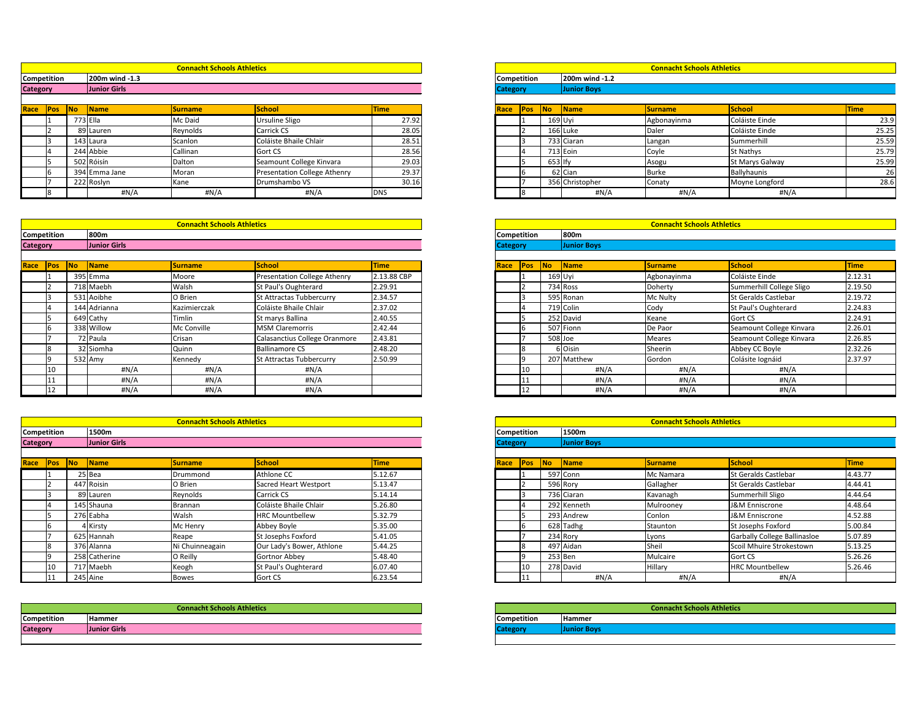|            |           |                     | <b>Connacht Schools Athletics</b> |                              |             |                 | <b>Connacht Schools Athletics</b> |           |                    |                |                        |             |  |  |
|------------|-----------|---------------------|-----------------------------------|------------------------------|-------------|-----------------|-----------------------------------|-----------|--------------------|----------------|------------------------|-------------|--|--|
| tition     |           | 200m wind -1.3      |                                   |                              |             |                 | 200m wind -1.2<br>Competition     |           |                    |                |                        |             |  |  |
|            |           | <b>Junior Girls</b> |                                   |                              |             | <b>Category</b> |                                   |           | <b>Junior Boys</b> |                |                        |             |  |  |
| <b>Pos</b> | <b>No</b> | Name                | <b>Surname</b>                    | <b>School</b>                | <b>Time</b> | <b>Race</b>     | <b>Pos</b>                        | No        | Name               | <b>Surname</b> | School                 | <b>Time</b> |  |  |
|            | 773 Ella  |                     | Mc Daid                           | Ursuline Sligo               | 27.92       |                 |                                   |           | 169 Uyi            | Agbonayinma    | Coláiste Einde         | 23.9        |  |  |
|            |           | 89 Lauren           | Reynolds                          | Carrick CS                   | 28.05       |                 |                                   |           | 166 Luke           | Daler          | Coláiste Einde         | 25.25       |  |  |
|            |           | 143 Laura           | Scanlon                           | Coláiste Bhaile Chlair       | 28.51       |                 |                                   |           | 733 Ciaran         | Langan         | Summerhill             | 25.59       |  |  |
|            |           | 244 Abbie           | Callinan                          | Gort CS                      | 28.56       |                 |                                   |           | $713$ Eoin         | Coyle          | <b>St Nathys</b>       | 25.79       |  |  |
|            |           | 502 Róisín          | Dalton                            | Seamount College Kinvara     | 29.03       |                 |                                   | $653$ Ify |                    | Asogu          | <b>St Marys Galway</b> | 25.99       |  |  |
|            |           | 394 Emma Jane       | Moran                             | Presentation College Athenry | 29.37       |                 |                                   |           | 62 Cian            | Burke          | Ballyhaunis            | 26          |  |  |
|            |           | 222 Roslyn          | Kane                              | Drumshambo VS                | 30.16       |                 |                                   |           | 356 Christopher    | Conaty         | Moyne Longford         | 28.6        |  |  |
|            |           | #N/A                | #N/A                              | #N/A                         | <b>DNS</b>  |                 |                                   |           | #N/A               | H N/A          | #N/A                   |             |  |  |

|                 |            |            |                | <b>Connacht Schools Athletics</b> |                              |             |      |                    | <b>Connacht Schools Athletics</b> |                     |                |                  |             |
|-----------------|------------|------------|----------------|-----------------------------------|------------------------------|-------------|------|--------------------|-----------------------------------|---------------------|----------------|------------------|-------------|
| Competition     |            |            | 200m wind -1.3 |                                   |                              |             |      | <b>Competition</b> |                                   | 200m wind -1.2      |                |                  |             |
| <b>Category</b> |            |            | Junior Girls   |                                   |                              |             |      | <b>Category</b>    |                                   | <b>Junior Boys</b>  |                |                  |             |
|                 |            |            |                |                                   |                              |             |      |                    |                                   |                     |                |                  |             |
| Race            | <b>Pos</b> | <b>INo</b> | <b>Name</b>    | <b>Surname</b>                    | School                       | <b>Time</b> | Race | Pos                | <b>INo</b>                        | $\blacksquare$ Name | <b>Surname</b> | School           | <b>Time</b> |
|                 |            |            | 773 Ella       | Mc Daid                           | <b>Ursuline Sligo</b>        | 27.92       |      |                    |                                   | 169 Uyi             | Agbonayinma    | Coláiste Einde   |             |
|                 |            |            | 89 Lauren      | Reynolds                          | <b>Carrick CS</b>            | 28.05       |      |                    |                                   | $166$ Luke          | Daler          | Coláiste Einde   |             |
|                 |            |            | 143 Laura      | Scanlon                           | Coláiste Bhaile Chlair       | 28.51       |      |                    |                                   | 733 Ciaran          | Langan         | Summerhill       |             |
|                 |            |            | 244 Abbie      | Callinan                          | <b>Gort CS</b>               | 28.56       |      |                    |                                   | 713 Eoin            | Coyle          | <b>St Nathys</b> |             |
|                 |            |            | 502 Róisín     | Dalton                            | Seamount College Kinvara     | 29.03       |      |                    | $653$ Ify                         |                     | Asogu          | St Marys Galway  |             |
|                 |            |            | 394 Emma Jane  | Moran                             | Presentation College Athenry | 29.37       |      |                    |                                   | 62 Cian             | <b>Burke</b>   | Ballyhaunis      |             |
|                 |            |            | 222 Roslyn     | Kane                              | Drumshambo VS                | 30.16       |      |                    |                                   | 356 Christopher     | Conaty         | Moyne Longford   |             |
|                 |            |            | H N/A          | H N/A                             | #N/A                         | <b>DNS</b>  |      |                    |                                   | #N/A                | H N/A          | #N/A             |             |

|                 |             |            |                      | <b>Connacht Schools Athletics</b> |                               |             |                    | <b>Connacht Schools Athletics</b> |         |                    |                |                             |             |  |
|-----------------|-------------|------------|----------------------|-----------------------------------|-------------------------------|-------------|--------------------|-----------------------------------|---------|--------------------|----------------|-----------------------------|-------------|--|
|                 | Competition |            | 800m                 |                                   |                               |             | <b>Competition</b> |                                   |         |                    |                |                             |             |  |
| <b>Category</b> |             |            | Junior Girls         |                                   |                               |             | <b>Category</b>    |                                   |         | <b>Junior Boys</b> |                |                             |             |  |
| Race            | Pos         | <b>ANO</b> | $\sqrt{\frac{1}{2}}$ | <b>Surname</b>                    | School                        | <b>Time</b> | Race               | Pos                               | No      | <b>Name</b>        | <b>Surname</b> | School                      | <b>Time</b> |  |
|                 |             |            | 395 Emma             | Moore                             | Presentation College Athenry  | 2.13.88 CBP |                    |                                   | 169 Uyi |                    | Agbonayinma    | Coláiste Einde              | 2.12.       |  |
|                 |             |            | 718 Maebh            | Walsh                             | <b>St Paul's Oughterard</b>   | 2.29.91     |                    |                                   |         | 734 Ross           | Doherty        | Summerhill College Sligo    | 2.19.       |  |
|                 |             |            | 531 Aoibhe           | O Brien                           | St Attractas Tubbercurry      | 2.34.57     |                    |                                   |         | 595 Ronan          | Mc Nulty       | <b>St Geralds Castlebar</b> | 2.19.       |  |
|                 |             |            | 144 Adrianna         | Kazimierczak                      | Coláiste Bhaile Chlair        | 2.37.02     |                    |                                   |         | 719 Colin          | Cody           | St Paul's Oughterard        | 2.24.       |  |
|                 |             |            | 649 Cathy            | Timlin                            | St marys Ballina              | 2.40.55     |                    |                                   |         | 252 David          | Keane          | <b>Gort CS</b>              | 2.24.       |  |
|                 |             |            | 338 Willow           | Mc Conville                       | <b>MSM Claremorris</b>        | 2.42.44     |                    |                                   |         | 507 Fionn          | De Paor        | Seamount College Kinvara    | 2.26        |  |
|                 |             |            | 72 Paula             | Crisan                            | Calasanctius College Oranmore | 2.43.81     |                    |                                   |         | 508 Joe            | Meares         | Seamount College Kinvara    | 2.26        |  |
|                 |             |            | 32 Siomha            | Quinn                             | <b>Ballinamore CS</b>         | 2.48.20     |                    |                                   |         | 6 Oisin            | Sheerin        | Abbey CC Boyle              | 2.32.       |  |
|                 |             |            | 532 Amy              | Kennedy                           | St Attractas Tubbercurry      | 2.50.99     |                    |                                   |         | 207 Matthew        | Gordon         | Colásite Iognáid            | 2.37.       |  |
|                 |             |            | #N/A                 | #N/A                              | #N/A                          |             |                    | 10                                |         | #N/A               | #N/A           | #N/A                        |             |  |
|                 |             |            | #N/A                 | #N/A                              | #N/A                          |             |                    | Т.                                |         | #N/A               | #N/A           | #N/A                        |             |  |
|                 | 12          |            | #N/A                 | #N/A                              | # $N/A$                       |             |                    | 12                                |         | #N/A               | #N/A           | #N/A                        |             |  |

|        |           |                     | <b>Connacht Schools Athletics</b> |                                     |             |             | <b>Connacht Schools Athletics</b> |    |                    |                |                             |             |  |  |
|--------|-----------|---------------------|-----------------------------------|-------------------------------------|-------------|-------------|-----------------------------------|----|--------------------|----------------|-----------------------------|-------------|--|--|
| tition |           | 800m                |                                   |                                     |             |             | 800m<br><b>Competition</b>        |    |                    |                |                             |             |  |  |
|        |           | <b>Junior Girls</b> |                                   |                                     |             |             | <b>Category</b>                   |    | <b>Junior Boys</b> |                |                             |             |  |  |
|        |           |                     |                                   |                                     |             |             |                                   |    |                    |                |                             |             |  |  |
| פס∙    | <b>No</b> | <b>Name</b>         | <b>Surname</b>                    | <b>School</b>                       | <b>Time</b> | <b>Race</b> | <b>Pos</b>                        | No | Name               | <b>Surname</b> | School                      | <b>Time</b> |  |  |
|        |           | 395 Emma            | Moore                             | <b>Presentation College Athenry</b> | 2.13.88 CBP |             |                                   |    | 169 Uyi            | Agbonayinma    | Coláiste Einde              | 2.12.31     |  |  |
|        |           | 718 Maebh           | Walsh                             | St Paul's Oughterard                | 2.29.91     |             |                                   |    | 734 Ross           | Doherty        | Summerhill College Sligo    | 2.19.50     |  |  |
|        |           | 531 Aoibhe          | O Brien                           | St Attractas Tubbercurry            | 2.34.57     |             |                                   |    | 595 Ronan          | Mc Nulty       | <b>St Geralds Castlebar</b> | 2.19.72     |  |  |
|        |           | 144 Adrianna        | Kazimierczak                      | Coláiste Bhaile Chlair              | 2.37.02     |             |                                   |    | 719 Colin          | Cody           | St Paul's Oughterard        | 2.24.83     |  |  |
|        |           | 649 Cathy           | Timlin                            | St marys Ballina                    | 2.40.55     |             |                                   |    | 252 David          | Keane          | Gort CS                     | 2.24.91     |  |  |
|        |           | 338 Willow          | Mc Conville                       | <b>MSM Claremorris</b>              | 2.42.44     |             |                                   |    | 507 Fionn          | De Paor        | Seamount College Kinvara    | 2.26.01     |  |  |
|        |           | 72 Paula            | Crisan                            | Calasanctius College Oranmore       | 2.43.81     |             |                                   |    | 508 Joe            | Meares         | Seamount College Kinvara    | 2.26.85     |  |  |
|        |           | 32 Siomha           | Quinn                             | Ballinamore CS                      | 2.48.20     |             |                                   |    | 6 Oisin            | Sheerin        | Abbey CC Boyle              | 2.32.26     |  |  |
|        |           | 532 Amy             | Kennedy                           | St Attractas Tubbercurry            | 2.50.99     |             |                                   |    | 207 Matthew        | Gordon         | Colásite Iognáid            | 2.37.97     |  |  |
| 10     |           | #N/A                | #N/A                              | #N/A                                |             |             |                                   |    | #N/A               | #N/A           | #N/A                        |             |  |  |
|        |           | #N/A                | #N/A                              | #N/A                                |             |             |                                   |    | #N/A               | #N/A           | #N/A                        |             |  |  |
| 12     |           | H N/A               | H N/A                             | H N/A                               |             |             | 12                                |    | #N/A               | #N/A           | #N/A                        |             |  |  |

|                    | <b>Connacht Schools Athletics</b> |           |               |                 |                           |             | <b>Connacht Schools Athletics</b> |                    |           |                    |                |                                     |             |
|--------------------|-----------------------------------|-----------|---------------|-----------------|---------------------------|-------------|-----------------------------------|--------------------|-----------|--------------------|----------------|-------------------------------------|-------------|
| <b>Competition</b> |                                   |           | 1500m         |                 |                           |             |                                   | <b>Competition</b> |           | 1500m              |                |                                     |             |
| <b>Category</b>    |                                   |           | Junior Girls  |                 |                           |             | <b>Category</b>                   |                    |           | <b>Junior Boys</b> |                |                                     |             |
| Race               | <b>Pos</b>                        | <b>No</b> | <b>Name</b>   | <b>Surname</b>  | School                    | <b>Time</b> | Race                              | <b>Pos</b>         | <b>No</b> | <b>Name</b>        | <b>Surname</b> | School                              | <b>Time</b> |
|                    |                                   |           | 25 Bea        | Drummond        | Athlone CC                | 5.12.67     |                                   |                    |           | 597 Conn           | Mc Namara      | <b>St Geralds Castlebar</b>         | 4.43.       |
|                    |                                   |           | 447 Roisin    | O Brien         | Sacred Heart Westport     | 5.13.47     |                                   |                    |           | 596 Rory           | Gallagher      | <b>St Geralds Castlebar</b>         | 4.44        |
|                    |                                   |           | 89 Lauren     | Reynolds        | <b>Carrick CS</b>         | 5.14.14     |                                   |                    |           | 736 Ciaran         | Kavanagh       | Summerhill Sligo                    | 4.44.       |
|                    |                                   |           | 145 Shauna    | Brannan         | Coláiste Bhaile Chlair    | 5.26.80     |                                   |                    |           | 292 Kenneth        | Mulrooney      | J&M Enniscrone                      | 4.48.       |
|                    |                                   |           | 276 Eabha     | Walsh           | <b>HRC Mountbellew</b>    | 5.32.79     |                                   |                    |           | 293 Andrew         | Conlon         | J&M Enniscrone                      | 4.52.       |
|                    |                                   |           | 4 Kirsty      | Mc Henry        | Abbey Boyle               | 5.35.00     |                                   |                    |           | 628 Tadhg          | Staunton       | St Josephs Foxford                  | 5.00.       |
|                    |                                   |           | 625 Hannah    | Reape           | <b>St Josephs Foxford</b> | 5.41.05     |                                   |                    |           | 234 Rory           | Lyons          | <b>Garbally College Ballinasloe</b> | 5.07        |
|                    |                                   |           | 376 Alanna    | Ni Chuinneagain | Our Lady's Bower, Athlone | 5.44.25     |                                   |                    |           | 497 Aidan          | Sheil          | Scoil Mhuire Strokestown            | 5.13.       |
|                    |                                   |           | 258 Catherine | O Reilly        | Gortnor Abbey             | 5.48.40     |                                   |                    |           | $253$ Ben          | Mulcaire       | Gort CS                             | 5.26        |
|                    |                                   |           | 717 Maebh     | Keogh           | St Paul's Oughterard      | 6.07.40     |                                   | 10                 |           | 278 David          | Hillary        | <b>HRC Mountbellew</b>              | 5.26.       |
|                    |                                   |           | 245 Aine      | <b>Bowes</b>    | Gort CS                   | 6.23.54     |                                   | LT.                |           | #N/A               | $\sharp N/A$   | #N/A                                |             |

|           |     |               |                 | <b>Connacht Schools Athletics</b> |             |  |  |
|-----------|-----|---------------|-----------------|-----------------------------------|-------------|--|--|
|           |     | 1500m         |                 |                                   |             |  |  |
|           |     | Junior Girls  |                 |                                   |             |  |  |
|           |     |               |                 |                                   |             |  |  |
| No<br>Pos |     | <b>Name</b>   | <b>Surname</b>  | <b>School</b>                     | <b>Time</b> |  |  |
|           |     | 25 Bea        | Drummond        | Athlone CC                        | 5.12.67     |  |  |
|           | 447 | Roisin        | O Brien         | <b>Sacred Heart Westport</b>      | 5.13.47     |  |  |
|           |     | 89 Lauren     | Reynolds        | Carrick CS                        | 5.14.14     |  |  |
|           |     | 145 Shauna    | Brannan         | Coláiste Bhaile Chlair            | 5.26.80     |  |  |
|           |     | 276 Eabha     | Walsh           | <b>HRC Mountbellew</b>            | 5.32.79     |  |  |
|           |     | Kirsty        | Mc Henry        | Abbey Boyle                       | 5.35.00     |  |  |
|           |     | 625 Hannah    | Reape           | St Josephs Foxford                | 5.41.05     |  |  |
|           |     | 376 Alanna    | Ni Chuinneagain | Our Lady's Bower, Athlone         | 5.44.25     |  |  |
|           |     | 258 Catherine | O Reilly        | Gortnor Abbey                     | 5.48.40     |  |  |
|           |     | 717 Maebh     | Keogh           | St Paul's Oughterard              | 6.07.40     |  |  |
|           |     | 245 Aine      | Bowes           | Gort CS                           | 6.23.54     |  |  |

| <b>Competition</b> | <b>IHammer</b>     |
|--------------------|--------------------|
| <b>Category</b>    | <b>Junior Boys</b> |

# **Connacht Schools Athletics**

|                 | <b>Connacht Schools Athletics</b> |                    |               |
|-----------------|-----------------------------------|--------------------|---------------|
| Competition     | Hammer                            | <b>Competition</b> | <b>Hammer</b> |
| <b>Category</b> | Junior Girls                      | tegory             |               |
|                 |                                   |                    |               |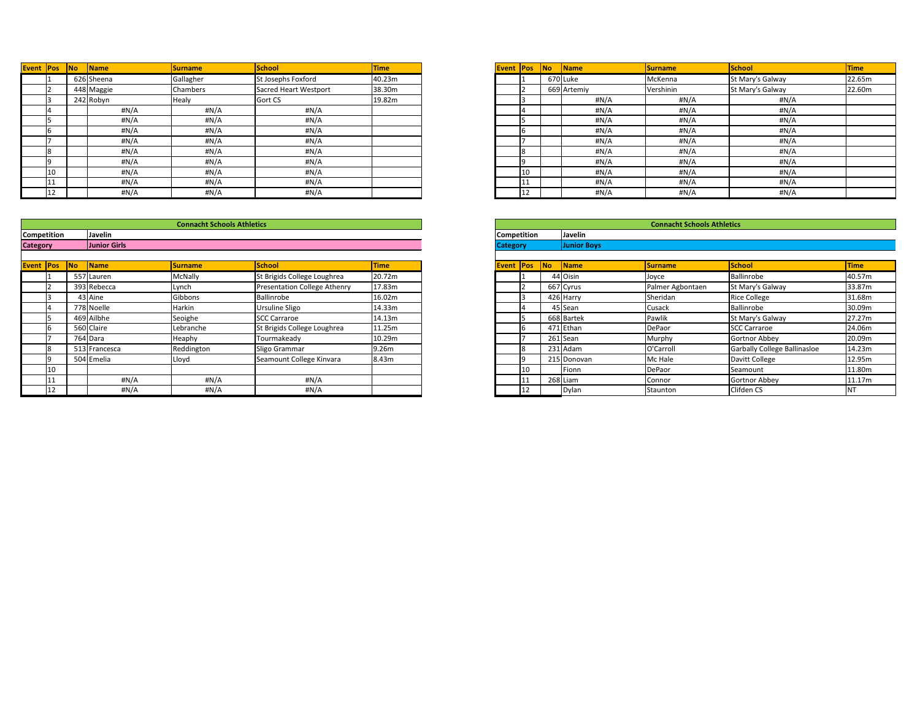| Pos | No | Name       | <b>Surname</b> | <b>School</b>                | <b>Time</b> |
|-----|----|------------|----------------|------------------------------|-------------|
|     |    | 626 Sheena | Gallagher      | St Josephs Foxford           | 40.23m      |
|     |    | 448 Maggie | Chambers       | <b>Sacred Heart Westport</b> | 38.30m      |
|     |    | 242 Robyn  | Healy          | Gort CS                      | 19.82m      |
|     |    | #N/A       | #N/A           | #N/A                         |             |
|     |    | #N/A       | #N/A           | H N/A                        |             |
|     |    | H N/A      | #N/A           | H N/A                        |             |
|     |    | #N/A       | #N/A           | #N/A                         |             |
|     |    | #N/A       | #N/A           | #N/A                         |             |
|     |    | H N/A      | #N/A           | #N/A                         |             |
| 10  |    | #N/A       | #N/A           | H N/A                        |             |
| 11  |    | #N/A       | #N/A           | #N/A                         |             |
| 12  |    | H N/A      | #N/A           | H N/A                        |             |

| <b>Event Pos</b> |    | <b>No</b><br><b>Name</b> | <b>Surname</b>  | <b>School</b>         | <b>Time</b> | <b>Event Pos</b> |              | <b>No</b><br><b>Name</b> | <b>Surname</b> | School           | Time  |
|------------------|----|--------------------------|-----------------|-----------------------|-------------|------------------|--------------|--------------------------|----------------|------------------|-------|
|                  |    | 626 Sheena               | Gallagher       | St Josephs Foxford    | 40.23m      |                  |              | 670 Luke                 | McKenna        | St Mary's Galway | 22.6! |
|                  |    | 448 Maggie               | <b>Chambers</b> | Sacred Heart Westport | 38.30m      |                  |              | 669 Artemiy              | Vershinin      | St Mary's Galway |       |
|                  |    | 242 Robyn                | <b>Healy</b>    | Gort CS               | 19.82m      |                  |              | #N/A                     | #N/A           | #N/A             |       |
|                  |    | #N/A                     | #N/A            | #N/A                  |             |                  |              | #N/A                     | #N/A           | #N/A             |       |
|                  |    | #N/A                     | $\#N/A$         | #N/A                  |             |                  |              | #N/A                     | #N/A           | #N/A             |       |
|                  |    | #N/A                     | H N/A           | #N/A                  |             |                  |              | #N/A                     | #N/A           | #N/A             |       |
|                  |    | #N/A                     | H N/A           | #N/A                  |             |                  |              | #N/A                     | #N/A           | #N/A             |       |
|                  |    | #N/A                     | #N/A            | #N/A                  |             |                  |              | #N/A                     | #N/A           | #N/A             |       |
|                  |    | #N/A                     | #N/A            | #N/A                  |             |                  |              | #N/A                     | #N/A           | #N/A             |       |
|                  |    | #N/A                     | #N/A            | #N/A                  |             |                  | $ 10\rangle$ | #N/A                     | #N/A           | #N/A             |       |
|                  |    | #N/A                     | H N/A           | #N/A                  |             |                  |              | #N/A                     | #N/A           | #N/A             |       |
|                  | 12 | #N/A                     | H N/A           | #N/A                  |             |                  | 112          | #N/A                     | #N/A           | #N/A             |       |

|                  |                     | <b>Connacht Schools Athletics</b> |                                     |             |
|------------------|---------------------|-----------------------------------|-------------------------------------|-------------|
| tition           | Javelin             |                                   |                                     |             |
|                  | <b>Junior Girls</b> |                                   |                                     |             |
|                  |                     |                                   |                                     |             |
| <b>No</b><br>Pos | <b>Name</b>         | <b>Surname</b>                    | <b>School</b>                       | <b>Time</b> |
|                  | 557 Lauren          | <b>McNally</b>                    | St Brigids College Loughrea         | 20.72m      |
|                  | 393 Rebecca         | Lynch                             | <b>Presentation College Athenry</b> | 17.83m      |
|                  | 43 Aine             | Gibbons                           | Ballinrobe                          | 16.02m      |
|                  | 778 Noelle          | Harkin                            | Ursuline Sligo                      | 14.33m      |
|                  | Ailbhe              | Seoighe                           | <b>SCC Carraroe</b>                 | 14.13m      |
|                  | 560 Claire          | Lebranche                         | St Brigids College Loughrea         | 11.25m      |
|                  | 764 Dara            | Heaphy                            | Tourmakeady                         | 10.29m      |
|                  | 513 Francesca       | Reddington                        | Sligo Grammar                       | 9.26m       |
|                  | 504 Emelia          | Lloyd                             | Seamount College Kinvara            | 8.43m       |
| 10               |                     |                                   |                                     |             |
|                  | #N/A                | #N/A                              | #N/A                                |             |
| 12               | #N/A                | H N/A                             | H N/A                               |             |

|                  |                    |    |               | <b>Connacht Schools Athletics</b> |                                     |             |                 | <b>Connacht Schools Athletics</b> |                          |                    |                  |                              |             |  |
|------------------|--------------------|----|---------------|-----------------------------------|-------------------------------------|-------------|-----------------|-----------------------------------|--------------------------|--------------------|------------------|------------------------------|-------------|--|
|                  | <b>Competition</b> |    | Javelin       |                                   |                                     |             |                 | <b>Competition</b>                |                          | Javelin            |                  |                              |             |  |
| <b>Category</b>  |                    |    | Junior Girls  |                                   |                                     |             | <b>Category</b> |                                   |                          | <b>Junior Boys</b> |                  |                              |             |  |
| <b>Event Pos</b> |                    | No | Name          | Surname                           | School                              | <b>Time</b> |                 | <b>Event Pos</b>                  | $\overline{\mathsf{No}}$ | <b>Name</b>        | <b>Surname</b>   | School                       | <b>Time</b> |  |
|                  |                    |    | 557 Lauren    | <b>McNally</b>                    | St Brigids College Loughrea         | 20.72m      |                 |                                   |                          | 44 Oisin           | Joyce            | Ballinrobe                   | 40.5        |  |
|                  |                    |    | 393 Rebecca   | Lynch                             | <b>Presentation College Athenry</b> | 17.83m      |                 |                                   |                          | 667 Cyrus          | Palmer Agbontaen | St Mary's Galway             | 33.8        |  |
|                  |                    |    | 43 Aine       | Gibbons                           | Ballinrobe                          | 16.02m      |                 |                                   |                          | 426 Harry          | Sheridan         | <b>Rice College</b>          | 31.6        |  |
|                  |                    |    | 778 Noelle    | Harkin                            | <b>Ursuline Sligo</b>               | 14.33m      |                 |                                   |                          | 45 Sean            | Cusack           | Ballinrobe                   | 30.0        |  |
|                  |                    |    | 469 Ailbhe    | Seoighe                           | <b>SCC Carraroe</b>                 | 14.13m      |                 |                                   |                          | 668 Bartek         | Pawlik           | St Mary's Galway             | 27.2        |  |
|                  |                    |    | 560 Claire    | Lebranche                         | St Brigids College Loughrea         | 11.25m      |                 |                                   |                          | 471 Ethan          | DePaor           | <b>SCC Carraroe</b>          | 24.0        |  |
|                  |                    |    | 764 Dara      | Heaphy                            | Tourmakeady                         | 10.29m      |                 |                                   |                          | $261$ Sean         | Murphy           | <b>Gortnor Abbey</b>         | 20.0        |  |
|                  |                    |    | 513 Francesca | Reddington                        | Sligo Grammar                       | 9.26m       |                 |                                   |                          | 231 Adam           | O'Carroll        | Garbally College Ballinasloe | 14.23       |  |
|                  |                    |    | 504 Emelia    | Lloyd                             | Seamount College Kinvara            | 8.43m       |                 |                                   |                          | 215 Donovan        | Mc Hale          | Davitt College               | 12.9        |  |
|                  | 10                 |    |               |                                   |                                     |             |                 | 10                                |                          | Fionn              | DePaor           | Seamount                     | 11.8        |  |
|                  |                    |    | $\#N/A$       | #N/A                              | #N/A                                |             |                 | $\mathbf 1$                       |                          | $268$ Liam         | Connor           | <b>Gortnor Abbey</b>         | 11.1        |  |
|                  |                    |    | #N/A          | #N/A                              | #N/A                                |             |                 | 12.                               |                          | Dylan              | Staunton         | Clifden CS                   |             |  |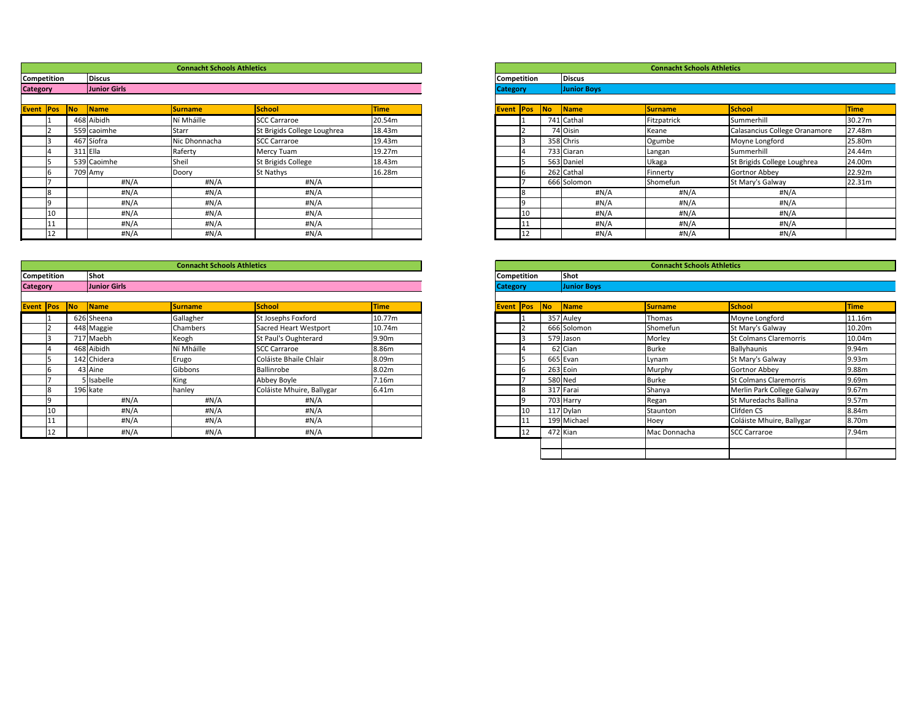|        |            |                     | <b>Connacht Schools Athletics</b> |                             |             |                    |    |                          |                    | <b>Connacht Schools Athletics</b> |                               |             |
|--------|------------|---------------------|-----------------------------------|-----------------------------|-------------|--------------------|----|--------------------------|--------------------|-----------------------------------|-------------------------------|-------------|
| tition |            | <b>Discus</b>       |                                   |                             |             | <b>Competition</b> |    |                          | <b>Discus</b>      |                                   |                               |             |
|        |            | <b>Junior Girls</b> |                                   |                             |             | <b>Category</b>    |    |                          | <b>Junior Boys</b> |                                   |                               |             |
|        |            |                     |                                   |                             |             |                    |    |                          |                    |                                   |                               |             |
| Pos    | <b>No</b>  | Name                | <b>Surname</b>                    | <b>School</b>               | <b>Time</b> | Event <b>Pos</b>   |    | $\overline{\mathsf{No}}$ | Name               | <b>Surname</b>                    | School                        | <b>Time</b> |
|        |            | 468 Aibidh          | Ní Mháille                        | <b>SCC Carraroe</b>         | 20.54m      |                    |    |                          | 741 Cathal         | Fitzpatrick                       | Summerhill                    | 30.27m      |
|        |            | 559 caoimhe         | <b>Starr</b>                      | St Brigids College Loughrea | 18.43m      |                    |    |                          | 74 Oisin           | Keane                             | Calasancius College Oranamore | 27.48m      |
|        |            | 467 Síofra          | Nic Dhonnacha                     | <b>SCC Carraroe</b>         | 19.43m      |                    |    |                          | 358 Chris          | Ogumbe                            | Moyne Longford                | 25.80m      |
|        | $311$ Ella |                     | Raferty                           | Mercy Tuam                  | 19.27m      |                    |    |                          | 733 Ciaran         | Langan                            | Summerhill                    | 24.44m      |
|        |            | 539 Caoimhe         | Sheil                             | St Brigids College          | 18.43m      |                    |    |                          | 563 Daniel         | Ukaga                             | St Brigids College Loughrea   | 24.00m      |
|        |            | 709 Amy             | Doory                             | St Nathys                   | 16.28m      |                    |    |                          | 262 Cathal         | Finnerty                          | Gortnor Abbey                 | 22.92m      |
|        |            | H N/A               | #N/A                              | #N/A                        |             |                    |    |                          | 666 Solomon        | Shomefun                          | St Mary's Galway              | 22.31m      |
|        |            | #N/A                | #N/A                              | #N/A                        |             |                    |    |                          | #N/A               | #N/A                              | $\sharp N/A$                  |             |
|        |            | #N/A                | #N/A                              | #N/A                        |             |                    |    |                          | #N/A               | #N/A                              | #N/A                          |             |
| 10     |            | #N/A                | #N/A                              | #N/A                        |             |                    |    |                          | #N/A               | #N/A                              | #N/A                          |             |
| 11     |            | H N/A               | #N/A                              | #N/A                        |             |                    |    |                          | #N/A               | #N/A                              | #N/A                          |             |
| 12     |            | H N/A               | #N/A                              | $\sharp N/A$                |             |                    | 12 |                          | #N/A               | H N/A                             | #N/A                          |             |

|                    |     |           |                    | <b>Connacht Schools Athletics</b> |                               |             |
|--------------------|-----|-----------|--------------------|-----------------------------------|-------------------------------|-------------|
| <b>Competition</b> |     |           | Shot               |                                   |                               |             |
| <b>Category</b>    |     |           | <b>Junior Boys</b> |                                   |                               |             |
|                    |     |           |                    |                                   |                               |             |
| <b>Event</b>       | Pos | <b>No</b> | Name               | <b>Surname</b>                    | <b>School</b>                 | <b>Time</b> |
|                    | 1   |           | 357 Auley          | Thomas                            | Moyne Longford                | 11.16m      |
|                    | 2   |           | 666 Solomon        | Shomefun                          | St Mary's Galway              | 10.20m      |
|                    | 3   |           | 579 Jason          | Morley                            | <b>St Colmans Claremorris</b> | 10.04m      |
|                    | 4   |           | 62 Cian            | <b>Burke</b>                      | Ballyhaunis                   | 9.94m       |
|                    | 5   |           | 665 Evan           | Lynam                             | St Mary's Galway              | 9.93m       |
|                    | 6   |           | 263 Eoin           | Murphy                            | <b>Gortnor Abbey</b>          | 9.88m       |
|                    | 7   |           | 580 Ned            | <b>Burke</b>                      | <b>St Colmans Claremorris</b> | 9.69m       |
|                    | 8   |           | 317 Farai          | Shanya                            | Merlin Park College Galway    | 9.67m       |
|                    | 9   |           | 703 Harry          | Regan                             | St Muredachs Ballina          | 9.57m       |
|                    | 10  |           | 117 Dylan          | Staunton                          | Clifden CS                    | 8.84m       |
|                    | 11  |           | 199 Michael        | Hoey                              | Coláiste Mhuire, Ballygar     | 8.70m       |
|                    | 12  |           | 472 Kian           | Mac Donnacha                      | <b>SCC Carraroe</b>           | 7.94m       |
|                    |     |           |                    |                                   |                               |             |
|                    |     |           |                    |                                   |                               |             |

|                  |             |               | <b>Connacht Schools Athletics</b> |                             |             |                  |    |                        | <b>Connacht Schools Athletics</b> |                               |             |
|------------------|-------------|---------------|-----------------------------------|-----------------------------|-------------|------------------|----|------------------------|-----------------------------------|-------------------------------|-------------|
|                  | Competition | <b>Discus</b> |                                   |                             |             | Competition      |    | <b>Discus</b>          |                                   |                               |             |
| <b>Category</b>  |             | Junior Girls  |                                   |                             |             | <b>Category</b>  |    | <b>Junior Boys</b>     |                                   |                               |             |
| <b>Event Pos</b> |             | No <br>Name   | <b>Surname</b>                    | <b>School</b>               | <b>Time</b> | <b>Event Pos</b> | No | $\sqrt{\mathsf{Name}}$ | <b>Surname</b>                    | School                        | <b>Time</b> |
|                  |             | 468 Aibidh    | Ní Mháille                        | <b>SCC Carraroe</b>         | 20.54m      |                  |    | 741 Cathal             | Fitzpatrick                       | Summerhill                    | 30.2        |
|                  |             | 559 caoimhe   | Starr                             | St Brigids College Loughrea | 18.43m      |                  |    | 74 Oisin               | Keane                             | Calasancius College Oranamore | 27.48       |
|                  |             | 467 Síofra    | Nic Dhonnacha                     | <b>SCC Carraroe</b>         | 19.43m      |                  |    | 358 Chris              | Ogumbe                            | Moyne Longford                | 25.8        |
|                  |             | $311$ Ella    | Raferty                           | Mercy Tuam                  | 19.27m      |                  |    | 733 Ciaran             | Langan                            | Summerhill                    | 24.4        |
|                  |             | 539 Caoimhe   | Sheil                             | St Brigids College          | 18.43m      |                  |    | 563 Daniel             | Ukaga                             | St Brigids College Loughrea   | 24.0        |
|                  |             | 709 Amy       | Doory                             | <b>St Nathys</b>            | 16.28m      |                  |    | 262 Cathal             | Finnerty                          | <b>Gortnor Abbey</b>          | 22.9        |
|                  |             | #N/A          | #N/A                              | #N/A                        |             |                  |    | 666 Solomon            | Shomefun                          | St Mary's Galway              | 22.3        |
|                  | l8          | #N/A          | #N/A                              | $\sharp N/A$                |             |                  |    | #N/A                   | #N/A                              | #N/A                          |             |
|                  |             | #N/A          | #N/A                              | #N/A                        |             |                  |    | #N/A                   | #N/A                              | #N/A                          |             |
|                  | 110         | #N/A          | #N/A                              | #N/A                        |             | 10               |    | $\sharp N/A$           | #N/A                              | #N/A                          |             |
|                  | 11          | #N/A          | #N/A                              | $\sharp N/A$                |             | -11 L            |    | $\sharp N/A$           | #N/A                              | #N/A                          |             |
|                  | <u> 12</u>  | #N/A          | H N/A                             | #N/A                        |             | 112              |    | #N/A                   | #N/A                              | #N/A                          |             |

|                     |  |                      | <b>Connacht Schools Athletics</b> |                              |             |                 |                    |                          |                        | <b>Connacht Schools Athletics</b> |                               |                   |
|---------------------|--|----------------------|-----------------------------------|------------------------------|-------------|-----------------|--------------------|--------------------------|------------------------|-----------------------------------|-------------------------------|-------------------|
| Competition         |  | Shot                 |                                   |                              |             |                 | <b>Competition</b> |                          | <b>Shot</b>            |                                   |                               |                   |
| <b>Category</b>     |  | Junior Girls         |                                   |                              |             | <b>Category</b> |                    |                          | <b>Junior Boys</b>     |                                   |                               |                   |
| <b>Event Pos No</b> |  | $\sqrt{\frac{1}{1}}$ | <b>Surname</b>                    | <b>School</b>                | <b>Time</b> |                 | <b>Event Pos</b>   | $\overline{\mathsf{No}}$ | $\sqrt{\mathsf{Name}}$ | <b>Surname</b>                    | School                        | <b>Time</b>       |
|                     |  | 626 Sheena           | Gallagher                         | <b>St Josephs Foxford</b>    | 10.77m      |                 |                    |                          | 357 Auley              | Thomas                            | Moyne Longford                | 11.16m            |
|                     |  | 448 Maggie           | Chambers                          | <b>Sacred Heart Westport</b> | 10.74m      |                 |                    |                          | 666 Solomon            | Shomefun                          | St Mary's Galway              | 10.20m            |
|                     |  | 717 Maebh            | Keogh                             | St Paul's Oughterard         | 9.90m       |                 |                    |                          | 579 Jason              | Morley                            | <b>St Colmans Claremorris</b> | 10.04m            |
|                     |  | 468 Aibidh           | Ní Mháille                        | <b>SCC Carraroe</b>          | 8.86m       |                 |                    |                          | 62 Cian                | <b>Burke</b>                      | Ballyhaunis                   | 9.94m             |
|                     |  | 142 Chidera          | Erugo                             | Coláiste Bhaile Chlair       | 8.09m       |                 |                    |                          | 665 Evan               | Lynam                             | St Mary's Galway              | 9.93m             |
|                     |  | 43 Aine              | Gibbons                           | Ballinrobe                   | 8.02m       |                 |                    |                          | 263 Eoin               | Murphy                            | Gortnor Abbey                 | 9.88m             |
|                     |  | 5 Isabelle           | King                              | Abbey Boyle                  | 7.16m       |                 |                    |                          | 580 Ned                | <b>Burke</b>                      | <b>St Colmans Claremorris</b> | 9.69m             |
|                     |  | 196 kate             | hanley                            | Coláiste Mhuire, Ballygar    | 6.41m       |                 |                    |                          | 317 Farai              | Shanya                            | Merlin Park College Galway    | 9.67m             |
|                     |  | #N/A                 | #N/A                              | #N/A                         |             |                 |                    |                          | 703 Harry              | Regan                             | St Muredachs Ballina          | 9.57 <sub>m</sub> |
|                     |  | #N/A                 | #N/A                              | #N/A                         |             |                 | $ 10\rangle$       |                          | 117 Dylan              | Staunton                          | Clifden CS                    | 8.84m             |
|                     |  | #N/A                 | #N/A                              | #N/A                         |             |                 | 111                |                          | 199 Michael            | Hoey                              | Coláiste Mhuire, Ballygar     | 8.70m             |
|                     |  | #N/A                 | #N/A                              | #N/A                         |             |                 | $ 12\rangle$       |                          | 472 Kian               | Mac Donnacha                      | <b>SCC Carraroe</b>           | 7.94m             |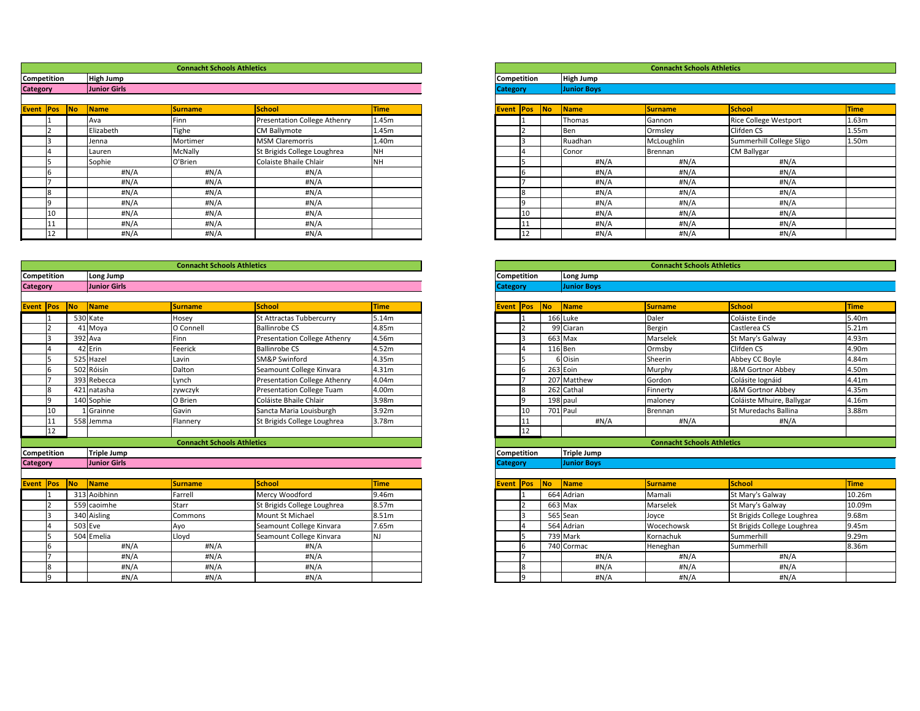|                 |                     |                      | <b>Connacht Schools Athletics</b> |                              |             |                    |    |    |                    | <b>Connacht Schools Athletics</b> |                              |       |
|-----------------|---------------------|----------------------|-----------------------------------|------------------------------|-------------|--------------------|----|----|--------------------|-----------------------------------|------------------------------|-------|
|                 | Competition         | <b>High Jump</b>     |                                   |                              |             | <b>Competition</b> |    |    | <b>High Jump</b>   |                                   |                              |       |
| <b>Category</b> |                     | Junior Girls         |                                   |                              |             | <b>Category</b>    |    |    | <b>Junior Boys</b> |                                   |                              |       |
|                 | <b>Event Pos No</b> | $\sqrt{\frac{1}{1}}$ | <b>Surname</b>                    | School                       | <b>Time</b> | <b>Event Pos</b>   |    | No | Name               | <b>Surname</b>                    | <b>School</b>                | Time  |
|                 |                     | Ava                  | Finn                              | Presentation College Athenry | 1.45m       |                    |    |    | Thomas             | Gannon                            | <b>Rice College Westport</b> | 1.63m |
|                 |                     | Elizabeth            | Tighe                             | <b>CM Ballymote</b>          | 1.45m       |                    |    |    | Ben                | Ormsley                           | Clifden CS                   | 1.55m |
|                 |                     | Jenna                | Mortimer                          | <b>MSM Claremorris</b>       | 1.40m       |                    |    |    | Ruadhan            | McLoughlin                        | Summerhill College Sligo     | 1.50m |
|                 |                     | Lauren               | <b>McNally</b>                    | St Brigids College Loughrea  | <b>NH</b>   |                    |    |    | <b>Conor</b>       | Brennan                           | <b>CM Ballygar</b>           |       |
|                 |                     | Sophie               | O'Brien                           | Colaiste Bhaile Chlair       | <b>NH</b>   |                    |    |    | #N/A               | #N/A                              | #N/A                         |       |
|                 |                     | #N/A                 | #N/A                              | #N/A                         |             |                    |    |    | #N/A               | #N/A                              | #N/A                         |       |
|                 |                     | #N/A                 | #N/A                              | #N/A                         |             |                    |    |    | #N/A               | #N/A                              | #N/A                         |       |
|                 |                     | #N/A                 | H N/A                             | #N/A                         |             |                    |    |    | #N/A               | #N/A                              | #N/A                         |       |
|                 |                     | #N/A                 | H N/A                             | #N/A                         |             |                    |    |    | #N/A               | #N/A                              | #N/A                         |       |
|                 |                     | #N/A                 | #N/A                              | #N/A                         |             |                    | 10 |    | #N/A               | #N/A                              | #N/A                         |       |
|                 |                     | $\#N/A$              | #N/A                              | #N/A                         |             |                    |    |    | #N/A               | #N/A                              | #N/A                         |       |
|                 | TT.                 | #N/A                 | H N/A                             | #N/A                         |             |                    |    |    | #N/A               | #N/A                              | #N/A                         |       |

|                  |                    |                     | <b>Connacht Schools Athletics</b> |                                  |             |                  |             |                    | <b>Connacht Schools Athletics</b> |                             |             |
|------------------|--------------------|---------------------|-----------------------------------|----------------------------------|-------------|------------------|-------------|--------------------|-----------------------------------|-----------------------------|-------------|
|                  | <b>Competition</b> | Long Jump           |                                   |                                  |             | Competition      |             | Long Jump          |                                   |                             |             |
| <b>Category</b>  |                    | <b>Junior Girls</b> |                                   |                                  |             | <b>Category</b>  |             | <b>Junior Boys</b> |                                   |                             |             |
|                  |                    |                     |                                   |                                  |             |                  |             |                    |                                   |                             |             |
| <b>Event Pos</b> |                    | Name<br>$\sqrt{NQ}$ | <b>Surname</b>                    | School                           | <b>Time</b> | <b>Event Pos</b> | No          | Name               | <b>Surname</b>                    | School                      | <b>Time</b> |
|                  |                    | 530 Kate            | Hosey                             | St Attractas Tubbercurry         | 5.14m       |                  |             | 166 Luke           | Daler                             | Coláiste Einde              | 5.40m       |
|                  |                    | 41 Moya             | O Connell                         | <b>Ballinrobe CS</b>             | 4.85m       |                  |             | 99 Ciaran          | <b>Bergin</b>                     | Castlerea CS                | 5.21m       |
|                  |                    | 392 Ava             | Finn                              | Presentation College Athenry     | 4.56m       | ا 3              |             | 663 Max            | Marselek                          | St Mary's Galway            | 4.93m       |
|                  |                    | 42 Erin             | Feerick                           | <b>Ballinrobe CS</b>             | 4.52m       |                  |             | 116 Ben            | Ormsby                            | Clifden CS                  | 4.90m       |
|                  |                    | 525 Hazel           | Lavin                             | <b>SM&amp;P Swinford</b>         | 4.35m       |                  |             | 6 Oisin            | Sheerin                           | Abbey CC Boyle              | 4.84m       |
|                  |                    | 502 Róisín          | Dalton                            | Seamount College Kinvara         | 4.31m       | 6                |             | 263 Eoin           | Murphy                            | J&M Gortnor Abbey           | 4.50m       |
|                  |                    | 393 Rebecca         | Lynch                             | Presentation College Athenry     | 4.04m       |                  |             | 207 Matthew        | Gordon                            | Colásite Iognáid            | 4.41m       |
|                  |                    | 421 natasha         | zywczyk                           | <b>Presentation College Tuam</b> | 4.00m       | 8                |             | 262 Cathal         | Finnerty                          | J&M Gortnor Abbey           | 4.35m       |
|                  |                    | 140 Sophie          | O Brien                           | Coláiste Bhaile Chlair           | 3.98m       | q                |             | 198 paul           | maloney                           | Coláiste Mhuire, Ballygar   | 4.16m       |
|                  | 10                 | 1 Grainne           | Gavin                             | Sancta Maria Louisburgh          | 3.92m       | 10               |             | 701 Paul           | Brennan                           | St Muredachs Ballina        | 3.88m       |
|                  | 11                 | 558 Jemma           | Flannery                          | St Brigids College Loughrea      | 3.78m       | 11               |             | #N/A               | #N/A                              | #N/A                        |             |
|                  | 12                 |                     |                                   |                                  |             | 12               |             |                    |                                   |                             |             |
|                  |                    |                     | <b>Connacht Schools Athletics</b> |                                  |             |                  |             |                    | <b>Connacht Schools Athletics</b> |                             |             |
|                  | <b>Competition</b> | Triple Jump         |                                   |                                  |             | Competition      |             | <b>Triple Jump</b> |                                   |                             |             |
| <b>Category</b>  |                    | <b>Junior Girls</b> |                                   |                                  |             | <b>Category</b>  |             | <b>Junior Boys</b> |                                   |                             |             |
|                  |                    |                     |                                   | School                           |             |                  |             |                    |                                   | School                      |             |
|                  | <b>Event Pos</b>   | Name<br>$\sqrt{NQ}$ | <b>Surname</b>                    |                                  | <b>Time</b> | <b>Event Pos</b> | $\sqrt{NQ}$ | Name               | <b>Surname</b>                    |                             | <b>Time</b> |
|                  |                    | 313 Aoibhinn        | Farrell                           | Mercy Woodford                   | 9.46m       |                  |             | 664 Adrian         | Mamali                            | St Mary's Galway            | 10.26m      |
|                  |                    | 559 caoimhe         | <b>Starr</b>                      | St Brigids College Loughrea      | 8.57m       | $\overline{2}$   |             | 663 Max            | Marselek                          | St Mary's Galway            | 10.09m      |
|                  |                    | 340 Aisling         | Commons                           | Mount St Michael                 | 8.51m       |                  |             | 565 Sean           | Joyce                             | St Brigids College Loughrea | 9.68m       |
|                  |                    | $503$ Eve           | Ayo                               | Seamount College Kinvara         | 7.65m       |                  |             | 564 Adrian         | Wocechowsk                        | St Brigids College Loughrea | 9.45m       |
|                  |                    | 504 Emelia          | Lloyd                             | Seamount College Kinvara         | NJ.         |                  |             | 739 Mark           | Kornachuk                         | Summerhill                  | 9.29m       |
|                  |                    | #N/A                | #N/A                              | # $N/A$                          |             | 6                |             | 740 Cormac         | Heneghan                          | Summerhill                  | 8.36m       |
|                  |                    | #N/A                | H N/A                             | # $N/A$                          |             |                  |             | #N/A               | $\#N/A$                           | #N/A                        |             |
|                  |                    | H N/A               | H N/A                             | #N/A                             |             | 8                |             | #N/A               | #N/A                              | #N/A                        |             |
|                  |                    | $II$ $I$ $I$ $A$    | $II$ $I$ $A$                      | $\cdots$                         |             |                  |             | 118178             | 118178                            | $II$ $I$ $I$ $A$            |             |

|                    |            |           |                    | <b>Connacht Schools Athletics</b> |                              |                   |
|--------------------|------------|-----------|--------------------|-----------------------------------|------------------------------|-------------------|
| <b>Competition</b> |            |           | <b>High Jump</b>   |                                   |                              |                   |
| <b>Category</b>    |            |           | <b>Junior Boys</b> |                                   |                              |                   |
|                    |            |           |                    |                                   |                              |                   |
| Event              | <b>Pos</b> | <b>No</b> | <b>Name</b>        | <b>Surname</b>                    | <b>School</b>                | <b>Time</b>       |
|                    |            |           | Thomas             | Gannon                            | <b>Rice College Westport</b> | 1.63m             |
|                    |            |           | Ben                | Ormsley                           | Clifden CS                   | 1.55m             |
|                    | 3          |           | Ruadhan            | McLoughlin                        | Summerhill College Sligo     | 1.50 <sub>m</sub> |
|                    | 4          |           | Conor              | Brennan                           | <b>CM Ballygar</b>           |                   |
|                    | 5          |           | #N/A               | #N/A                              | #N/A                         |                   |
|                    | 6          |           | #N/A               | #N/A                              | #N/A                         |                   |
|                    |            |           | $\sharp N/A$       | $\sharp N/A$                      | $\sharp N/A$                 |                   |
|                    | 8          |           | #N/A               | $\sharp N/A$                      | #N/A                         |                   |
|                    | 9          |           | #N/A               | $\sharp N/A$                      | #N/A                         |                   |
|                    | 10         |           | #N/A               | $\sharp N/A$                      | #N/A                         |                   |
|                    | 11         |           | $\sharp N/A$       | # $N/A$                           | #N/A                         |                   |
|                    | 12         |           | #N/A               | #N/A                              | #N/A                         |                   |

|                         |                     | <b>Connacht Schools Athletics</b> |                                     |             |
|-------------------------|---------------------|-----------------------------------|-------------------------------------|-------------|
| tition                  | Long Jump           |                                   |                                     |             |
|                         | <b>Junior Girls</b> |                                   |                                     |             |
|                         |                     |                                   |                                     |             |
| <b>No</b><br><b>Pos</b> | <b>Name</b>         | <b>Surname</b>                    | <b>School</b>                       | <b>Time</b> |
|                         | 530 Kate            | Hosey                             | <b>St Attractas Tubbercurry</b>     | 5.14m       |
|                         | 41 Moya             | O Connell                         | <b>Ballinrobe CS</b>                | 4.85m       |
|                         | 392 Ava             | Finn                              | <b>Presentation College Athenry</b> | 4.56m       |
|                         | 42 Erin             | Feerick                           | <b>Ballinrobe CS</b>                | 4.52m       |
|                         | 525 Hazel           | Lavin                             | <b>SM&amp;P Swinford</b>            | 4.35m       |
|                         | 502 Róisín          | Dalton                            | Seamount College Kinvara            | 4.31m       |
|                         | 393 Rebecca         | Lynch                             | <b>Presentation College Athenry</b> | 4.04m       |
|                         | 421 natasha         | zywczyk                           | <b>Presentation College Tuam</b>    | 4.00m       |
| Q                       | 140 Sophie          | O Brien                           | Coláiste Bhaile Chlair              | 3.98m       |
| 10                      | Grainne             | Gavin                             | Sancta Maria Louisburgh             | 3.92m       |
| 11                      | 558 Jemma           | Flannery                          | St Brigids College Loughrea         | 3.78m       |
| 12                      |                     |                                   |                                     |             |
|                         |                     | <b>Connacht Schools Athletics</b> |                                     |             |
| tition                  | <b>Triple Jump</b>  |                                   |                                     |             |
|                         | <b>Junior Girls</b> |                                   |                                     |             |
|                         |                     |                                   |                                     |             |
| No<br>Pos               | <b>Name</b>         | <b>Surname</b>                    | <b>School</b>                       | <b>Time</b> |
|                         | 313 Aoibhinn        | Farrell                           | Mercy Woodford                      | 9.46m       |
|                         | 559 caoimhe         | <b>Starr</b>                      | St Brigids College Loughrea         | 8.57m       |
|                         | 340 Aisling         | Commons                           | Mount St Michael                    | 8.51m       |
|                         | $503$ Eve           | Ayo                               | Seamount College Kinvara            | 7.65m       |
|                         | 504 Emelia          | Lloyd                             | Seamount College Kinvara            | <b>NJ</b>   |
|                         | #N/A                | $\sharp N/A$                      | #N/A                                |             |
|                         | #N/A                | #N/A                              | $\sharp N/A$                        |             |
|                         | #N/A                | H N/A                             | #N/A                                |             |
| ۵                       | #N/A                | #N/A                              | #N/A                                |             |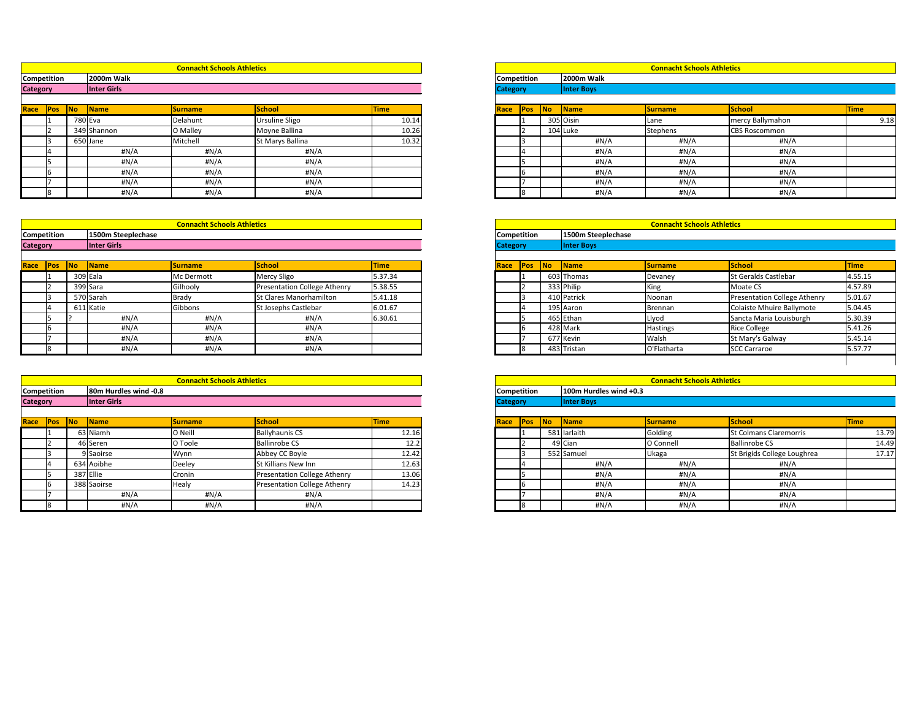|            |           |             | <b>Connacht Schools Athletics</b> |                  |             |                 |            |           |                   | <b>Connacht Schools Athletics</b> |                      |             |
|------------|-----------|-------------|-----------------------------------|------------------|-------------|-----------------|------------|-----------|-------------------|-----------------------------------|----------------------|-------------|
| tition     |           | 2000m Walk  |                                   |                  |             | Competition     |            |           | 2000m Walk        |                                   |                      |             |
|            |           | Inter Girls |                                   |                  |             | <b>Category</b> |            |           | <b>Inter Boys</b> |                                   |                      |             |
|            |           |             |                                   |                  |             |                 |            |           |                   |                                   |                      |             |
| <b>POS</b> | <b>No</b> | <b>Name</b> | <b>Surname</b>                    | <b>School</b>    | <b>Time</b> | <b>Race</b>     | <b>Pos</b> | <b>No</b> | Name              | <b>Surname</b>                    | School               | <b>Time</b> |
|            | 780 Eva   |             | Delahunt                          | Ursuline Sligo   | 10.14       |                 |            |           | 305 Oisin         | Lane                              | mercy Ballymahon     | 9.18        |
|            |           | 349 Shannon | O Malley                          | Moyne Ballina    | 10.26       |                 |            |           | 104 Luke          | Stephens                          | <b>CBS Roscommon</b> |             |
|            |           | 650 Jane    | Mitchell                          | St Marys Ballina | 10.32       |                 |            |           | #N/A              | #N/A                              | #N/A                 |             |
|            |           | H N/A       | #N/A                              | #N/A             |             |                 |            |           | #N/A              | H N/A                             | #N/A                 |             |
|            |           | #N/A        | #N/A                              | #N/A             |             |                 |            |           | #N/A              | H N/A                             | #N/A                 |             |
|            |           | #N/A        | #N/A                              | #N/A             |             |                 |            |           | $\sharp N/A$      | H N/A                             | H N/A                |             |
|            |           | #N/A        | #N/A                              | #N/A             |             |                 |            |           | #N/A              | #N/A                              | #N/A                 |             |
|            |           | #N/A        | #N/A                              | H N/A            |             |                 |            |           | #N/A              | #N/A                              | #N/A                 |             |

|                 |     |    |             | <b>Connacht Schools Athletics</b> |                       |             |                 |                    |    |                     | <b>Connacht Schools Athletics</b> |                      |             |
|-----------------|-----|----|-------------|-----------------------------------|-----------------------|-------------|-----------------|--------------------|----|---------------------|-----------------------------------|----------------------|-------------|
| Competition     |     |    | 2000m Walk  |                                   |                       |             |                 | <b>Competition</b> |    | <b>2000m Walk</b>   |                                   |                      |             |
| <b>Category</b> |     |    | Inter Girls |                                   |                       |             | <b>Category</b> |                    |    | <b>Inter Boys</b>   |                                   |                      |             |
|                 |     |    |             |                                   |                       |             |                 |                    |    |                     |                                   |                      |             |
| Race            | Pos | No | <b>Name</b> | <b>Surname</b>                    | School                | <b>Time</b> | Race            | Pos                | No | $\blacksquare$ Name | <b>Surname</b>                    | School               | <b>Time</b> |
|                 |     |    | 780 Eva     | Delahunt                          | <b>Ursuline Sligo</b> | 10.14       |                 |                    |    | 305 Oisin           | Lane                              | mercy Ballymahon     |             |
|                 |     |    | 349 Shannon | O Malley                          | Moyne Ballina         | 10.26       |                 |                    |    | $104$ Luke          | Stephens                          | <b>CBS Roscommon</b> |             |
|                 |     |    | 650 Jane    | Mitchell                          | St Marys Ballina      | 10.32       |                 |                    |    | #N/A                | #N/A                              | H N/A                |             |
|                 |     |    | #N/A        | #N/A                              | #N/A                  |             |                 |                    |    | #N/A                | #N/A                              | H N/A                |             |
|                 |     |    | #N/A        | #N/A                              | #N/A                  |             |                 |                    |    | #N/A                | #N/A                              | #N/A                 |             |
|                 |     |    | #N/A        | #N/A                              | #N/A                  |             |                 |                    |    | #N/A                | #N/A                              | #N/A                 |             |
|                 |     |    | #N/A        | H N/A                             | #N/A                  |             |                 |                    |    | #N/A                | #N/A                              | H N/A                |             |
|                 |     |    | H N/A       | #N/A                              | #N/A                  |             |                 |                    |    | #N/A                | H N/A                             | #N/A                 |             |

|                 |             |           |                    | <b>Connacht Schools Athletics</b> |                                     |             |                 |                    |            |                    | <b>Connacht Schools Athletics</b> |                                     |             |
|-----------------|-------------|-----------|--------------------|-----------------------------------|-------------------------------------|-------------|-----------------|--------------------|------------|--------------------|-----------------------------------|-------------------------------------|-------------|
|                 | Competition |           | 1500m Steeplechase |                                   |                                     |             |                 | <b>Competition</b> |            | 1500m Steeplechase |                                   |                                     |             |
| <b>Category</b> |             |           | Inter Girls        |                                   |                                     |             | <b>Category</b> |                    |            | <b>Inter Boys</b>  |                                   |                                     |             |
|                 |             |           |                    |                                   |                                     |             |                 |                    |            |                    |                                   |                                     |             |
| Race            | <b>Pos</b>  | <b>No</b> | <b>Name</b>        | <b>Surname</b>                    | School                              | <b>Time</b> | Race            | <b>Pos</b>         | <b>INo</b> | <b>Name</b>        | <b>Surname</b>                    | School                              | <b>Time</b> |
|                 |             |           | 309 Eala           | Mc Dermott                        | Mercy Sligo                         | 5.37.34     |                 |                    |            | 603 Thomas         | Devaney                           | St Geralds Castlebar                | 4.55.       |
|                 |             |           | 399 Sara           | Gilhooly                          | <b>Presentation College Athenry</b> | 5.38.55     |                 |                    |            | 333 Philip         | King                              | Moate CS                            | 4.57.       |
|                 |             |           | 570 Sarah          | Brady                             | <b>St Clares Manorhamilton</b>      | 5.41.18     |                 |                    |            | 410 Patrick        | Noonan                            | <b>Presentation College Athenry</b> | 5.01        |
|                 |             |           | 611 Katie          | Gibbons                           | St Josephs Castlebar                | 6.01.67     |                 |                    |            | 195 Aaron          | Brennan                           | Colaiste Mhuire Ballymote           | 5.04.       |
|                 |             |           | #N/A               | #N/A                              | #N/A                                | 6.30.61     |                 |                    |            | 465 Ethan          | Llyod                             | Sancta Maria Louisburgh             | 5.30.       |
|                 |             |           | #N/A               | H N/A                             | # $N/A$                             |             |                 |                    |            | 428 Mark           | <b>Hastings</b>                   | <b>Rice College</b>                 | 5.41        |
|                 |             |           | H N/A              | #N/A                              | #N/A                                |             |                 |                    |            | 677 Kevin          | Walsh                             | St Mary's Galway                    | 5.45.       |
|                 |             |           | #N/A               | #N/A                              | # $N/A$                             |             |                 |                    |            | 483 Tristan        | O'Flatharta                       | <b>SCC Carraroe</b>                 | 5.57.       |

|        |           |                       | <b>Connacht Schools Athletics</b> |                              |             |
|--------|-----------|-----------------------|-----------------------------------|------------------------------|-------------|
| tition |           | 80m Hurdles wind -0.8 |                                   |                              |             |
|        |           | Inter Girls           |                                   |                              |             |
|        |           |                       |                                   |                              |             |
| Pos    | <b>No</b> | <b>Name</b>           | <b>Surname</b>                    | <b>School</b>                | <b>Time</b> |
|        |           | 63 Niamh              | O Neill                           | <b>Ballyhaunis CS</b>        | 12.16       |
|        |           | 46 Seren              | O Toole                           | <b>Ballinrobe CS</b>         | 12.2        |
|        |           | 9 Saoirse             | Wynn                              | Abbey CC Boyle               | 12.42       |
|        |           | 634 Aoibhe            | Deeley                            | St Killians New Inn          | 12.63       |
|        |           | 387 Ellie             | Cronin                            | Presentation College Athenry | 13.06       |
|        |           | 388 Saoirse           | Healy                             | Presentation College Athenry | 14.23       |
|        |           | H N/A                 | #N/A                              | #N/A                         |             |
|        |           | #N/A                  | #N/A                              | H N/A                        |             |

|                 |             |            |                       | <b>Connacht Schools Athletics</b> |                              |             |                 |                    |    |                        | <b>Connacht Schools Athletics</b> |                               |             |
|-----------------|-------------|------------|-----------------------|-----------------------------------|------------------------------|-------------|-----------------|--------------------|----|------------------------|-----------------------------------|-------------------------------|-------------|
|                 | Competition |            | 80m Hurdles wind -0.8 |                                   |                              |             |                 | <b>Competition</b> |    | 100m Hurdles wind +0.3 |                                   |                               |             |
| <b>Category</b> |             |            | Inter Girls           |                                   |                              |             | <b>Category</b> |                    |    | <b>Inter Boys</b>      |                                   |                               |             |
|                 |             |            |                       |                                   |                              |             |                 |                    |    |                        |                                   |                               |             |
| Race            | <b>Pos</b>  | <b>INo</b> | <b>Name</b>           | <b>Surname</b>                    | School                       | <b>Time</b> | Race            | <b>Pos</b>         | No | $\blacksquare$ Name    | <b>Surname</b>                    | <b>School</b>                 | <b>Time</b> |
|                 |             |            | 63 Niamh              | O Neill                           | <b>Ballyhaunis CS</b>        | 12.16       |                 |                    |    | 581 larlaith           | Golding                           | <b>St Colmans Claremorris</b> |             |
|                 |             |            | 46 Seren              | O Toole                           | <b>Ballinrobe CS</b>         | 12.2        |                 |                    |    | 49 Cian                | O Connell                         | <b>Ballinrobe CS</b>          |             |
|                 |             |            | 9 Saoirse             | Wynn                              | Abbey CC Boyle               | 12.42       |                 |                    |    | 552 Samuel             | Ukaga                             | St Brigids College Loughrea   |             |
|                 |             |            | 634 Aoibhe            | Deeley                            | <b>St Killians New Inn</b>   | 12.63       |                 |                    |    | #N/A                   | #N/A                              | #N/A                          |             |
|                 |             |            | 387 Ellie             | Cronin                            | Presentation College Athenry | 13.06       |                 |                    |    | #N/A                   | #N/A                              | #N/A                          |             |
|                 |             |            | 388 Saoirse           | Healy                             | Presentation College Athenry | 14.23       |                 |                    |    | #N/A                   | #N/A                              | #N/A                          |             |
|                 |             |            | #N/A                  | #N/A                              | #N/A                         |             |                 |                    |    | #N/A                   | #N/A                              | #N/A                          |             |
|                 |             |            | #N/A                  | #N/A                              | #N/A                         |             |                 |                    |    | H N/A                  | $\sharp N/A$                      | #N/A                          |             |

|            |    |                        | <b>Connacht Schools Athletics</b> |                                     |             |                    |                   |                    | <b>Connacht Schools Athletics</b> |                                     |             |
|------------|----|------------------------|-----------------------------------|-------------------------------------|-------------|--------------------|-------------------|--------------------|-----------------------------------|-------------------------------------|-------------|
| tition     |    | 1500m Steeplechase     |                                   |                                     |             | <b>Competition</b> |                   | 1500m Steeplechase |                                   |                                     |             |
|            |    | Inter Girls            |                                   |                                     |             | <b>Category</b>    |                   | <b>Inter Boys</b>  |                                   |                                     |             |
| <b>POS</b> | No | $\sqrt{\mathsf{Name}}$ | <b>Surname</b>                    | School                              | <b>Time</b> | Race               | <b>INo</b><br>Pos | <b>Name</b>        | <b>Surname</b>                    | School                              | <b>Time</b> |
|            |    | 309 Eala               | Mc Dermott                        | <b>Mercy Sligo</b>                  | 5.37.34     |                    |                   | 603 Thomas         | Devaney                           | <b>St Geralds Castlebar</b>         | 4.55.15     |
|            |    | 399 Sara               | Gilhooly                          | <b>Presentation College Athenry</b> | 5.38.55     |                    |                   | 333 Philip         | <b>King</b>                       | Moate CS                            | 4.57.89     |
|            |    | 570 Sarah              | Brady                             | St Clares Manorhamilton             | 5.41.18     |                    |                   | 410 Patrick        | Noonan                            | <b>Presentation College Athenry</b> | 5.01.67     |
|            |    | 611 Katie              | Gibbons                           | <b>St Josephs Castlebar</b>         | 6.01.67     |                    |                   | 195 Aaron          | <b>Brennan</b>                    | Colaiste Mhuire Ballymote           | 5.04.45     |
|            |    | $\sharp N/A$           | #N/A                              | #N/A                                | 6.30.61     |                    |                   | 465 Ethan          | Llyod                             | Sancta Maria Louisburgh             | 5.30.39     |
|            |    | # $N/A$                | #N/A                              | #N/A                                |             |                    |                   | 428 Mark           | <b>Hastings</b>                   | <b>Rice College</b>                 | 5.41.26     |
|            |    | # $N/A$                | #N/A                              | #N/A                                |             |                    |                   | 677 Kevin          | Walsh                             | St Mary's Galway                    | 5.45.14     |
|            |    | #N/A                   | #N/A                              | #N/A                                |             |                    |                   | 483 Tristan        | O'Flatharta                       | <b>SCC Carraroe</b>                 | 5.57.77     |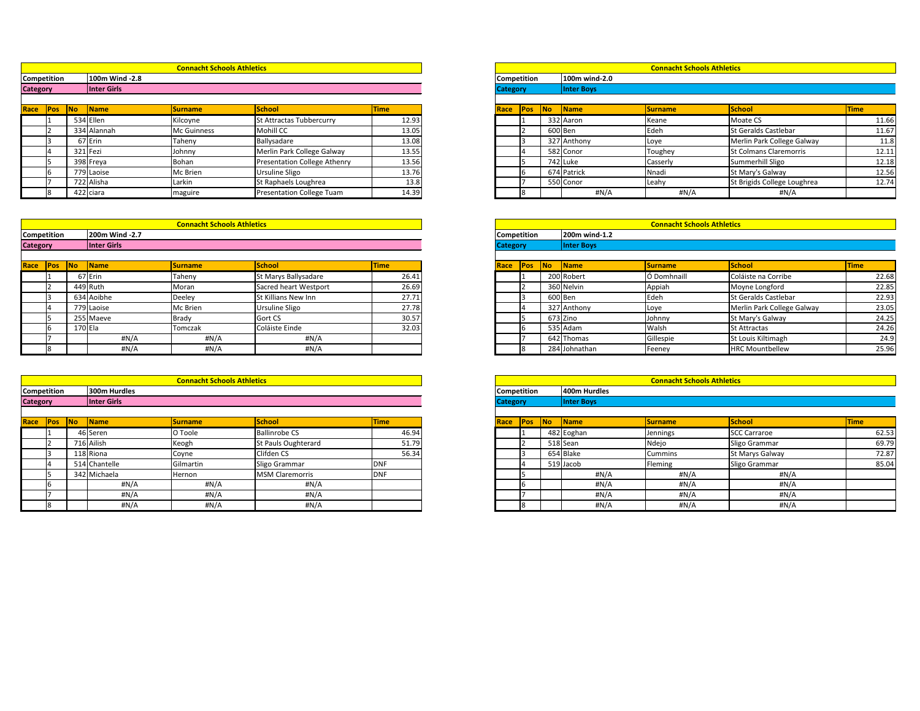|            |           |                | <b>Connacht Schools Athletics</b> |                                  |             |                 |     |           |                   | <b>Connacht Schools Athletics</b> |                               |             |
|------------|-----------|----------------|-----------------------------------|----------------------------------|-------------|-----------------|-----|-----------|-------------------|-----------------------------------|-------------------------------|-------------|
| tition     |           | 100m Wind -2.8 |                                   |                                  |             | Competition     |     |           | 100m wind-2.0     |                                   |                               |             |
|            |           | Inter Girls    |                                   |                                  |             | <b>Category</b> |     |           | <b>Inter Boys</b> |                                   |                               |             |
|            |           |                |                                   |                                  |             |                 |     |           |                   |                                   |                               |             |
| <b>POS</b> | <b>No</b> | <b>Name</b>    | <b>Surname</b>                    | <b>School</b>                    | <b>Time</b> | Race            | Pos | <b>No</b> | <b>Name</b>       | <b>Surname</b>                    | School                        | <b>Time</b> |
|            |           | 534 Ellen      | Kilcoyne                          | St Attractas Tubbercurry         | 12.93       |                 |     |           | 332 Aaron         | Keane                             | Moate CS                      | 11.66       |
|            |           | 334 Alannah    | <b>Mc Guinness</b>                | Mohill CC                        | 13.05       |                 |     | 600 Ben   |                   | Edeh                              | <b>St Geralds Castlebar</b>   | 11.67       |
|            |           | 67 Erin        | Taheny                            | Ballysadare                      | 13.08       |                 |     |           | 327 Anthony       | Loye                              | Merlin Park College Galway    | 11.8        |
|            |           | 321 Fezi       | Johnny                            | Merlin Park College Galway       | 13.55       |                 |     |           | 582 Conor         | Toughey                           | <b>St Colmans Claremorris</b> | 12.11       |
|            |           | 398 Freya      | Bohan                             | Presentation College Athenry     | 13.56       |                 |     |           | 742 Luke          | Casserly                          | Summerhill Sligo              | 12.18       |
|            |           | 779 Laoise     | Mc Brien                          | Ursuline Sligo                   | 13.76       |                 |     |           | 674 Patrick       | Nnadi                             | St Mary's Galway              | 12.56       |
|            |           | 722 Alisha     | Larkin                            | St Raphaels Loughrea             | 13.8        |                 |     |           | 550 Conor         | Leahy                             | St Brigids College Loughrea   | 12.74       |
|            |           | 422 ciara      | maguire                           | <b>Presentation College Tuam</b> | 14.39       |                 |     |           | #N/A              | #N/A                              | #N/A                          |             |

|                    |            |            |                        | <b>Connacht Schools Athletics</b> |                              |             |                 |                    |    |                     | <b>Connacht Schools Athletics</b> |                               |             |
|--------------------|------------|------------|------------------------|-----------------------------------|------------------------------|-------------|-----------------|--------------------|----|---------------------|-----------------------------------|-------------------------------|-------------|
| <b>Competition</b> |            |            | 100m Wind -2.8         |                                   |                              |             |                 | <b>Competition</b> |    | 100m wind-2.0       |                                   |                               |             |
| <b>Category</b>    |            |            | Inter Girls            |                                   |                              |             | <b>Category</b> |                    |    | <b>Inter Boys</b>   |                                   |                               |             |
|                    |            |            |                        |                                   |                              |             |                 |                    |    |                     |                                   |                               |             |
| Race               | <b>Pos</b> | <b>INo</b> | $\sqrt{\mathsf{Name}}$ | <b>Surname</b>                    | School                       | <b>Time</b> | Race            | Pos                | No | $\blacksquare$ Name | <b>Surname</b>                    | <b>School</b>                 | <b>Time</b> |
|                    |            |            | 534 Ellen              | Kilcoyne                          | St Attractas Tubbercurry     | 12.93       |                 |                    |    | 332 Aaron           | Keane                             | Moate CS                      |             |
|                    |            |            | 334 Alannah            | Mc Guinness                       | Mohill CC                    | 13.05       |                 |                    |    | 600 Ben             | Edeh                              | <b>St Geralds Castlebar</b>   |             |
|                    |            |            | 67 Erin                | Taheny                            | Ballysadare                  | 13.08       |                 |                    |    | 327 Anthony         | Loye                              | Merlin Park College Galway    |             |
|                    |            |            | 321 Fezi               | Johnny                            | Merlin Park College Galway   | 13.55       |                 |                    |    | 582 Conor           | Toughey                           | <b>St Colmans Claremorris</b> |             |
|                    |            |            | 398 Freya              | Bohan                             | Presentation College Athenry | 13.56       |                 |                    |    | 742 Luke            | Casserly                          | Summerhill Sligo              |             |
|                    |            |            | 779 Laoise             | Mc Brien                          | <b>Ursuline Sligo</b>        | 13.76       |                 |                    |    | 674 Patrick         | Nnadi                             | St Mary's Galway              |             |
|                    |            |            | 722 Alisha             | Larkin                            | St Raphaels Loughrea         | 13.8        |                 |                    |    | 550 Conor           | Leahy                             | St Brigids College Loughrea   |             |
|                    |            |            | 422 ciara              | maguire                           | Presentation College Tuam    | 14.39       |                 |                    |    | #N/A                | H N/A                             | #N/A                          |             |

|                 |             |           |                      | <b>Connacht Schools Athletics</b> |                       |             |                 |                   |                   | <b>Connacht Schools Athletics</b> |                             |             |
|-----------------|-------------|-----------|----------------------|-----------------------------------|-----------------------|-------------|-----------------|-------------------|-------------------|-----------------------------------|-----------------------------|-------------|
|                 | Competition |           | 200m Wind -2.7       |                                   |                       |             | Competition     |                   | 200m wind-1.2     |                                   |                             |             |
| <b>Category</b> |             |           | Inter Girls          |                                   |                       |             | <b>Category</b> |                   | <b>Inter Boys</b> |                                   |                             |             |
|                 |             |           |                      |                                   |                       |             |                 |                   |                   |                                   |                             |             |
| Race            | Pos         | <b>No</b> | $\sqrt{\frac{1}{1}}$ | <b>Surname</b>                    | School                | <b>Time</b> | Race            | No <br><b>Pos</b> | <b>Name</b>       | <b>Surname</b>                    | School                      | <b>Time</b> |
|                 |             |           | 67 Erin              | Taheny                            | St Marys Ballysadare  | 26.41       |                 |                   | 200 Robert        | Ó Domhnaill                       | Coláiste na Corribe         |             |
|                 |             |           | 449 Ruth             | Moran                             | Sacred heart Westport | 26.69       |                 |                   | 360 Nelvin        | Appiah                            | Moyne Longford              |             |
|                 |             |           | 634 Aoibhe           | Deeley                            | St Killians New Inn   | 27.71       |                 |                   | 600 Ben           | Edeh                              | <b>St Geralds Castlebar</b> |             |
|                 |             |           | 779 Laoise           | Mc Brien                          | Ursuline Sligo        | 27.78       |                 |                   | 327 Anthony       | Loye                              | Merlin Park College Galway  |             |
|                 |             |           | 255 Maeve            | <b>Brady</b>                      | <b>Gort CS</b>        | 30.57       |                 |                   | 673 Zino          | Johnny                            | St Mary's Galway            |             |
|                 |             |           | $170$ Ela            | Tomczak                           | Coláiste Einde        | 32.03       |                 |                   | 535 Adam          | Walsh                             | <b>St Attractas</b>         |             |
|                 |             |           | #N/A                 | #N/A                              | #N/A                  |             |                 |                   | 642 Thomas        | Gillespie                         | St Louis Kiltimagh          |             |
|                 |             |           | #N/A                 | H N/A                             | # $N/A$               |             |                 |                   | 284 Johnathan     | Feeney                            | <b>HRC Mountbellew</b>      |             |

|        |           |                | <b>Connacht Schools Athletics</b> |                       |             |                    |            |    |                   | <b>Connacht Schools Athletics</b> |                             |             |
|--------|-----------|----------------|-----------------------------------|-----------------------|-------------|--------------------|------------|----|-------------------|-----------------------------------|-----------------------------|-------------|
| tition |           | 200m Wind -2.7 |                                   |                       |             | <b>Competition</b> |            |    | 200m wind-1.2     |                                   |                             |             |
|        |           | Inter Girls    |                                   |                       |             | <b>Category</b>    |            |    | <b>Inter Boys</b> |                                   |                             |             |
| Pos    | <b>No</b> | <b>Name</b>    | <b>Surname</b>                    | <b>School</b>         | <b>Time</b> | Race               | <b>Pos</b> | No | Name              | <b>Surname</b>                    | School                      | <b>Time</b> |
|        |           | 67 Erin        | Taheny                            | St Marys Ballysadare  | 26.41       |                    |            |    | 200 Robert        | Ó Domhnaill                       | Coláiste na Corribe         | 22.68       |
|        |           | 449 Ruth       | Moran                             | Sacred heart Westport | 26.69       |                    |            |    | 360 Nelvin        | Appiah                            | Moyne Longford              | 22.85       |
|        |           | 634 Aoibhe     | <b>Deeley</b>                     | St Killians New Inn   | 27.71       |                    |            |    | 600 Ben           | Edeh                              | <b>St Geralds Castlebar</b> | 22.93       |
|        |           | 779 Laoise     | Mc Brien                          | <b>Ursuline Sligo</b> | 27.78       |                    |            |    | 327 Anthony       | Loye                              | Merlin Park College Galway  | 23.05       |
|        |           | 255 Maeve      | Brady                             | Gort CS               | 30.57       |                    |            |    | 673 Zino          | Johnny                            | St Mary's Galway            | 24.25       |
|        |           | 170 Ela        | Tomczak                           | Coláiste Einde        | 32.03       |                    |            |    | 535 Adam          | Walsh                             | <b>St Attractas</b>         | 24.26       |
|        |           | H N/A          | #N/A                              | #N/A                  |             |                    |            |    | 642 Thomas        | Gillespie                         | St Louis Kiltimagh          | 24.9        |
|        |           | #N/A           | #N/A                              | #N/A                  |             |                    |            |    | 284 Johnathan     | Feeney                            | <b>HRC Mountbellew</b>      | 25.96       |
|        |           |                |                                   |                       |             |                    |            |    |                   |                                   |                             |             |

|                 |             |                                          |               | <b>Connacht Schools Athletics</b> |                        |             |                    |     |    |                   | <b>Connacht Schools Athletics</b> |                     |      |
|-----------------|-------------|------------------------------------------|---------------|-----------------------------------|------------------------|-------------|--------------------|-----|----|-------------------|-----------------------------------|---------------------|------|
|                 | Competition |                                          | 300m Hurdles  |                                   |                        |             | <b>Competition</b> |     |    | 400m Hurdles      |                                   |                     |      |
| <b>Category</b> |             |                                          | Inter Girls   |                                   |                        |             | <b>Category</b>    |     |    | <b>Inter Boys</b> |                                   |                     |      |
|                 |             | School<br> No <br>Name<br><b>Surname</b> |               |                                   |                        |             |                    |     |    |                   |                                   |                     |      |
| Race            | <b>APos</b> |                                          |               |                                   |                        | <b>Time</b> | Race               | Pos | No | <b>Name</b>       | <b>Surname</b>                    | <b>School</b>       | Time |
|                 |             |                                          | 46 Seren      | O Toole                           | <b>Ballinrobe CS</b>   | 46.94       |                    |     |    | 482 Eoghan        | Jennings                          | <b>SCC Carraroe</b> |      |
|                 |             |                                          | 716 Ailish    | Keogh                             | St Pauls Oughterard    | 51.79       |                    |     |    | 518 Sean          | Ndejo                             | Sligo Grammar       |      |
|                 |             |                                          | 118 Riona     | Coyne                             | Clifden CS             | 56.34       |                    |     |    | 654 Blake         | <b>Cummins</b>                    | St Marys Galway     |      |
|                 |             |                                          | 514 Chantelle | Gilmartin                         | Sligo Grammar          | dnf         |                    |     |    | 519 Jacob         | Fleming                           | Sligo Grammar       |      |
|                 |             |                                          | 342 Michaela  | Hernon                            | <b>MSM Claremorris</b> | <b>DNF</b>  |                    |     |    | #N/A              | #N/A                              | #N/A                |      |
|                 |             |                                          | #N/A          | H N/A                             | #N/A                   |             |                    |     |    | #N/A              | H N/A                             | #N/A                |      |
|                 |             |                                          | $\#N/A$       | H N/A                             | #N/A                   |             |                    |     |    | #N/A              | #N/A                              | #N/A                |      |
|                 |             |                                          | #N/A          | H N/A                             | #N/A                   |             |                    |     |    | #N/A              | H N/A                             | #N/A                |      |

|        |           |               | <b>Connacht Schools Athletics</b> |                        |             |  |  |  |  |
|--------|-----------|---------------|-----------------------------------|------------------------|-------------|--|--|--|--|
| tition |           | 300m Hurdles  |                                   |                        |             |  |  |  |  |
|        |           | Inter Girls   |                                   |                        |             |  |  |  |  |
|        |           |               |                                   |                        |             |  |  |  |  |
| Pos    | <b>No</b> | Name          | <b>Surname</b>                    | <b>School</b>          | <b>Time</b> |  |  |  |  |
|        |           | 46 Seren      | O Toole                           | <b>Ballinrobe CS</b>   | 46.94       |  |  |  |  |
|        |           | 716 Ailish    | Keogh                             | St Pauls Oughterard    | 51.79       |  |  |  |  |
|        |           | 118 Riona     | Coyne                             | Clifden CS             | 56.34       |  |  |  |  |
|        |           | 514 Chantelle | Gilmartin                         | Sligo Grammar          | <b>DNF</b>  |  |  |  |  |
|        |           | 342 Michaela  | Hernon                            | <b>MSM Claremorris</b> | <b>DNF</b>  |  |  |  |  |
|        |           | #N/A          | #N/A                              | #N/A                   |             |  |  |  |  |
|        |           | #N/A          | #N/A                              | #N/A                   |             |  |  |  |  |
|        |           | #N/A          | #N/A                              | #N/A                   |             |  |  |  |  |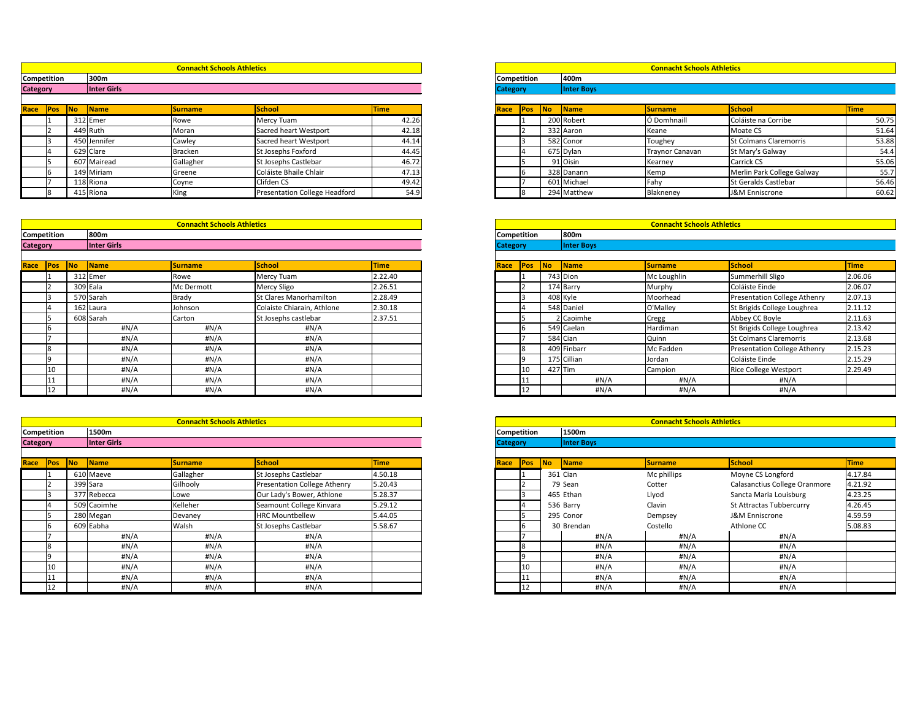|            |           |              | <b>Connacht Schools Athletics</b> |                                      |             |                 |             |       |                   | <b>Connacht Schools Athletics</b> |                               |             |
|------------|-----------|--------------|-----------------------------------|--------------------------------------|-------------|-----------------|-------------|-------|-------------------|-----------------------------------|-------------------------------|-------------|
| tition     |           | 300m         |                                   |                                      |             | Competition     |             |       | 400m              |                                   |                               |             |
|            |           | Inter Girls  |                                   |                                      |             | <b>Category</b> |             |       | <b>Inter Boys</b> |                                   |                               |             |
|            |           |              |                                   |                                      |             |                 |             |       |                   |                                   |                               |             |
| <b>Pos</b> | <b>No</b> | <b>Name</b>  | <b>Surname</b>                    | <b>School</b>                        | <b>Time</b> | <b>Race</b>     | <b>IPos</b> | lNo l | <b>Name</b>       | <b>Surname</b>                    | <b>School</b>                 | <b>Time</b> |
|            |           | 312 Emer     | Rowe                              | Mercy Tuam                           | 42.26       |                 |             |       | 200 Robert        | Ó Domhnaill                       | Coláiste na Corribe           | 50.75       |
|            |           | 449 Ruth     | Moran                             | Sacred heart Westport                | 42.18       |                 |             |       | 332 Aaron         | Keane                             | Moate CS                      | 51.64       |
|            |           | 450 Jennifer | Cawley                            | Sacred heart Westport                | 44.14       |                 |             |       | 582 Conor         | Toughey                           | <b>St Colmans Claremorris</b> | 53.88       |
|            |           | 629 Clare    | Bracken                           | St Josephs Foxford                   | 44.45       |                 |             |       | 675 Dylan         | Traynor Canavan                   | St Mary's Galway              | 54.4        |
|            |           | 607 Mairead  | Gallagher                         | St Josephs Castlebar                 | 46.72       |                 |             |       | 91 Oisin          | Kearney                           | <b>Carrick CS</b>             | 55.06       |
|            |           | 149 Miriam   | Greene                            | Coláiste Bhaile Chlair               | 47.13       |                 |             |       | 328 Danann        | Kemp                              | Merlin Park College Galway    | 55.7        |
|            |           | 118 Riona    | Coyne                             | Clifden CS                           | 49.42       |                 |             |       | 601 Michael       | Fahy                              | <b>St Geralds Castlebar</b>   | 56.46       |
|            |           | 415 Ríona    | King                              | <b>Presentation College Headford</b> | 54.9        |                 |             |       | 294 Matthew       | Blakneney                         | J&M Enniscrone                | 60.62       |

|                    |            |            |              | <b>Connacht Schools Athletics</b> |                               |             |                 |                    |    |                     | <b>Connacht Schools Athletics</b> |                               |      |
|--------------------|------------|------------|--------------|-----------------------------------|-------------------------------|-------------|-----------------|--------------------|----|---------------------|-----------------------------------|-------------------------------|------|
| <b>Competition</b> |            |            | 300m         |                                   |                               |             |                 | <b>Competition</b> |    | 400m                |                                   |                               |      |
| <b>Category</b>    |            |            | Inter Girls  |                                   |                               |             | <b>Category</b> |                    |    | <b>Inter Boys</b>   |                                   |                               |      |
|                    |            |            |              |                                   |                               |             |                 |                    |    |                     |                                   |                               |      |
| Race               | <b>Pos</b> | <b>INo</b> | <b>Name</b>  | <b>Surname</b>                    | School                        | <b>Time</b> | Race            | Pos                | No | $\blacksquare$ Name | <b>Surname</b>                    | School                        | Time |
|                    |            |            | 312 Emer     | Rowe                              | Mercy Tuam                    | 42.26       |                 |                    |    | 200 Robert          | Ó Domhnaill                       | Coláiste na Corribe           |      |
|                    |            |            | 449 Ruth     | Moran                             | Sacred heart Westport         | 42.18       |                 |                    |    | 332 Aaron           | Keane                             | Moate CS                      |      |
|                    |            |            | 450 Jennifer | Cawley                            | Sacred heart Westport         | 44.14       |                 |                    |    | 582 Conor           | Toughey                           | <b>St Colmans Claremorris</b> |      |
|                    |            |            | 629 Clare    | Bracken                           | St Josephs Foxford            | 44.45       |                 |                    |    | 675 Dylan           | <b>Traynor Canavan</b>            | St Mary's Galway              |      |
|                    |            |            | 607 Mairead  | Gallagher                         | St Josephs Castlebar          | 46.72       |                 |                    |    | 91 Oisin            | Kearney                           | <b>Carrick CS</b>             |      |
|                    |            |            | 149 Miriam   | Greene                            | Coláiste Bhaile Chlair        | 47.13       |                 |                    |    | 328 Danann          | Kemp                              | Merlin Park College Galway    |      |
|                    |            |            | 118 Riona    | Coyne                             | Clifden CS                    | 49.42       |                 |                    |    | 601 Michael         | Fahy                              | <b>St Geralds Castlebar</b>   |      |
|                    |            |            | 415 Ríona    | King                              | Presentation College Headford | 54.9        |                 |                    |    | 294 Matthew         | Blakneney                         | J&M Enniscrone                |      |

|                 |                    |    |              | <b>Connacht Schools Athletics</b> |                                |             |      |                    |    |                   | <b>Connacht Schools Athletics</b> |                                     |             |
|-----------------|--------------------|----|--------------|-----------------------------------|--------------------------------|-------------|------|--------------------|----|-------------------|-----------------------------------|-------------------------------------|-------------|
|                 | <b>Competition</b> |    | 800m         |                                   |                                |             |      | <b>Competition</b> |    | 800m              |                                   |                                     |             |
| <b>Category</b> |                    |    | Inter Girls  |                                   |                                |             |      | <b>Category</b>    |    | <b>Inter Boys</b> |                                   |                                     |             |
| Race            | Pos                | No | <b>Name</b>  | <b>Surname</b>                    | School                         | <b>Time</b> | Race | <b>Pos</b>         | No | <b>Name</b>       | <b>Surname</b>                    | School                              | <b>Time</b> |
|                 |                    |    | 312 Emer     | Rowe                              | Mercy Tuam                     | 2.22.40     |      |                    |    | 743 Dion          | Mc Loughlin                       | Summerhill Sligo                    | 2.06.       |
|                 |                    |    | 309 Eala     | Mc Dermott                        | <b>Mercy Sligo</b>             | 2.26.51     |      |                    |    | 174 Barry         | Murphy                            | Coláiste Einde                      | 2.06.       |
|                 |                    |    | 570 Sarah    | Brady                             | <b>St Clares Manorhamilton</b> | 2.28.49     |      |                    |    | 408 Kyle          | Moorhead                          | <b>Presentation College Athenry</b> | 2.07        |
|                 |                    |    | 162 Laura    | Johnson                           | Colaiste Chiarain, Athlone     | 2.30.18     |      |                    |    | 548 Daniel        | O'Malley                          | St Brigids College Loughrea         | 2.11.       |
|                 |                    |    | 608 Sarah    | Carton                            | St Josephs castlebar           | 2.37.51     |      |                    |    | 2 Caoimhe         | Cregg                             | Abbey CC Boyle                      | 2.11.       |
|                 |                    |    | #N/A         | #N/A                              | #N/A                           |             |      |                    |    | 549 Caelan        | Hardiman                          | St Brigids College Loughrea         | 2.13.       |
|                 |                    |    | #N/A         | #N/A                              | #N/A                           |             |      |                    |    | 584 Cian          | Quinn                             | <b>St Colmans Claremorris</b>       | 2.13.       |
|                 |                    |    | #N/A         | #N/A                              | #N/A                           |             |      |                    |    | 409 Finbarr       | Mc Fadden                         | <b>Presentation College Athenry</b> | 2.15.       |
|                 |                    |    | $\#N/A$      | #N/A                              | #N/A                           |             |      |                    |    | 175 Cillian       | Jordan                            | Coláiste Einde                      | 2.15.       |
|                 |                    |    | #N/A         | #N/A                              | #N/A                           |             |      | 10                 |    | $427$ Tim         | Campion                           | <b>Rice College Westport</b>        | 2.29.       |
|                 |                    |    | $\sharp N/A$ | #N/A                              | #N/A                           |             |      | 111                |    | #N/A              | #N/A                              | #N/A                                |             |
|                 |                    |    | #N/A         | #N/A                              | #N/A                           |             |      | 12                 |    | #N/A              | #N/A                              | #N/A                                |             |

|        |           |             | <b>Connacht Schools Athletics</b> |                                |             |                 |            |                          |                   | <b>Connacht Schools Athletics</b> |                                     |             |
|--------|-----------|-------------|-----------------------------------|--------------------------------|-------------|-----------------|------------|--------------------------|-------------------|-----------------------------------|-------------------------------------|-------------|
| tition |           | 800m        |                                   |                                |             | Competition     |            |                          | 800m              |                                   |                                     |             |
|        |           | Inter Girls |                                   |                                |             | <b>Category</b> |            |                          | <b>Inter Boys</b> |                                   |                                     |             |
|        |           |             |                                   |                                |             |                 |            |                          |                   |                                   |                                     |             |
| Pos    | <b>No</b> | Name        | <b>Surname</b>                    | <b>School</b>                  | <b>Time</b> | <b>Race</b>     | <b>Pos</b> | $\overline{\mathsf{No}}$ | Name              | <b>Surname</b>                    | School                              | <b>Time</b> |
|        |           | 312 Emer    | Rowe                              | Mercy Tuam                     | 2.22.40     |                 |            |                          | 743 Dion          | Mc Loughlin                       | Summerhill Sligo                    | 2.06.06     |
|        |           | 309 Eala    | Mc Dermott                        | <b>Mercy Sligo</b>             | 2.26.51     |                 |            |                          | 174 Barry         | Murphy                            | Coláiste Einde                      | 2.06.07     |
|        |           | 570 Sarah   | <b>Brady</b>                      | <b>St Clares Manorhamilton</b> | 2.28.49     |                 |            | 408 Kyle                 |                   | Moorhead                          | <b>Presentation College Athenry</b> | 2.07.13     |
|        |           | 162 Laura   | Johnson                           | Colaiste Chiarain, Athlone     | 2.30.18     |                 |            |                          | 548 Daniel        | O'Malley                          | St Brigids College Loughrea         | 2.11.12     |
|        |           | 608 Sarah   | Carton                            | St Josephs castlebar           | 2.37.51     |                 |            |                          | 2 Caoimhe         | Cregg                             | Abbey CC Boyle                      | 2.11.63     |
|        |           | #N/A        | #N/A                              | #N/A                           |             |                 |            |                          | 549 Caelan        | Hardiman                          | St Brigids College Loughrea         | 2.13.42     |
|        |           | #N/A        | #N/A                              | #N/A                           |             |                 |            | 584 Cian                 |                   | Quinn                             | <b>St Colmans Claremorris</b>       | 2.13.68     |
|        |           | #N/A        | #N/A                              | #N/A                           |             |                 |            |                          | 409 Finbarr       | Mc Fadden                         | <b>Presentation College Athenry</b> | 2.15.23     |
|        |           | H N/A       | #N/A                              | #N/A                           |             |                 |            |                          | 175 Cillian       | Jordan                            | Coláiste Einde                      | 2.15.29     |
| 10     |           | #N/A        | #N/A                              | #N/A                           |             |                 | ΊU         | $427$ Tim                |                   | Campion                           | <b>Rice College Westport</b>        | 2.29.49     |
|        |           | #N/A        | #N/A                              | #N/A                           |             |                 |            |                          | #N/A              | #N/A                              | #N/A                                |             |
| 12     |           | H N/A       | #N/A                              | #N/A                           |             |                 | 12         |                          | #N/A              | #N/A                              | #N/A                                |             |

|                 |             |           |                   | <b>Connacht Schools Athletics</b> |                                 |             |
|-----------------|-------------|-----------|-------------------|-----------------------------------|---------------------------------|-------------|
|                 | Competition |           | 1500m             |                                   |                                 |             |
| <b>Category</b> |             |           | <b>Inter Boys</b> |                                   |                                 |             |
|                 |             |           |                   |                                   |                                 |             |
| Race            | Pos         | <b>No</b> | <b>Name</b>       | <b>Surname</b>                    | <b>School</b>                   | <b>Time</b> |
|                 |             |           | 361 Cian          | Mc phillips                       | Moyne CS Longford               | 4.17.84     |
|                 |             |           | 79 Sean           | Cotter                            | Calasanctius College Oranmore   | 4.21.92     |
|                 | 3           |           | 465 Ethan         | Llyod                             | Sancta Maria Louisburg          | 4.23.25     |
|                 | 4           |           | 536 Barry         | Clavin                            | <b>St Attractas Tubbercurry</b> | 4.26.45     |
|                 | 5           |           | 295 Conor         | Dempsey                           | <b>J&amp;M Enniscrone</b>       | 4.59.59     |
|                 | 6           |           | 30 Brendan        | Costello                          | Athlone CC                      | 5.08.83     |
|                 | 7           |           | $\sharp N/A$      | #N/A                              | # $N/A$                         |             |
|                 | 8           |           | $\sharp N/A$      | H N/A                             | # $N/A$                         |             |
|                 | 9           |           | $\sharp N/A$      | # $N/A$                           | # $N/A$                         |             |
|                 | 10          |           | $\sharp N/A$      | H N/A                             | # $N/A$                         |             |
|                 | 11          |           | #N/A              | #N/A                              | #N/A                            |             |
|                 | 12          |           | #N/A              | $\sharp N/A$                      | #N/A                            |             |

|                 |             |           |             | <b>Connacht Schools Athletics</b> |                                     |             |      |                    |           |                   | <b>Connacht Schools Athletics</b> |                                 |             |
|-----------------|-------------|-----------|-------------|-----------------------------------|-------------------------------------|-------------|------|--------------------|-----------|-------------------|-----------------------------------|---------------------------------|-------------|
|                 | Competition |           | 1500m       |                                   |                                     |             |      | <b>Competition</b> |           | 1500m             |                                   |                                 |             |
| <b>Category</b> |             |           | Inter Girls |                                   |                                     |             |      | <b>Category</b>    |           | <b>Inter Boys</b> |                                   |                                 |             |
| Race            | <b>APos</b> | <b>No</b> | Name        | <b>Surname</b>                    | <b>School</b>                       | <b>Time</b> | Race | <b>Pos</b>         | <b>No</b> | <b>Name</b>       | <b>Surname</b>                    | School                          | <b>Time</b> |
|                 |             |           | 610 Maeve   | Gallagher                         | St Josephs Castlebar                | 4.50.18     |      |                    |           | 361 Cian          | Mc phillips                       | Moyne CS Longford               | 4.17.84     |
|                 |             |           | 399 Sara    | Gilhooly                          | <b>Presentation College Athenry</b> | 5.20.43     |      |                    |           | 79 Sean           | Cotter                            | Calasanctius College Oranmore   | 4.21.92     |
|                 |             |           | 377 Rebecca | Lowe                              | Our Lady's Bower, Athlone           | 5.28.37     |      |                    |           | 465 Ethan         | Llyod                             | Sancta Maria Louisburg          | 4.23.25     |
|                 |             |           | 509 Caoimhe | Kelleher                          | Seamount College Kinvara            | 5.29.12     |      |                    |           | 536 Barry         | Clavin                            | <b>St Attractas Tubbercurry</b> | 4.26.45     |
|                 |             |           | 280 Megan   | Devaney                           | <b>HRC Mountbellew</b>              | 5.44.05     |      |                    |           | 295 Conor         | Dempsey                           | <b>J&amp;M Enniscrone</b>       | 4.59.59     |
|                 |             |           | 609 Eabha   | Walsh                             | St Josephs Castlebar                | 5.58.67     |      |                    |           | 30 Brendan        | Costello                          | Athlone CC                      | 5.08.83     |
|                 |             |           | #N/A        | #N/A                              | #N/A                                |             |      |                    |           | #N/A              | #N/A                              | #N/A                            |             |
|                 |             |           | H N/A       | $\#N/A$                           | #N/A                                |             |      |                    |           | #N/A              | #N/A                              | # $N/A$                         |             |
|                 |             |           | H N/A       | #N/A                              | #N/A                                |             |      |                    |           | #N/A              | #N/A                              | #N/A                            |             |
|                 |             |           | #N/A        | #N/A                              | #N/A                                |             |      | $ 10\rangle$       |           | #N/A              | #N/A                              | #N/A                            |             |
|                 |             |           | H N/A       | #N/A                              | #N/A                                |             |      |                    |           | #N/A              | #N/A                              | # $N/A$                         |             |
|                 |             |           | H N/A       | #N/A                              | #N/A                                |             |      | 12                 |           | #N/A              | #N/A                              | #N/A                            |             |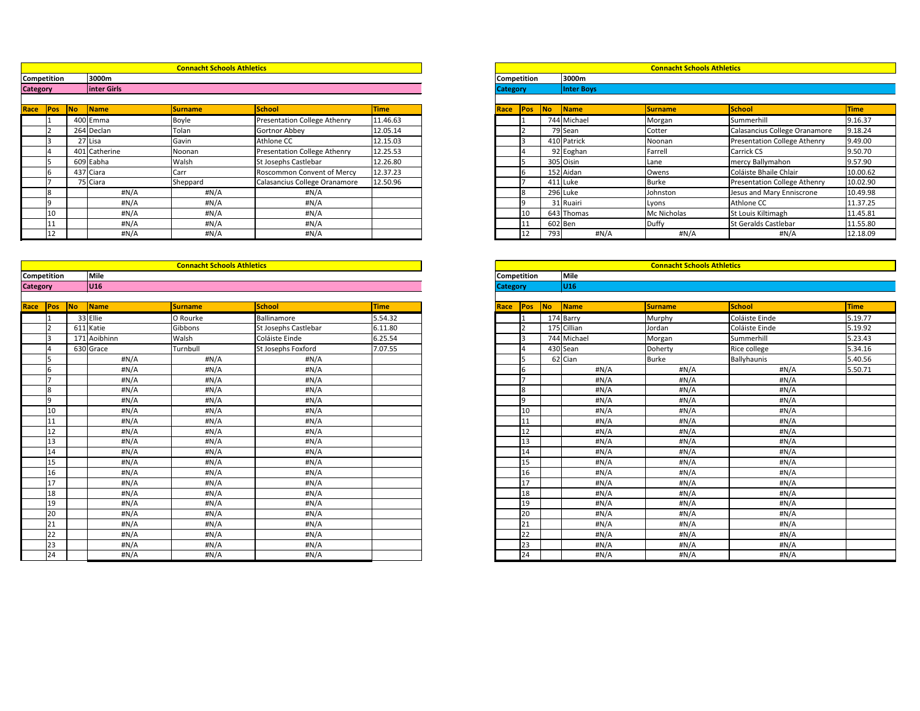|                 |                    |                          |                           | <b>Connacht Schools Athletics</b> |                                     |             |                 |                    |            |                        | <b>Connacht Schools Athletics</b> |                                     |             |
|-----------------|--------------------|--------------------------|---------------------------|-----------------------------------|-------------------------------------|-------------|-----------------|--------------------|------------|------------------------|-----------------------------------|-------------------------------------|-------------|
|                 | <b>Competition</b> |                          | 3000m                     |                                   |                                     |             |                 | <b>Competition</b> |            | 3000m                  |                                   |                                     |             |
| <b>Category</b> |                    |                          | <b>linter Girls</b>       |                                   |                                     |             | <b>Category</b> |                    |            | <b>Inter Boys</b>      |                                   |                                     |             |
|                 |                    |                          |                           |                                   |                                     |             |                 |                    |            |                        |                                   |                                     |             |
| Race            | Pos                | $\overline{\mathsf{No}}$ | $\sqrt{\frac{1}{1}}$ Name | <b>Surname</b>                    | <b>School</b>                       | <b>Time</b> | Race            | Pos                | <b>No</b>  | $\sqrt{\mathsf{Name}}$ | <b>Surname</b>                    | School                              | <b>Time</b> |
|                 |                    |                          | 400 Emma                  | Boyle                             | <b>Presentation College Athenry</b> | 11.46.63    |                 |                    |            | 744 Michael            | Morgan                            | Summerhill                          | 9.16.       |
|                 |                    |                          | 264 Declan                | Tolan                             | Gortnor Abbey                       | 12.05.14    |                 |                    |            | 79 Sean                | Cotter                            | Calasancius College Oranamore       | 9.18.       |
|                 |                    | 27 Lisa                  |                           | Gavin                             | Athlone CC                          | 12.15.03    |                 |                    |            | 410 Patrick            | Noonan                            | <b>Presentation College Athenry</b> | 9.49.       |
|                 |                    |                          | 401 Catherine             | Noonan                            | <b>Presentation College Athenry</b> | 12.25.53    |                 |                    |            | 92 Eoghan              | Farrell                           | <b>Carrick CS</b>                   | 9.50.       |
|                 |                    | 609 Eabha                |                           | Walsh                             | St Josephs Castlebar                | 12.26.80    |                 |                    | 305 Oisin  |                        | Lane                              | mercy Ballymahon                    | 9.57.       |
|                 |                    | 437 Ciara                |                           | Carr                              | <b>Roscommon Convent of Mercy</b>   | 12.37.23    |                 |                    |            | 152 Aidan              | Owens                             | Coláiste Bhaile Chlair              | 10.0        |
|                 |                    | 75 Ciara                 |                           | Sheppard                          | Calasancius College Oranamore       | 12.50.96    |                 |                    | $411$ Luke |                        | <b>Burke</b>                      | <b>Presentation College Athenry</b> | 10.0        |
|                 |                    |                          | #N/A                      | #N/A                              | H N/A                               |             |                 |                    | 296 Luke   |                        | Johnston                          | Jesus and Mary Enniscrone           | 10.49       |
|                 |                    |                          | #N/A                      | #N/A                              | #N/A                                |             |                 |                    |            | 31 Ruairi              | Lyons                             | Athlone CC                          | 11.3        |
|                 | 110                |                          | #N/A                      | H N/A                             | #N/A                                |             |                 | 10                 |            | 643 Thomas             | Mc Nicholas                       | St Louis Kiltimagh                  | 11.4        |
|                 | 11                 |                          | #N/A                      | #N/A                              | H N/A                               |             |                 | 111                | 602 Ben    |                        | Duffy                             | St Geralds Castlebar                | 11.5!       |
|                 |                    |                          | #N/A                      | H N/A                             | H N/A                               |             |                 | 12                 | 793        | $\sharp N/A$           | #N/A                              | #N/A                                | 12.18       |

| tition |           | 3000m         |                |                                     |             |                           | <b>Competition</b> | 3000m             |                |                                     |
|--------|-----------|---------------|----------------|-------------------------------------|-------------|---------------------------|--------------------|-------------------|----------------|-------------------------------------|
|        |           | inter Girls   |                |                                     |             | <b>Category</b>           |                    | <b>Inter Boys</b> |                |                                     |
|        |           |               |                |                                     |             |                           |                    |                   |                |                                     |
| Pos    | <b>No</b> | Name          | <b>Surname</b> | <b>School</b>                       | <b>Time</b> | <b>Pos</b><br><b>Race</b> | No                 | Name              | <b>Surname</b> | School                              |
|        |           | 400 Emma      | Boyle          | <b>Presentation College Athenry</b> | 11.46.63    |                           |                    | 744 Michael       | Morgan         | Summerhill                          |
|        |           | 264 Declan    | Tolan          | Gortnor Abbey                       | 12.05.14    |                           |                    | 79 Sean           | Cotter         | Calasancius College Oranamore       |
|        |           | 27 Lisa       | Gavin          | Athlone CC                          | 12.15.03    |                           |                    | 410 Patrick       | Noonan         | <b>Presentation College Athenry</b> |
|        |           | 401 Catherine | Noonan         | <b>Presentation College Athenry</b> | 12.25.53    |                           |                    | 92 Eoghan         | Farrell        | Carrick CS                          |
|        |           | 609 Eabha     | Walsh          | St Josephs Castlebar                | 12.26.80    |                           |                    | 305 Oisin         | Lane           | mercy Ballymahon                    |
|        |           | 437 Ciara     | Carr           | <b>Roscommon Convent of Mercy</b>   | 12.37.23    |                           |                    | 152 Aidan         | Owens          | Coláiste Bhaile Chlair              |
|        |           | 75 Ciara      | Sheppard       | Calasancius College Oranamore       | 12.50.96    |                           |                    | 411 Luke          | <b>Burke</b>   | <b>Presentation College Athenry</b> |
|        |           | #N/A          | #N/A           | #N/A                                |             |                           |                    | 296 Luke          | Johnston       | Jesus and Mary Enniscrone           |
|        |           | H N/A         | #N/A           | #N/A                                |             |                           |                    | 31 Ruairi         | Lyons          | Athlone CC                          |
| 10     |           | #N/A          | #N/A           | #N/A                                |             | 10                        |                    | 643 Thomas        | Mc Nicholas    | St Louis Kiltimagh                  |
|        |           | H N/A         | #N/A           | #N/A                                |             |                           |                    | $602$ Ben         | <b>Duffy</b>   | St Geralds Castlebar                |
| 12     |           | #N/A          | #N/A           | #N/A                                |             | 12                        | 793                | #N/A              | H N/A          | #N/A                                |

|                 |                    |    |              | <b>Connacht Schools Athletics</b> |                      |             |                 |                    |    |                 | <b>Connacht Schools Athletics</b> |                |             |
|-----------------|--------------------|----|--------------|-----------------------------------|----------------------|-------------|-----------------|--------------------|----|-----------------|-----------------------------------|----------------|-------------|
|                 | <b>Competition</b> |    | Mile         |                                   |                      |             |                 | <b>Competition</b> |    | Mile            |                                   |                |             |
| <b>Category</b> |                    |    | <b>U16</b>   |                                   |                      |             | <b>Category</b> |                    |    | U <sub>16</sub> |                                   |                |             |
|                 |                    |    |              |                                   |                      |             |                 |                    |    |                 |                                   |                |             |
|                 | <b>Race Pos</b>    | No | Name         | <b>Surname</b>                    | School               | <b>Time</b> | Race            | Pos                | No | <b>Name</b>     | <b>Surname</b>                    | <b>School</b>  | <b>Time</b> |
|                 |                    |    | 33 Ellie     | O Rourke                          | Ballinamore          | 5.54.32     |                 |                    |    | 174 Barry       | Murphy                            | Coláiste Einde | 5.19.77     |
|                 |                    |    | 611 Katie    | Gibbons                           | St Josephs Castlebar | 6.11.80     |                 | l <sub>ا</sub>     |    | 175 Cillian     | Jordan                            | Coláiste Einde | 5.19.92     |
|                 |                    |    | 171 Aoibhinn | Walsh                             | Coláiste Einde       | 6.25.54     |                 |                    |    | 744 Michael     | Morgan                            | Summerhill     | 5.23.43     |
|                 |                    |    | 630 Grace    | Turnbull                          | St Josephs Foxford   | 7.07.55     |                 |                    |    | 430 Sean        | Doherty                           | Rice college   | 5.34.16     |
|                 |                    |    | #N/A         | #N/A                              | #N/A                 |             |                 |                    |    | 62 Cian         | <b>Burke</b>                      | Ballyhaunis    | 5.40.56     |
|                 |                    |    | #N/A         | #N/A                              | #N/A                 |             |                 |                    |    | #N/A            | #N/A                              | $\sharp N/A$   | 5.50.71     |
|                 |                    |    | $\sharp N/A$ | $\sharp N/A$                      | $\sharp N/A$         |             |                 |                    |    | $\sharp N/A$    | #N/A                              | $\sharp N/A$   |             |
|                 |                    |    | $\sharp N/A$ | $\sharp N/A$                      | $\sharp N/A$         |             |                 | 8                  |    | $\sharp N/A$    | $\sharp N/A$                      | $\sharp N/A$   |             |
|                 | q                  |    | #N/A         | $\sharp N/A$                      | $\sharp N/A$         |             |                 | <b>q</b>           |    | $\sharp N/A$    | #N/A                              | $\sharp N/A$   |             |
|                 | 10                 |    | #N/A         | #N/A                              | #N/A                 |             |                 | 10                 |    | $\sharp N/A$    | #N/A                              | $\sharp N/A$   |             |
|                 | 11                 |    | $\sharp N/A$ | $\sharp N/A$                      | $\sharp N/A$         |             |                 | 11                 |    | $\sharp N/A$    | #N/A                              | #N/A           |             |
|                 | 12                 |    | #N/A         | #N/A                              | # $N/A$              |             |                 | 12                 |    | $\sharp N/A$    | $\sharp N/A$                      | $\sharp N/A$   |             |
|                 | 13                 |    | #N/A         | $\sharp N/A$                      | $\sharp N/A$         |             |                 | 13                 |    | $\sharp N/A$    | #N/A                              | $\sharp N/A$   |             |
|                 | 14                 |    | #N/A         | H N/A                             | $\sharp N/A$         |             |                 | 14                 |    | $\sharp N/A$    | $\sharp N/A$                      | $\sharp N/A$   |             |
|                 | 15                 |    | $\sharp N/A$ | $\sharp N/A$                      | $\sharp N/A$         |             |                 | 15                 |    | $\sharp N/A$    | #N/A                              | #N/A           |             |
|                 | 16                 |    | #N/A         | $\sharp N/A$                      | $\sharp N/A$         |             |                 | 16                 |    | $\sharp N/A$    | $\sharp N/A$                      | $\sharp N/A$   |             |
|                 | 17                 |    | #N/A         | #N/A                              | #N/A                 |             |                 | 17                 |    | $\sharp N/A$    | #N/A                              | $\sharp N/A$   |             |
|                 | 18                 |    | #N/A         | $\sharp N/A$                      | $\sharp N/A$         |             |                 | 18                 |    | $\sharp N/A$    | #N/A                              | $\sharp N/A$   |             |
|                 | 19                 |    | #N/A         | #N/A                              | $\sharp N/A$         |             |                 | 19                 |    | $\sharp N/A$    | #N/A                              | $\sharp N/A$   |             |
|                 | 20                 |    | #N/A         | #N/A                              | # $N/A$              |             |                 | 20                 |    | $\sharp N/A$    | $\sharp N/A$                      | $\sharp N/A$   |             |
|                 | 21                 |    | #N/A         | #N/A                              | $\sharp N/A$         |             |                 | 21                 |    | $\sharp N/A$    | #N/A                              | $\sharp N/A$   |             |
|                 | 22                 |    | $\sharp N/A$ | $\sharp N/A$                      | $\sharp N/A$         |             |                 | 22                 |    | $\sharp N/A$    | $\sharp N/A$                      | $\sharp N/A$   |             |
|                 | 23                 |    | $\sharp N/A$ | $\sharp N/A$                      | $\sharp N/A$         |             |                 | 23                 |    | $\sharp N/A$    | #N/A                              | $\sharp N/A$   |             |
|                 | 24                 |    | #N/A         | $\sharp N/A$                      | $\sharp N/A$         |             |                 | 24                 |    | $\sharp N/A$    | #N/A                              | $\sharp N/A$   |             |

| <b>Competition</b><br><b>Category</b> |                         |           |             | <b>Connacht Schools Athletics</b> |                    |             |
|---------------------------------------|-------------------------|-----------|-------------|-----------------------------------|--------------------|-------------|
|                                       |                         |           | <b>Mile</b> |                                   |                    |             |
|                                       |                         |           | <b>U16</b>  |                                   |                    |             |
|                                       |                         |           |             |                                   |                    |             |
| Race                                  | Pos                     | <b>No</b> | Name        | <b>Surname</b>                    | <b>School</b>      | <b>Time</b> |
|                                       | $\mathbf{1}$            |           | 174 Barry   | Murphy                            | Coláiste Einde     | 5.19.77     |
|                                       | $\overline{2}$          |           | 175 Cillian | Jordan                            | Coláiste Einde     | 5.19.92     |
|                                       | $\overline{3}$          |           | 744 Michael | Morgan                            | Summerhill         | 5.23.43     |
|                                       | $\overline{\mathbf{4}}$ |           | 430 Sean    | Doherty                           | Rice college       | 5.34.16     |
|                                       | $\overline{5}$          |           | 62 Cian     | <b>Burke</b>                      | <b>Ballyhaunis</b> | 5.40.56     |
|                                       | 6                       |           | #N/A        | #N/A                              | #N/A               | 5.50.71     |
|                                       | $\overline{7}$          |           | #N/A        | #N/A                              | #N/A               |             |
|                                       | $\overline{8}$          |           | #N/A        | #N/A                              | #N/A               |             |
|                                       | 9                       |           | #N/A        | #N/A                              | H N/A              |             |
|                                       | 10                      |           | #N/A        | #N/A                              | #N/A               |             |
|                                       | 11                      |           | #N/A        | #N/A                              | #N/A               |             |
|                                       | 12                      |           | #N/A        | #N/A                              | #N/A               |             |
|                                       | 13                      |           | #N/A        | #N/A                              | #N/A               |             |
|                                       | 14                      |           | #N/A        | #N/A                              | $\sharp N/A$       |             |
|                                       | 15                      |           | #N/A        | #N/A                              | #N/A               |             |
|                                       | 16                      |           | #N/A        | #N/A                              | #N/A               |             |
|                                       | 17                      |           | #N/A        | #N/A                              | #N/A               |             |
|                                       | 18                      |           | #N/A        | #N/A                              | #N/A               |             |
|                                       | 19                      |           | #N/A        | #N/A                              | #N/A               |             |
|                                       | 20                      |           | #N/A        | #N/A                              | #N/A               |             |
|                                       | 21                      |           | #N/A        | #N/A                              | H N/A              |             |
|                                       | 22                      |           | #N/A        | #N/A                              | #N/A               |             |
|                                       | 23                      |           | #N/A        | #N/A                              | #N/A               |             |
|                                       | 24                      |           | #N/A        | #N/A                              | #N/A               |             |
|                                       |                         |           |             |                                   |                    |             |

### **Connacht Schools Athletics Connacht Schools Athletics**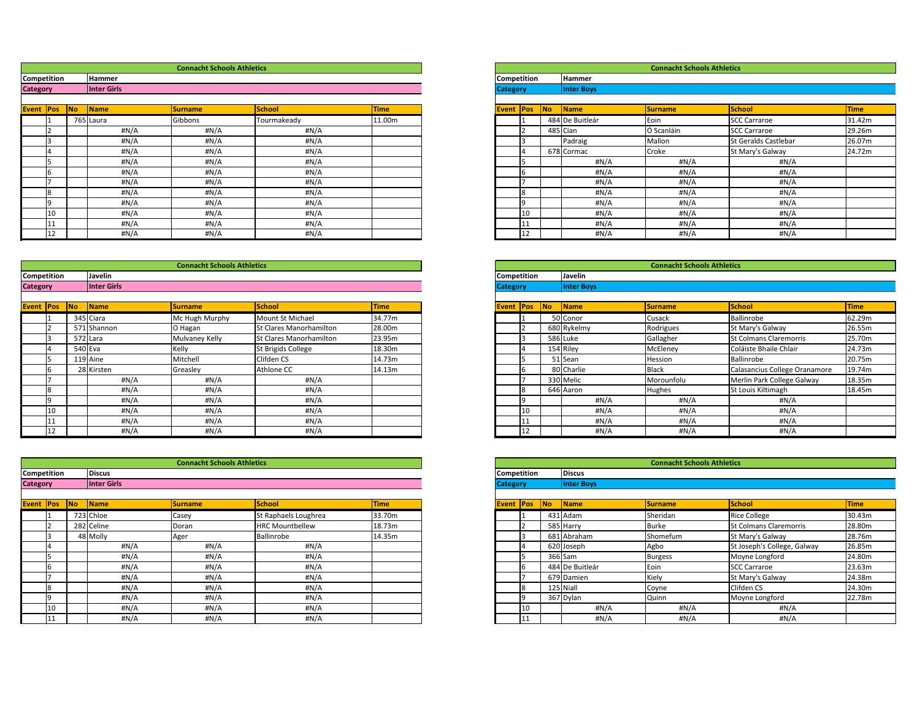|        |           |             | <b>Connacht Schools Athletics</b> |               |             |                    |                          |                           | <b>Connacht Schools Athletics</b> |                      |             |
|--------|-----------|-------------|-----------------------------------|---------------|-------------|--------------------|--------------------------|---------------------------|-----------------------------------|----------------------|-------------|
| tition |           | Hammer      |                                   |               |             | <b>Competition</b> |                          | <b>Hammer</b>             |                                   |                      |             |
|        |           | Inter Girls |                                   |               |             | <b>Category</b>    |                          | <b>Inter Boys</b>         |                                   |                      |             |
|        |           |             |                                   |               |             |                    |                          |                           |                                   |                      |             |
| Pos    | <b>No</b> | Name        | <b>Surname</b>                    | <b>School</b> | <b>Time</b> | Event Pos          | $\overline{\mathsf{No}}$ | $\sqrt{\frac{1}{1}}$ Name | <b>Surname</b>                    | School               | <b>Time</b> |
|        |           | 765 Laura   | Gibbons                           | Tourmakeady   | 11.00m      |                    |                          | 484 De Buitleár           | Eoin                              | SCC Carraroe         | 31.42m      |
|        |           | #N/A        | #N/A                              | #N/A          |             |                    |                          | 485 Cian                  | Ó Scanláin                        | <b>SCC Carraroe</b>  | 29.26m      |
|        |           | #N/A        | #N/A                              | #N/A          |             |                    |                          | Padraig                   | Mallon                            | St Geralds Castlebar | 26.07m      |
|        |           | #N/A        | #N/A                              | #N/A          |             |                    |                          | 678 Cormac                | Croke                             | St Mary's Galway     | 24.72m      |
|        |           | #N/A        | #N/A                              | #N/A          |             |                    |                          | #N/A                      | #N/A                              | #N/A                 |             |
|        |           | #N/A        | #N/A                              | $\sharp N/A$  |             |                    |                          | #N/A                      | #N/A                              | #N/A                 |             |
|        |           | #N/A        | #N/A                              | #N/A          |             |                    |                          | #N/A                      | #N/A                              | #N/A                 |             |
|        |           | #N/A        | #N/A                              | #N/A          |             |                    |                          | #N/A                      | #N/A                              | #N/A                 |             |
|        |           | #N/A        | #N/A                              | #N/A          |             |                    |                          | #N/A                      | #N/A                              | #N/A                 |             |
| 10     |           | #N/A        | #N/A                              | #N/A          |             | 10                 |                          | #N/A                      | #N/A                              | #N/A                 |             |
| 11     |           | #N/A        | #N/A                              | #N/A          |             |                    |                          | #N/A                      | #N/A                              | #N/A                 |             |
| 12     |           | H N/A       | #N/A                              | #N/A          |             | 12                 |                          | #N/A                      | #N/A                              | #N/A                 |             |

|                    |            |           |                   | <b>Connacht Schools Athletics</b> |                               |             |
|--------------------|------------|-----------|-------------------|-----------------------------------|-------------------------------|-------------|
| <b>Competition</b> |            |           | Javelin           |                                   |                               |             |
| <b>Category</b>    |            |           | <b>Inter Boys</b> |                                   |                               |             |
|                    |            |           |                   |                                   |                               |             |
| <b>Event</b>       | <b>Pos</b> | <b>No</b> | <b>Name</b>       | <b>Surname</b>                    | <b>School</b>                 | <b>Time</b> |
|                    |            |           | 50 Conor          | Cusack                            | Ballinrobe                    | 62.29m      |
|                    | 2          |           | 680 Rykelmy       | Rodrigues                         | St Mary's Galway              | 26.55m      |
|                    | 3          |           | 586 Luke          | Gallagher                         | <b>St Colmans Claremorris</b> | 25.70m      |
|                    | 4          |           | 154 Riley         | McEleney                          | Coláiste Bhaile Chlair        | 24.73m      |
|                    | 5          |           | 51 Sean           | Hession                           | <b>Ballinrobe</b>             | 20.75m      |
|                    | 6          |           | 80 Charlie        | <b>Black</b>                      | Calasancius College Oranamore | 19.74m      |
|                    |            |           | 330 Melic         | Morounfolu                        | Merlin Park College Galway    | 18.35m      |
|                    | 8          |           | 646 Aaron         | Hughes                            | St Louis Kiltimagh            | 18.45m      |
|                    | 9          |           | H N/A             | H N/A                             | #N/A                          |             |
|                    | 10         |           | #N/A              | $\sharp N/A$                      | # $N/A$                       |             |
|                    | 11         |           | #N/A              | # $N/A$                           | # $N/A$                       |             |
|                    | 12         |           | #N/A              | #N/A                              | #N/A                          |             |

|                    |     |           |                   | <b>Connacht Schools Athletics</b> |                               |             |
|--------------------|-----|-----------|-------------------|-----------------------------------|-------------------------------|-------------|
| <b>Competition</b> |     |           | <b>Discus</b>     |                                   |                               |             |
| <b>Category</b>    |     |           | <b>Inter Boys</b> |                                   |                               |             |
|                    |     |           |                   |                                   |                               |             |
| Event              | Pos | <b>No</b> | <b>Name</b>       | <b>Surname</b>                    | <b>School</b>                 | <b>Time</b> |
|                    |     |           | 431 Adam          | Sheridan                          | <b>Rice College</b>           | 30.43m      |
|                    | 2   |           | 585 Harry         | <b>Burke</b>                      | <b>St Colmans Claremorris</b> | 28.80m      |
|                    | 3   |           | 681 Abraham       | Shomefum                          | St Mary's Galway              | 28.76m      |
|                    | 14  |           | 620 Joseph        | Agbo                              | St Joseph's College, Galway   | 26.85m      |
|                    | 5   |           | 366 Sam           | <b>Burgess</b>                    | Moyne Longford                | 24.80m      |
|                    | 6   |           | 484 De Buitleár   | Eoin                              | <b>SCC Carraroe</b>           | 23.63m      |
|                    |     |           | 679 Damien        | Kiely                             | St Mary's Galway              | 24.38m      |
|                    | 8   |           | 125 Niall         | Coyne                             | <b>Clifden CS</b>             | 24.30m      |
|                    | 9   |           | 367 Dylan         | Quinn                             | Moyne Longford                | 22.78m      |
|                    | 10  |           | #N/A              | # $N/A$                           | #N/A                          |             |
|                    | 11  |           | #N/A              | #N/A                              | #N/A                          |             |

|                     |    |                        | <b>Connacht Schools Athletics</b> |             |             |                    |                             |                           | <b>Connacht Schools Athletics</b> |                      |      |
|---------------------|----|------------------------|-----------------------------------|-------------|-------------|--------------------|-----------------------------|---------------------------|-----------------------------------|----------------------|------|
| <b>Competition</b>  |    | <b>Hammer</b>          |                                   |             |             | <b>Competition</b> |                             | Hammer                    |                                   |                      |      |
| <b>Category</b>     |    | Inter Girls            |                                   |             |             | <b>Category</b>    |                             | <b>Inter Boys</b>         |                                   |                      |      |
| <b>Event Pos No</b> |    | $\sqrt{\mathsf{Name}}$ | <b>Surname</b>                    | School      | <b>Time</b> | <b>Event Pos</b>   | $\overline{\phantom{a}}$ No | $\sqrt{\frac{1}{1}}$ Name | <b>Surname</b>                    | School               | Time |
|                     |    | 765 Laura              | Gibbons                           | Tourmakeady | 11.00m      |                    |                             | 484 De Buitleár           | Eoin                              | <b>SCC Carraroe</b>  | 31.4 |
|                     |    | #N/A                   | #N/A                              | #N/A        |             |                    |                             | $485$ Cian                | Ó Scanláin                        | <b>SCC Carraroe</b>  | 29.2 |
|                     |    | #N/A                   | #N/A                              | #N/A        |             |                    |                             | Padraig                   | Mallon                            | St Geralds Castlebar | 26.0 |
|                     |    | #N/A                   | #N/A                              | #N/A        |             |                    |                             | 678 Cormac                | Croke                             | St Mary's Galway     | 24.7 |
|                     |    | #N/A                   | #N/A                              | #N/A        |             |                    |                             | #N/A                      | #N/A                              | #N/A                 |      |
|                     |    | #N/A                   | #N/A                              | #N/A        |             |                    |                             | #N/A                      | #N/A                              | #N/A                 |      |
|                     |    | #N/A                   | #N/A                              | #N/A        |             |                    |                             | #N/A                      | #N/A                              | #N/A                 |      |
|                     |    | #N/A                   | #N/A                              | #N/A        |             |                    |                             | #N/A                      | #N/A                              | #N/A                 |      |
|                     |    | #N/A                   | #N/A                              | #N/A        |             |                    |                             | #N/A                      | #N/A                              | #N/A                 |      |
|                     | 10 | #N/A                   | #N/A                              | #N/A        |             | 10                 |                             | #N/A                      | #N/A                              | #N/A                 |      |
|                     |    | #N/A                   | #N/A                              | #N/A        |             |                    |                             | #N/A                      | #N/A                              | #N/A                 |      |
|                     | 12 | #N/A                   | #N/A                              | #N/A        |             | 12                 |                             | #N/A                      | #N/A                              | H N/A                |      |

|                 |                     | <b>Connacht Schools Athletics</b><br>Javelin |                      |                |                                |             |                    |            |                        | <b>Connacht Schools Athletics</b> |                               |  |
|-----------------|---------------------|----------------------------------------------|----------------------|----------------|--------------------------------|-------------|--------------------|------------|------------------------|-----------------------------------|-------------------------------|--|
|                 | <b>Competition</b>  |                                              |                      |                |                                |             | <b>Competition</b> |            | Javelin                |                                   |                               |  |
| <b>Category</b> |                     |                                              | Inter Girls          |                |                                |             | <b>Category</b>    |            | <b>Inter Boys</b>      |                                   |                               |  |
|                 | <b>Event Pos No</b> |                                              | $\sqrt{\frac{1}{2}}$ | <b>Surname</b> | School                         | <b>Time</b> | <b>Event Pos</b>   | $\sqrt{N}$ | $\sqrt{\mathsf{Name}}$ | <b>Surname</b>                    | School                        |  |
|                 |                     |                                              | 345 Ciara            | Mc Hugh Murphy | Mount St Michael               | 34.77m      |                    |            | 50 Conor               | Cusack                            | Ballinrobe                    |  |
|                 |                     |                                              | 571 Shannon          | O Hagan        | <b>St Clares Manorhamilton</b> | 28.00m      |                    |            | 680 Rykelmy            | Rodrigues                         | St Mary's Galway              |  |
|                 |                     |                                              | 572 Lara             | Mulvaney Kelly | <b>St Clares Manorhamilton</b> | 23.95m      |                    |            | 586 Luke               | Gallagher                         | <b>St Colmans Claremorris</b> |  |
|                 |                     |                                              | 540 Eva              | Kelly          | St Brigids College             | 18.30m      |                    |            | 154 Riley              | McEleney                          | Coláiste Bhaile Chlair        |  |
|                 |                     |                                              | $119$ Aine           | Mitchell       | Clifden CS                     | 14.73m      |                    |            | 51 Sean                | Hession                           | Ballinrobe                    |  |
|                 |                     |                                              | 28 Kirsten           | Greasley       | Athlone CC                     | 14.13m      | ın                 |            | 80 Charlie             | <b>Black</b>                      | Calasancius College Oranamore |  |
|                 |                     |                                              | #N/A                 | #N/A           | #N/A                           |             |                    |            | 330 Melic              | Morounfolu                        | Merlin Park College Galway    |  |
|                 |                     |                                              | #N/A                 | #N/A           | #N/A                           |             |                    |            | 646 Aaron              | <b>Hughes</b>                     | <b>St Louis Kiltimagh</b>     |  |
|                 |                     |                                              | #N/A                 | #N/A           | #N/A                           |             |                    |            | #N/A                   | #N/A                              | #N/A                          |  |
|                 | 10                  |                                              | #N/A                 | #N/A           | #N/A                           |             | 10                 |            | #N/A                   | H N/A                             | #N/A                          |  |
|                 |                     |                                              | $\#N/A$              | #N/A           | #N/A                           |             |                    |            | #N/A                   | #N/A                              | # $N/A$                       |  |
|                 | 12                  |                                              | #N/A                 | H N/A          | # $N/A$                        |             | 12                 |            | #N/A                   | #N/A                              | #N/A                          |  |

|                 |                     |                        | <b>Connacht Schools Athletics</b> |                        |             |                 |                    |                          |                        | <b>Connacht Schools Athletics</b> |                               |             |
|-----------------|---------------------|------------------------|-----------------------------------|------------------------|-------------|-----------------|--------------------|--------------------------|------------------------|-----------------------------------|-------------------------------|-------------|
|                 | <b>Competition</b>  | <b>Discus</b>          |                                   |                        |             |                 | <b>Competition</b> |                          | <b>Discus</b>          |                                   |                               |             |
| <b>Category</b> |                     | Inter Girls            |                                   |                        |             | <b>Category</b> |                    |                          | <b>Inter Boys</b>      |                                   |                               |             |
|                 | <b>Event Pos No</b> | $\sqrt{\mathsf{Name}}$ | <b>Surname</b>                    | <b>School</b>          | <b>Time</b> |                 | <b>Event Pos</b>   | $\overline{\mathsf{No}}$ | $\sqrt{\mathsf{Name}}$ | <b>Surname</b>                    | School                        | <b>Time</b> |
|                 |                     | 723 Chloe              | Casey                             | St Raphaels Loughrea   | 33.70m      |                 |                    |                          | 431 Adam               | Sheridan                          | <b>Rice College</b>           | 30.43m      |
|                 |                     | 282 Celine             | Doran                             | <b>HRC Mountbellew</b> | 18.73m      |                 |                    |                          | 585 Harry              | <b>Burke</b>                      | <b>St Colmans Claremorris</b> | 28.80m      |
|                 |                     | 48 Molly               | Ager                              | Ballinrobe             | 14.35m      |                 |                    |                          | 681 Abraham            | Shomefum                          | St Mary's Galway              | 28.76m      |
|                 |                     | $\sharp N/A$           | #N/A                              | #N/A                   |             |                 |                    |                          | 620 Joseph             | Agbo                              | St Joseph's College, Galway   | 26.85m      |
|                 |                     | #N/A                   | #N/A                              | $\sharp N/A$           |             |                 |                    |                          | $366$ Sam              | <b>Burgess</b>                    | Moyne Longford                | 24.80m      |
|                 |                     | $\sharp N/A$           | #N/A                              | #N/A                   |             |                 |                    |                          | 484 De Buitleár        | Eoin                              | <b>SCC Carraroe</b>           | 23.63m      |
|                 |                     | #N/A                   | #N/A                              | #N/A                   |             |                 |                    |                          | 679 Damien             | Kiely                             | St Mary's Galway              | 24.38m      |
|                 |                     | $\sharp N/A$           | #N/A                              | #N/A                   |             |                 | 18                 |                          | 125 Niall              | Coyne                             | Clifden CS                    | 24.30m      |
|                 |                     | #N/A                   | #N/A                              | #N/A                   |             |                 |                    |                          | 367 Dylan              | <b>Quinn</b>                      | Moyne Longford                | 22.78m      |
|                 | 10                  | $\sharp N/A$           | #N/A                              | #N/A                   |             |                 | 10                 |                          | #N/A                   | #N/A                              | #N/A                          |             |
|                 |                     | #N/A                   | #N/A                              | #N/A                   |             |                 |                    |                          | #N/A                   | #N/A                              | #N/A                          |             |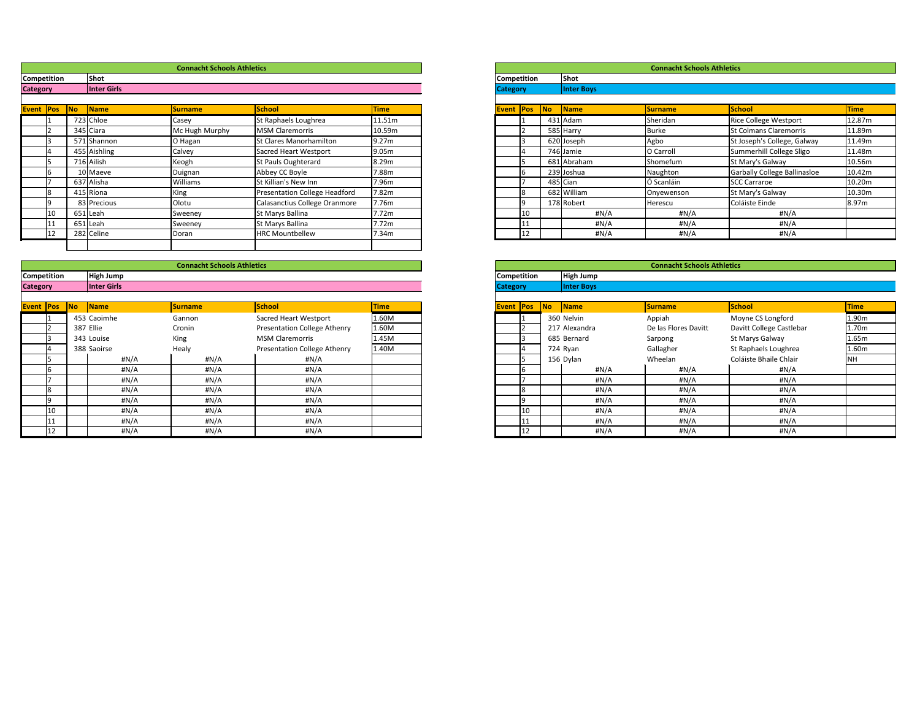|                 |                    |                      | <b>Connacht Schools Athletics</b> |                                      |             |                 |                    |           |                   | <b>Connacht Schools Athletics</b> |                              |             |
|-----------------|--------------------|----------------------|-----------------------------------|--------------------------------------|-------------|-----------------|--------------------|-----------|-------------------|-----------------------------------|------------------------------|-------------|
|                 | <b>Competition</b> | Shot                 |                                   |                                      |             |                 | <b>Competition</b> |           | <b>Shot</b>       |                                   |                              |             |
| <b>Category</b> |                    | Inter Girls          |                                   |                                      |             | <b>Category</b> |                    |           | <b>Inter Boys</b> |                                   |                              |             |
|                 | Event   Pos   No   | $\sqrt{\frac{1}{1}}$ | <b>Surname</b>                    | <b>School</b>                        | <b>Time</b> |                 | <b>Event Pos</b>   | <b>No</b> | <b>Name</b>       | <b>Surname</b>                    | School                       | <b>Time</b> |
|                 |                    | 723 Chloe            | Casey                             | St Raphaels Loughrea                 | 11.51m      |                 |                    |           | 431 Adam          | Sheridan                          | <b>Rice College Westport</b> | 12.87m      |
|                 |                    | 345 Ciara            | Mc Hugh Murphy                    | <b>MSM Claremorris</b>               | 10.59m      |                 |                    |           | 585 Harry         | <b>Burke</b>                      | St Colmans Claremorris       | 11.89m      |
|                 |                    | 571 Shannon          | O Hagan                           | St Clares Manorhamilton              | 9.27m       |                 |                    |           | 620 Joseph        | Agbo                              | St Joseph's College, Galway  | 11.49m      |
|                 |                    | 455 Aishling         | Calvey                            | Sacred Heart Westport                | 9.05m       |                 |                    |           | 746 Jamie         | O Carroll                         | Summerhill College Sligo     | 11.48m      |
|                 |                    | 716 Ailish           | Keogh                             | St Pauls Oughterard                  | 8.29m       |                 |                    |           | 681 Abraham       | Shomefum                          | St Mary's Galway             | 10.56m      |
|                 |                    | 10 Maeve             | Duignan                           | Abbey CC Boyle                       | 7.88m       |                 |                    |           | 239 Joshua        | Naughton                          | Garbally College Ballinasloe | 10.42m      |
|                 |                    | 637 Alisha           | Williams                          | St Killian's New Inn                 | 7.96m       |                 |                    |           | 485 Cian          | Ó Scanláin                        | <b>SCC Carraroe</b>          | 10.20m      |
|                 |                    | 415 Ríona            | King                              | <b>Presentation College Headford</b> | 7.82m       |                 |                    |           | 682 William       | Onyewenson                        | St Mary's Galway             | 10.30m      |
|                 |                    | 83 Precious          | Olotu                             | Calasanctius College Oranmore        | 7.76m       |                 |                    |           | 178 Robert        | Herescu                           | Coláiste Einde               | 8.97m       |
|                 |                    | 651 Leah             | Sweeney                           | St Marys Ballina                     | 7.72m       |                 | 10                 |           | #N/A              | #N/A                              | #N/A                         |             |
|                 |                    | 651 Leah             | Sweeney                           | St Marys Ballina                     | 7.72m       |                 |                    |           | #N/A              | #N/A                              | #N/A                         |             |
|                 |                    | 282 Celine           | Doran                             | <b>HRC Mountbellew</b>               | 7.34m       |                 | 12                 |           | #N/A              | #N/A                              | #N/A                         |             |
|                 |                    |                      |                                   |                                      |             |                 |                    |           |                   |                                   |                              |             |

|                 |            |                                                   |                   | <b>Connacht Schools Athletics</b> |                                     |             |
|-----------------|------------|---------------------------------------------------|-------------------|-----------------------------------|-------------------------------------|-------------|
| Competition     |            |                                                   | <b>Shot</b>       |                                   |                                     |             |
| <b>Category</b> |            |                                                   | <b>Inter Boys</b> |                                   |                                     |             |
|                 |            |                                                   |                   |                                   |                                     |             |
| <b>Event</b>    | <b>Pos</b> | <b>No</b>                                         | <b>Name</b>       | <b>Surname</b>                    | <b>School</b>                       | <b>Time</b> |
|                 |            |                                                   | 431 Adam          | Sheridan                          | <b>Rice College Westport</b>        | 12.87m      |
|                 |            |                                                   | 585 Harry         | <b>Burke</b>                      | <b>St Colmans Claremorris</b>       | 11.89m      |
|                 | 3          | 620 Joseph<br>St Joseph's College, Galway<br>Agbo |                   |                                   |                                     | 11.49m      |
|                 | 4          |                                                   | 746 Jamie         | O Carroll                         | Summerhill College Sligo            | 11.48m      |
|                 | 5          |                                                   | 681 Abraham       | Shomefum                          | St Mary's Galway                    | 10.56m      |
|                 | 6          |                                                   | 239 Joshua        | Naughton                          | <b>Garbally College Ballinasloe</b> | 10.42m      |
|                 |            |                                                   | $485$ Cian        | Ó Scanláin                        | <b>SCC Carraroe</b>                 | 10.20m      |
|                 | 8          |                                                   | 682 William       | Onyewenson                        | St Mary's Galway                    | 10.30m      |
|                 | 9          |                                                   | 178 Robert        | Herescu                           | Coláiste Einde                      | 8.97m       |
|                 | 10         |                                                   | $\sharp N/A$      | # $N/A$                           | #N/A                                |             |
|                 | 11         |                                                   | $\sharp N/A$      | H N/A                             | # $N/A$                             |             |
|                 | 12         |                                                   | #N/A              | #N/A                              | #N/A                                |             |

|                  |           |                        | <b>Connacht Schools Athletics</b> |                                     |             |                             |      |                           | <b>Connacht Schools Athletics</b> |                          |                   |
|------------------|-----------|------------------------|-----------------------------------|-------------------------------------|-------------|-----------------------------|------|---------------------------|-----------------------------------|--------------------------|-------------------|
| Competition      |           | High Jump              |                                   |                                     |             | <b>Competition</b>          |      | <b>High Jump</b>          |                                   |                          |                   |
| <b>Category</b>  |           | Inter Girls            |                                   |                                     |             | <b>Category</b>             |      | <b>Inter Boys</b>         |                                   |                          |                   |
|                  |           |                        |                                   |                                     |             |                             |      |                           |                                   |                          |                   |
| <b>Event Pos</b> | <b>No</b> | $\sqrt{\mathsf{Name}}$ | <b>Surname</b>                    | School                              | <b>Time</b> | <b>Event</b><br><b>IPos</b> | No l | $\sqrt{\frac{1}{1}}$ Name | <b>Surname</b>                    | <b>School</b>            | <b>Time</b>       |
|                  |           | 453 Caoimhe            | Gannon                            | <b>Sacred Heart Westport</b>        | 1.60M       |                             |      | 360 Nelvin                | Appiah                            | Moyne CS Longford        | 1.90m             |
|                  |           | 387 Ellie              | Cronin                            | <b>Presentation College Athenry</b> | 1.60M       |                             |      | 217 Alexandra             | De las Flores Davitt              | Davitt College Castlebar | 1.70 <sub>m</sub> |
|                  |           | 343 Louise             | King                              | <b>MSM Claremorris</b>              | 1.45M       |                             |      | 685 Bernard               | Sarpong                           | St Marys Galway          | 1.65m             |
|                  |           | 388 Saoirse            | Healy                             | Presentation College Athenry        | 1.40M       |                             |      | 724 Ryan                  | Gallagher                         | St Raphaels Loughrea     | 1.60m             |
|                  |           | #N/A                   | #N/A                              | #N/A                                |             |                             |      | 156 Dylan                 | Wheelan                           | Coláiste Bhaile Chlair   | <b>NH</b>         |
|                  |           | #N/A                   | #N/A                              | #N/A                                |             |                             |      | #N/A                      | #N/A                              | #N/A                     |                   |
|                  |           | #N/A                   | #N/A                              | #N/A                                |             |                             |      | #N/A                      | #N/A                              | #N/A                     |                   |
|                  |           | #N/A                   | #N/A                              | #N/A                                |             |                             |      | #N/A                      | #N/A                              | #N/A                     |                   |
|                  |           | $\#N/A$                | #N/A                              | #N/A                                |             |                             |      | #N/A                      | #N/A                              | #N/A                     |                   |
| 10               |           | #N/A                   | H N/A                             | #N/A                                |             | 10                          |      | #N/A                      | #N/A                              | #N/A                     |                   |
|                  |           | #N/A                   | #N/A                              | #N/A                                |             |                             |      | #N/A                      | #N/A                              | #N/A                     |                   |
|                  |           | $\#N/A$                | H N/A                             | #N/A                                |             | 12                          |      | #N/A                      | #N/A                              | #N/A                     |                   |

|                 |            |           |                   | <b>Connacht Schools Athletics</b> |                          |             |
|-----------------|------------|-----------|-------------------|-----------------------------------|--------------------------|-------------|
| Competition     |            |           | <b>High Jump</b>  |                                   |                          |             |
| <b>Category</b> |            |           | <b>Inter Boys</b> |                                   |                          |             |
|                 |            |           |                   |                                   |                          |             |
| <b>Event</b>    | <b>Pos</b> | <b>No</b> | <b>Name</b>       | <b>Surname</b>                    | <b>School</b>            | <b>Time</b> |
|                 | 1          |           | 360 Nelvin        | Appiah                            | Moyne CS Longford        | 1.90m       |
|                 |            |           | 217 Alexandra     | De las Flores Davitt              | Davitt College Castlebar | 1.70m       |
|                 | 3          |           | 685 Bernard       | Sarpong                           | St Marys Galway          | 1.65m       |
|                 | 4          |           | 724 Ryan          | Gallagher                         | St Raphaels Loughrea     | 1.60m       |
|                 | 5          |           | 156 Dylan         | Wheelan                           | Coláiste Bhaile Chlair   | <b>NH</b>   |
|                 | 6          |           | #N/A              | #N/A                              | #N/A                     |             |
|                 | 7          |           | #N/A              | #N/A                              | #N/A                     |             |
|                 | 8          |           | $\sharp N/A$      | #N/A                              | $\sharp N/A$             |             |
|                 | 9          |           | #N/A              | $\sharp N/A$                      | $\sharp N/A$             |             |
|                 | 10         |           | #N/A              | #N/A                              | #N/A                     |             |
|                 | 11         |           | $\sharp N/A$      | $\sharp N/A$                      | $\sharp N/A$             |             |
|                 | 12         |           | #N/A              | #N/A                              | H N/A                    |             |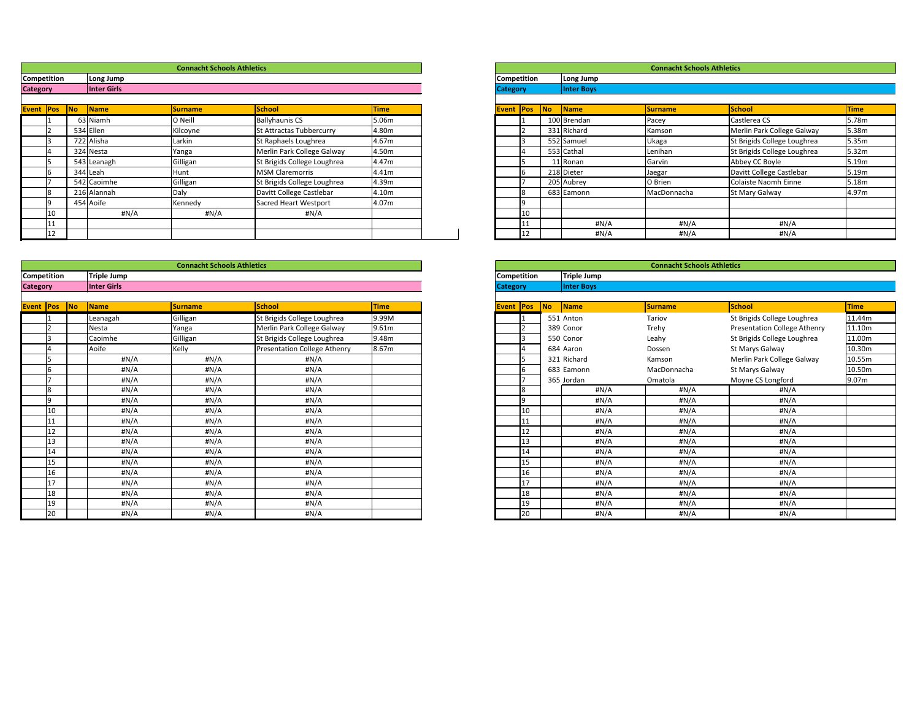|                 |             |                           | <b>Connacht Schools Athletics</b> |                             |             |                    |    |    |                        | <b>Connacht Schools Athletics</b> |                             |                   |
|-----------------|-------------|---------------------------|-----------------------------------|-----------------------------|-------------|--------------------|----|----|------------------------|-----------------------------------|-----------------------------|-------------------|
|                 | Competition | Long Jump                 |                                   |                             |             | <b>Competition</b> |    |    | Long Jump              |                                   |                             |                   |
| <b>Category</b> |             | Inter Girls               |                                   |                             |             | <b>Category</b>    |    |    | <b>Inter Boys</b>      |                                   |                             |                   |
|                 |             |                           |                                   |                             |             |                    |    |    |                        |                                   |                             |                   |
| Event Pos No    |             | $\sqrt{\frac{1}{1}}$ Name | <b>Surname</b>                    | School                      | <b>Time</b> | <b>Event Pos</b>   |    | No | $\sqrt{\mathsf{Name}}$ | <b>Surname</b>                    | <b>School</b>               | <b>Time</b>       |
|                 |             | 63 Niamh                  | O Neill                           | <b>Ballyhaunis CS</b>       | 5.06m       |                    |    |    | 100 Brendan            | Pacey                             | Castlerea CS                | 5.78m             |
|                 |             | 534 Ellen                 | Kilcoyne                          | St Attractas Tubbercurry    | 4.80m       |                    |    |    | 331 Richard            | Kamson                            | Merlin Park College Galway  | 5.38m             |
|                 |             | 722 Alisha                | Larkin                            | St Raphaels Loughrea        | 4.67m       |                    |    |    | 552 Samuel             | Ukaga                             | St Brigids College Loughrea | 5.35m             |
|                 |             | 324 Nesta                 | Yanga                             | Merlin Park College Galway  | 4.50m       |                    |    |    | 553 Cathal             | Lenihan                           | St Brigids College Loughrea | 5.32 <sub>m</sub> |
|                 |             | 543 Leanagh               | Gilligan                          | St Brigids College Loughrea | 4.47m       |                    |    |    | 11 Ronan               | Garvin                            | Abbey CC Boyle              | 5.19 <sub>m</sub> |
|                 |             | 344 Leah                  | Hunt                              | <b>MSM Claremorris</b>      | 4.41m       |                    |    |    | 218 Dieter             | Jaegar                            | Davitt College Castlebar    | 5.19 <sub>m</sub> |
|                 |             | 542 Caoimhe               | Gilligan                          | St Brigids College Loughrea | 4.39m       |                    |    |    | 205 Aubrey             | O Brien                           | Colaiste Naomh Einne        | 5.18m             |
|                 |             | 216 Alannah               | Daly                              | Davitt College Castlebar    | 4.10m       |                    |    |    | 683 Eamonn             | MacDonnacha                       | <b>St Mary Galway</b>       | 4.97m             |
|                 |             | 454 Aoife                 | Kennedy                           | Sacred Heart Westport       | 4.07m       |                    |    |    |                        |                                   |                             |                   |
|                 |             | #N/A                      | #N/A                              | #N/A                        |             |                    | 10 |    |                        |                                   |                             |                   |
|                 |             |                           |                                   |                             |             |                    |    |    | #N/A                   | #N/A                              | #N/A                        |                   |
|                 |             |                           |                                   |                             |             |                    |    |    | #N/A                   | #N/A                              | #N/A                        |                   |

|                    |     |           |                   | <b>Connacht Schools Athletics</b> |                             |             |
|--------------------|-----|-----------|-------------------|-----------------------------------|-----------------------------|-------------|
| <b>Competition</b> |     |           | Long Jump         |                                   |                             |             |
| <b>Category</b>    |     |           | <b>Inter Boys</b> |                                   |                             |             |
|                    |     |           |                   |                                   |                             |             |
| Event              | Pos | <b>No</b> | <b>Name</b>       | <b>Surname</b>                    | <b>School</b>               | <b>Time</b> |
|                    |     |           | 100 Brendan       | Pacey                             | Castlerea CS                | 5.78m       |
|                    | 2   |           | 331 Richard       | Kamson                            | Merlin Park College Galway  | 5.38m       |
|                    | 3   |           | 552 Samuel        | Ukaga                             | St Brigids College Loughrea | 5.35m       |
|                    | 4   |           | 553 Cathal        | Lenihan                           | St Brigids College Loughrea | 5.32m       |
|                    | 5   |           | 11 Ronan          | Garvin                            | Abbey CC Boyle              | 5.19m       |
|                    | 6   |           | 218 Dieter        | Jaegar                            | Davitt College Castlebar    | 5.19m       |
|                    |     |           | 205 Aubrey        | O Brien                           | <b>Colaiste Naomh Einne</b> | 5.18m       |
|                    | 8   |           | 683 Eamonn        | MacDonnacha                       | St Mary Galway              | 4.97m       |
|                    | 9   |           |                   |                                   |                             |             |
|                    | 10  |           |                   |                                   |                             |             |
|                    | 11  |           | #N/A              | #N/A                              | #N/A                        |             |
|                    | 12  |           | #N/A              | #N/A                              | #N/A                        |             |

|                  |                |                          |                    | <b>Connacht Schools Athletics</b> |                                     |             |                    |           |                   | <b>Connacht Schools Athletics</b> |                                     |             |
|------------------|----------------|--------------------------|--------------------|-----------------------------------|-------------------------------------|-------------|--------------------|-----------|-------------------|-----------------------------------|-------------------------------------|-------------|
| Competition      |                |                          | <b>Triple Jump</b> |                                   |                                     |             | <b>Competition</b> |           | Triple Jump       |                                   |                                     |             |
| <b>Category</b>  |                |                          | Inter Girls        |                                   |                                     |             | <b>Category</b>    |           | <b>Inter Boys</b> |                                   |                                     |             |
|                  |                |                          |                    |                                   |                                     |             |                    |           |                   |                                   |                                     |             |
| <b>Event Pos</b> |                | $\overline{\mathsf{No}}$ | Name               | Surname                           | School                              | <b>Time</b> | <b>Event Pos</b>   | <b>No</b> | Name              | <b>Surname</b>                    | School                              | <b>Time</b> |
|                  |                |                          | Leanagah           | Gilligan                          | St Brigids College Loughrea         | 9.99M       |                    |           | 551 Anton         | Tariov                            | St Brigids College Loughrea         | 11.44m      |
|                  | 2              |                          | Nesta              | Yanga                             | Merlin Park College Galway          | 9.61m       |                    |           | 389 Conor         | Trehy                             | <b>Presentation College Athenry</b> | 11.10m      |
|                  | l3             |                          | Caoimhe            | Gilligan                          | St Brigids College Loughrea         | 9.48m       | 3                  |           | 550 Conor         | Leahy                             | St Brigids College Loughrea         | 11.00m      |
|                  | $\overline{4}$ |                          | Aoife              | Kelly                             | <b>Presentation College Athenry</b> | 8.67m       |                    |           | 684 Aaron         | Dossen                            | St Marys Galway                     | 10.30m      |
|                  | I5             |                          | $\sharp N/A$       | #N/A                              | #N/A                                |             | 15                 |           | 321 Richard       | Kamson                            | Merlin Park College Galway          | 10.55m      |
|                  | l6             |                          | #N/A               | H N/A                             | #N/A                                |             | 6                  |           | 683 Eamonn        | MacDonnacha                       | St Marys Galway                     | 10.50m      |
|                  | דו             |                          | #N/A               | H N/A                             | #N/A                                |             |                    |           | 365 Jordan        | Omatola                           | Moyne CS Longford                   | 9.07m       |
|                  | l8             |                          | #N/A               | H N/A                             | #N/A                                |             | 8                  |           | #N/A              | #N/A                              | #N/A                                |             |
|                  | وا             |                          | #N/A               | H N/A                             | $\sharp N/A$                        |             | ۱q                 |           | #N/A              | #N/A                              | #N/A                                |             |
|                  | 10             |                          | #N/A               | H N/A                             | #N/A                                |             | 10                 |           | $\sharp N/A$      | #N/A                              | #N/A                                |             |
|                  | 11             |                          | #N/A               | H N/A                             | $\sharp N/A$                        |             | 11                 |           | $\sharp N/A$      | #N/A                              | #N/A                                |             |
|                  | 12             |                          | #N/A               | H N/A                             | $\sharp N/A$                        |             | 12                 |           | $\sharp N/A$      | #N/A                              | #N/A                                |             |
|                  | 13             |                          | #N/A               | H N/A                             | $\sharp N/A$                        |             | 13                 |           | $\sharp N/A$      | #N/A                              | $\sharp N/A$                        |             |
|                  | 14             |                          | #N/A               | H N/A                             | #N/A                                |             | 14                 |           | #N/A              | $\#N/A$                           | #N/A                                |             |
|                  | 15             |                          | #N/A               | #N/A                              | $\sharp N/A$                        |             | 15                 |           | $\sharp N/A$      | #N/A                              | #N/A                                |             |
|                  | 16             |                          | #N/A               | H N/A                             | #N/A                                |             | 16                 |           | #N/A              | $\#N/A$                           | #N/A                                |             |
|                  | 17             |                          | #N/A               | H N/A                             | $\sharp N/A$                        |             | 17                 |           | #N/A              | #N/A                              | #N/A                                |             |
|                  | 18             |                          | #N/A               | #N/A                              | #N/A                                |             | 18                 |           | #N/A              | #N/A                              | #N/A                                |             |
|                  | 19             |                          | #N/A               | $\sharp N/A$                      | #N/A                                |             | 19                 |           | #N/A              | #N/A                              | #N/A                                |             |
|                  | 20             |                          | #N/A               | #N/A                              | #N/A                                |             | 20                 |           | H N/A             | #N/A                              | # $N/A$                             |             |

|                 | <b>Connacht Schools Athletics</b><br><b>Competition</b><br><b>Triple Jump</b><br><b>Inter Boys</b><br><b>School</b><br>Pos<br><b>No</b><br><b>Time</b><br><b>Name</b><br><b>Surname</b><br>551 Anton<br><b>Tariov</b><br>St Brigids College Loughrea<br>11.44m<br>1<br><b>Presentation College Athenry</b><br>2<br>389 Conor<br>Trehy<br>11.10m<br>3<br>St Brigids College Loughrea<br>11.00m<br>550 Conor<br>Leahy<br>10.30m<br>4<br>684 Aaron<br>St Marys Galway<br>Dossen<br>5<br>321 Richard<br>Merlin Park College Galway<br>10.55m<br>Kamson<br>6<br>10.50m<br>683 Eamonn<br>MacDonnacha<br>St Marys Galway<br>7<br>365 Jordan<br>Moyne CS Longford<br>9.07m<br>Omatola<br>$\overline{8}$<br>#N/A<br>H N/A<br>#N/A<br>9<br>$\sharp N/A$<br>#N/A<br>H N/A<br>10<br>#N/A<br>#N/A<br>H N/A<br>11<br>#N/A<br>#N/A<br>H N/A<br>12<br>#N/A<br>#N/A<br>#N/A |  |      |      |       |  |  |  |  |  |
|-----------------|------------------------------------------------------------------------------------------------------------------------------------------------------------------------------------------------------------------------------------------------------------------------------------------------------------------------------------------------------------------------------------------------------------------------------------------------------------------------------------------------------------------------------------------------------------------------------------------------------------------------------------------------------------------------------------------------------------------------------------------------------------------------------------------------------------------------------------------------------------|--|------|------|-------|--|--|--|--|--|
|                 |                                                                                                                                                                                                                                                                                                                                                                                                                                                                                                                                                                                                                                                                                                                                                                                                                                                            |  |      |      |       |  |  |  |  |  |
| <b>Category</b> |                                                                                                                                                                                                                                                                                                                                                                                                                                                                                                                                                                                                                                                                                                                                                                                                                                                            |  |      |      |       |  |  |  |  |  |
|                 |                                                                                                                                                                                                                                                                                                                                                                                                                                                                                                                                                                                                                                                                                                                                                                                                                                                            |  |      |      |       |  |  |  |  |  |
| <b>Event</b>    |                                                                                                                                                                                                                                                                                                                                                                                                                                                                                                                                                                                                                                                                                                                                                                                                                                                            |  |      |      |       |  |  |  |  |  |
|                 |                                                                                                                                                                                                                                                                                                                                                                                                                                                                                                                                                                                                                                                                                                                                                                                                                                                            |  |      |      |       |  |  |  |  |  |
|                 |                                                                                                                                                                                                                                                                                                                                                                                                                                                                                                                                                                                                                                                                                                                                                                                                                                                            |  |      |      |       |  |  |  |  |  |
|                 |                                                                                                                                                                                                                                                                                                                                                                                                                                                                                                                                                                                                                                                                                                                                                                                                                                                            |  |      |      |       |  |  |  |  |  |
|                 |                                                                                                                                                                                                                                                                                                                                                                                                                                                                                                                                                                                                                                                                                                                                                                                                                                                            |  |      |      |       |  |  |  |  |  |
|                 |                                                                                                                                                                                                                                                                                                                                                                                                                                                                                                                                                                                                                                                                                                                                                                                                                                                            |  |      |      |       |  |  |  |  |  |
|                 |                                                                                                                                                                                                                                                                                                                                                                                                                                                                                                                                                                                                                                                                                                                                                                                                                                                            |  |      |      |       |  |  |  |  |  |
|                 |                                                                                                                                                                                                                                                                                                                                                                                                                                                                                                                                                                                                                                                                                                                                                                                                                                                            |  |      |      |       |  |  |  |  |  |
|                 |                                                                                                                                                                                                                                                                                                                                                                                                                                                                                                                                                                                                                                                                                                                                                                                                                                                            |  |      |      |       |  |  |  |  |  |
|                 |                                                                                                                                                                                                                                                                                                                                                                                                                                                                                                                                                                                                                                                                                                                                                                                                                                                            |  |      |      |       |  |  |  |  |  |
|                 |                                                                                                                                                                                                                                                                                                                                                                                                                                                                                                                                                                                                                                                                                                                                                                                                                                                            |  |      |      |       |  |  |  |  |  |
|                 |                                                                                                                                                                                                                                                                                                                                                                                                                                                                                                                                                                                                                                                                                                                                                                                                                                                            |  |      |      |       |  |  |  |  |  |
|                 |                                                                                                                                                                                                                                                                                                                                                                                                                                                                                                                                                                                                                                                                                                                                                                                                                                                            |  |      |      |       |  |  |  |  |  |
|                 | 13                                                                                                                                                                                                                                                                                                                                                                                                                                                                                                                                                                                                                                                                                                                                                                                                                                                         |  | #N/A | #N/A | #N/A  |  |  |  |  |  |
|                 | 14                                                                                                                                                                                                                                                                                                                                                                                                                                                                                                                                                                                                                                                                                                                                                                                                                                                         |  | #N/A | #N/A | H N/A |  |  |  |  |  |
|                 | 15                                                                                                                                                                                                                                                                                                                                                                                                                                                                                                                                                                                                                                                                                                                                                                                                                                                         |  | #N/A | #N/A | #N/A  |  |  |  |  |  |
|                 | 16                                                                                                                                                                                                                                                                                                                                                                                                                                                                                                                                                                                                                                                                                                                                                                                                                                                         |  | #N/A | #N/A | #N/A  |  |  |  |  |  |
|                 | 17                                                                                                                                                                                                                                                                                                                                                                                                                                                                                                                                                                                                                                                                                                                                                                                                                                                         |  | #N/A | #N/A | #N/A  |  |  |  |  |  |
|                 | 18                                                                                                                                                                                                                                                                                                                                                                                                                                                                                                                                                                                                                                                                                                                                                                                                                                                         |  | #N/A | #N/A | #N/A  |  |  |  |  |  |
|                 | 19                                                                                                                                                                                                                                                                                                                                                                                                                                                                                                                                                                                                                                                                                                                                                                                                                                                         |  | #N/A | #N/A | #N/A  |  |  |  |  |  |
|                 | 20                                                                                                                                                                                                                                                                                                                                                                                                                                                                                                                                                                                                                                                                                                                                                                                                                                                         |  | #N/A | #N/A | #N/A  |  |  |  |  |  |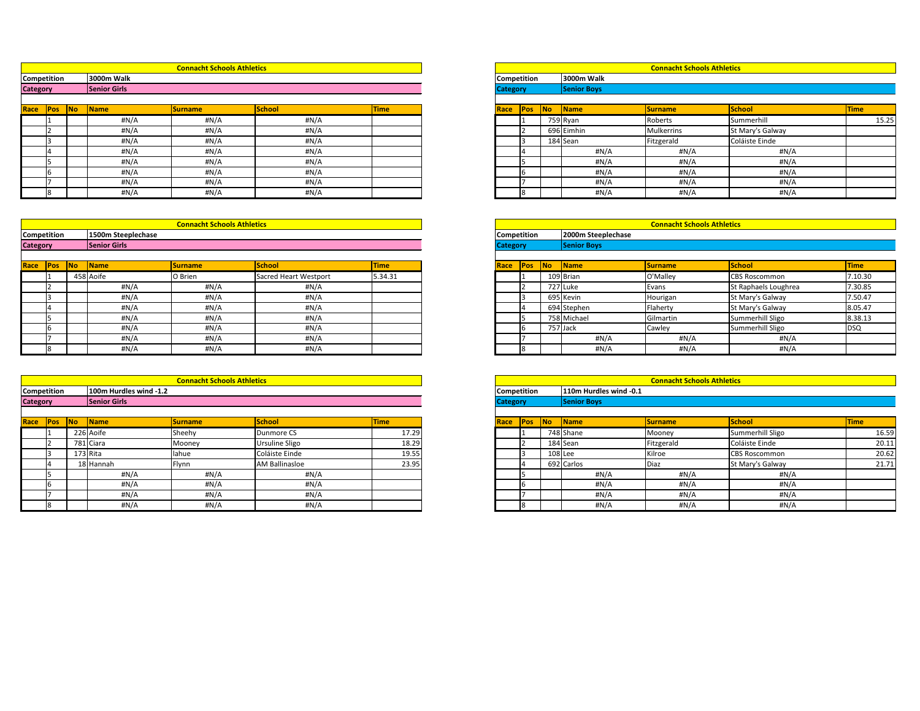|        |    |              | <b>Connacht Schools Athletics</b> |               |             |                 |             |    |                    | <b>Connacht Schools Athletics</b> |                  |             |
|--------|----|--------------|-----------------------------------|---------------|-------------|-----------------|-------------|----|--------------------|-----------------------------------|------------------|-------------|
| tition |    | 3000m Walk   |                                   |               |             |                 | Competition |    | 3000m Walk         |                                   |                  |             |
|        |    | Senior Girls |                                   |               |             | <b>Category</b> |             |    | <b>Senior Boys</b> |                                   |                  |             |
|        |    |              |                                   |               |             |                 |             |    |                    |                                   |                  |             |
| Pos    | No | Name         | Surname                           | <b>School</b> | <b>Time</b> | <b>Race</b>     | <b>Pos</b>  | No | Name               | <b>Surname</b>                    | School           | <b>Time</b> |
|        |    | #N/A         | #N/A                              | #N/A          |             |                 |             |    | 759 Ryan           | Roberts                           | Summerhill       | 15.25       |
|        |    | $\sharp N/A$ | #N/A                              | #N/A          |             |                 |             |    | 696 Eimhin         | Mulkerrins                        | St Mary's Galway |             |
|        |    | #N/A         | #N/A                              | #N/A          |             |                 |             |    | 184 Sean           | Fitzgerald                        | Coláiste Einde   |             |
|        |    | $\sharp N/A$ | #N/A                              | #N/A          |             |                 |             |    | #N/A               | H N/A                             | #N/A             |             |
|        |    | #N/A         | #N/A                              | #N/A          |             |                 |             |    | #N/A               | #N/A                              | #N/A             |             |
|        |    | #N/A         | #N/A                              | #N/A          |             |                 |             |    | #N/A               | #N/A                              | #N/A             |             |
|        |    | #N/A         | #N/A                              | #N/A          |             |                 |             |    | #N/A               | #N/A                              | #N/A             |             |
|        |    | $\sharp N/A$ | #N/A                              | #N/A          |             |                 | 18          |    | #N/A               | #N/A                              | #N/A             |             |

|            |           |                     |             |                       |            |                    |             | <b>Connacht Schools Athletics</b> |                    |             |                      |         |
|------------|-----------|---------------------|-------------|-----------------------|------------|--------------------|-------------|-----------------------------------|--------------------|-------------|----------------------|---------|
| tition     |           | 1500m Steeplechase  |             |                       |            | <b>Competition</b> |             |                                   | 2000m Steeplechase |             |                      |         |
|            |           | <b>Senior Girls</b> |             |                       |            | <b>Category</b>    |             |                                   | <b>Senior Boys</b> |             |                      |         |
|            |           |                     |             |                       |            |                    |             |                                   |                    |             |                      |         |
| <b>POS</b> | <b>No</b> | <b>Name</b>         | <b>Time</b> | <b>Race</b>           | <b>Pos</b> | No                 | <b>Name</b> | <b>Surname</b>                    | School             | <b>Time</b> |                      |         |
|            |           | 458 Aoife           | O Brien     | Sacred Heart Westport | 5.34.31    |                    |             |                                   | 109 Brian          | O'Malley    | <b>CBS Roscommon</b> | 7.10.30 |
|            |           | H N/A               | #N/A        | #N/A                  |            |                    |             |                                   | 727 Luke           | Evans       | St Raphaels Loughrea | 7.30.85 |
|            |           | H N/A               | #N/A        | #N/A                  |            |                    |             |                                   | 695 Kevin          | Hourigan    | St Mary's Galway     | 7.50.47 |
|            |           | #N/A                | #N/A        | H N/A                 |            |                    |             |                                   | 694 Stephen        | Flaherty    | St Mary's Galway     | 8.05.47 |
|            |           | H N/A               | #N/A        | H N/A                 |            |                    |             |                                   | 758 Michael        | Gilmartin   | Summerhill Sligo     | 8.38.13 |
|            |           | #N/A                | #N/A        | #N/A                  |            |                    |             | 757 Jack                          |                    | Cawley      | Summerhill Sligo     | DSQ     |
|            |           | H N/A               | #N/A        | #N/A                  |            |                    |             |                                   | #N/A               | #N/A        | #N/A                 |         |
|            |           | H N/A               | #N/A        | H N/A                 |            |                    |             |                                   | #N/A               | H N/A       | # $N/A$              |         |

|                 |           |                     | <b>Connacht Schools Athletics</b> |        |             |                 |             |    |                           | <b>Connacht Schools Athletics</b> |                  |      |
|-----------------|-----------|---------------------|-----------------------------------|--------|-------------|-----------------|-------------|----|---------------------------|-----------------------------------|------------------|------|
| Competition     |           | 3000m Walk          |                                   |        |             |                 | Competition |    | 3000m Walk                |                                   |                  |      |
| <b>Category</b> |           | <b>Senior Girls</b> |                                   |        |             | <b>Category</b> |             |    | <b>Senior Boys</b>        |                                   |                  |      |
|                 |           |                     |                                   |        |             |                 |             |    |                           |                                   |                  |      |
| Race <b>Pos</b> | <b>No</b> | Name                | <b>Surname</b>                    | School | <b>Time</b> | Race            | Pos         | No | $\sqrt{\frac{1}{1}}$ Name | <b>Surname</b>                    | School           | Time |
|                 |           | $\sharp N/A$        | H N/A                             | #N/A   |             |                 |             |    | 759 Ryan                  | Roberts                           | Summerhill       |      |
|                 |           | $\sharp N/A$        | H N/A                             | #N/A   |             |                 |             |    | 696 Eimhin                | Mulkerrins                        | St Mary's Galway |      |
|                 |           | $\sharp N/A$        | H N/A                             | #N/A   |             |                 |             |    | 184 Sean                  | Fitzgerald                        | Coláiste Einde   |      |
|                 |           | #N/A                | H N/A                             | #N/A   |             |                 |             |    | #N/A                      | #N/A                              | #N/A             |      |
|                 |           | #N/A                | H N/A                             | #N/A   |             |                 |             |    | H N/A                     | #N/A                              | H N/A            |      |
|                 |           | $\#N/A$             | H N/A                             | #N/A   |             |                 |             |    | #N/A                      | #N/A                              | H N/A            |      |
|                 |           | $\sharp N/A$        | H N/A                             | #N/A   |             |                 |             |    | #N/A                      | #N/A                              | #N/A             |      |
|                 |           | #N/A                | #N/A                              | #N/A   |             |                 |             |    | #N/A                      | H N/A                             | #N/A             |      |

|                 |             |    |                     | <b>Connacht Schools Athletics</b> |                       |             |                 |                    |    |                    | <b>Connacht Schools Athletics</b> |                      |             |
|-----------------|-------------|----|---------------------|-----------------------------------|-----------------------|-------------|-----------------|--------------------|----|--------------------|-----------------------------------|----------------------|-------------|
|                 | Competition |    | 1500m Steeplechase  |                                   |                       |             |                 | <b>Competition</b> |    | 2000m Steeplechase |                                   |                      |             |
| <b>Category</b> |             |    | <b>Senior Girls</b> |                                   |                       |             | <b>Category</b> |                    |    | <b>Senior Boys</b> |                                   |                      |             |
|                 |             |    |                     |                                   |                       |             |                 |                    |    |                    |                                   |                      |             |
| Race            | <b>IPos</b> | No | Name                | <b>Surname</b>                    | School                | <b>Time</b> | <b>Race</b>     | Pos                | No | <b>Name</b>        | <b>Surname</b>                    | School               | <b>Time</b> |
|                 |             |    | 458 Aoife           | O Brien                           | Sacred Heart Westport | 5.34.31     |                 |                    |    | 109 Brian          | O'Malley                          | <b>CBS Roscommon</b> | 7.10.       |
|                 |             |    | #N/A                | H N/A                             | #N/A                  |             |                 |                    |    | 727 Luke           | Evans                             | St Raphaels Loughrea | 7.30.       |
|                 |             |    | $\sharp N/A$        | H N/A                             | #N/A                  |             |                 |                    |    | 695 Kevin          | Hourigan                          | St Mary's Galway     | 7.50.       |
|                 |             |    | $\sharp N/A$        | #N/A                              | #N/A                  |             |                 |                    |    | 694 Stephen        | Flaherty                          | St Mary's Galway     | 8.05        |
|                 |             |    | $\#N/A$             | H N/A                             | #N/A                  |             |                 |                    |    | 758 Michael        | Gilmartin                         | Summerhill Sligo     | 8.38.       |
|                 |             |    | $\#N/A$             | H N/A                             | #N/A                  |             |                 |                    |    | 757 Jack           | Cawley                            | Summerhill Sligo     | <b>DSQ</b>  |
|                 |             |    | #N/A                | #N/A                              | #N/A                  |             |                 |                    |    | #N/A               | #N/A                              | #N/A                 |             |
|                 |             |    | #N/A                | H N/A                             | #N/A                  |             |                 |                    |    | #N/A               | H N/A                             | H N/A                |             |

|                 |                    |           |                        | <b>Connacht Schools Athletics</b> |                       |             |                    |            |    |                        | <b>Connacht Schools Athletics</b> |                      |      |
|-----------------|--------------------|-----------|------------------------|-----------------------------------|-----------------------|-------------|--------------------|------------|----|------------------------|-----------------------------------|----------------------|------|
|                 | <b>Competition</b> |           | 100m Hurdles wind -1.2 |                                   |                       |             | <b>Competition</b> |            |    | 110m Hurdles wind -0.1 |                                   |                      |      |
| <b>Category</b> |                    |           | <b>Senior Girls</b>    |                                   |                       |             | <b>Category</b>    |            |    | Senior Boys            |                                   |                      |      |
|                 |                    | <b>No</b> |                        | Surname                           | School                | <b>Time</b> |                    |            | No |                        |                                   | School               |      |
| Race            | <b>Pos</b>         |           | Name                   |                                   |                       |             | Race               | <b>Pos</b> |    | Name                   | <b>Surname</b>                    |                      | Time |
|                 |                    |           | 226 Aoife              | Sheehy                            | Dunmore CS            | 17.29       |                    |            |    | 748 Shane              | Mooney                            | Summerhill Sligo     |      |
|                 |                    |           | 781 Ciara              | Mooney                            | <b>Ursuline Sligo</b> | 18.29       |                    |            |    | 184 Sean               | Fitzgerald                        | Coláiste Einde       |      |
|                 |                    |           | 173 Rita               | lahue                             | Coláiste Einde        | 19.55       |                    |            |    | $108$ Lee              | Kilroe                            | <b>CBS Roscommon</b> |      |
|                 |                    |           | 18 Hannah              | Flynn                             | <b>AM Ballinasloe</b> | 23.95       |                    |            |    | 692 Carlos             | <b>Diaz</b>                       | St Mary's Galway     |      |
|                 |                    |           | #N/A                   | #N/A                              | #N/A                  |             |                    |            |    | #N/A                   | #N/A                              | #N/A                 |      |
|                 |                    |           | H N/A                  | $\sharp N/A$                      | #N/A                  |             |                    |            |    | #N/A                   | H N/A                             | #N/A                 |      |
|                 |                    |           | #N/A                   | #N/A                              | #N/A                  |             |                    |            |    | #N/A                   | #N/A                              | #N/A                 |      |
|                 |                    |           | H N/A                  | #N/A                              | #N/A                  |             |                    |            |    | H N/A                  | $\#N/A$                           | #N/A                 |      |

|        |    |                        | <b>Connacht Schools Athletics</b> |                |             |                 |     |           |                        | <b>Connacht Schools Athletics</b> |                      |             |
|--------|----|------------------------|-----------------------------------|----------------|-------------|-----------------|-----|-----------|------------------------|-----------------------------------|----------------------|-------------|
| tition |    | 100m Hurdles wind -1.2 |                                   |                |             | Competition     |     |           | 110m Hurdles wind -0.1 |                                   |                      |             |
|        |    | <b>Senior Girls</b>    |                                   |                |             | <b>Category</b> |     |           | <b>Senior Boys</b>     |                                   |                      |             |
|        |    |                        |                                   |                |             |                 |     |           |                        |                                   |                      |             |
| Pos    | No | Name                   | <b>Surname</b>                    | <b>School</b>  | <b>Time</b> | Race            | Pos | No        | $\sqrt{\frac{1}{1}}$   | Surname                           | <b>School</b>        | <b>Time</b> |
|        |    | 226 Aoife              | <b>Sheehy</b>                     | Dunmore CS     | 17.29       |                 |     |           | 748 Shane              | Mooney                            | Summerhill Sligo     | 16.59       |
|        |    | 781 Ciara              | Mooney                            | Ursuline Sligo | 18.29       |                 |     |           | 184 Sean               | Fitzgerald                        | Coláiste Einde       | 20.11       |
|        |    | 173 Rita               | lahue                             | Coláiste Einde | 19.55       |                 |     | $108$ Lee |                        | Kilroe                            | <b>CBS Roscommon</b> | 20.62       |
|        |    | 18 Hannah              | Flynn                             | AM Ballinasloe | 23.95       |                 |     |           | 692 Carlos             | Diaz                              | St Mary's Galway     | 21.71       |
|        |    | #N/A                   | #N/A                              | H N/A          |             |                 |     |           | #N/A                   | #N/A                              | $\sharp N/A$         |             |
|        |    | #N/A                   | #N/A                              | #N/A           |             |                 |     |           | #N/A                   | #N/A                              | #N/A                 |             |
|        |    | #N/A                   | #N/A                              | #N/A           |             |                 |     |           | #N/A                   | #N/A                              | #N/A                 |             |
|        |    | #N/A                   | #N/A                              | #N/A           |             |                 |     |           | #N/A                   | #N/A                              | H N/A                |             |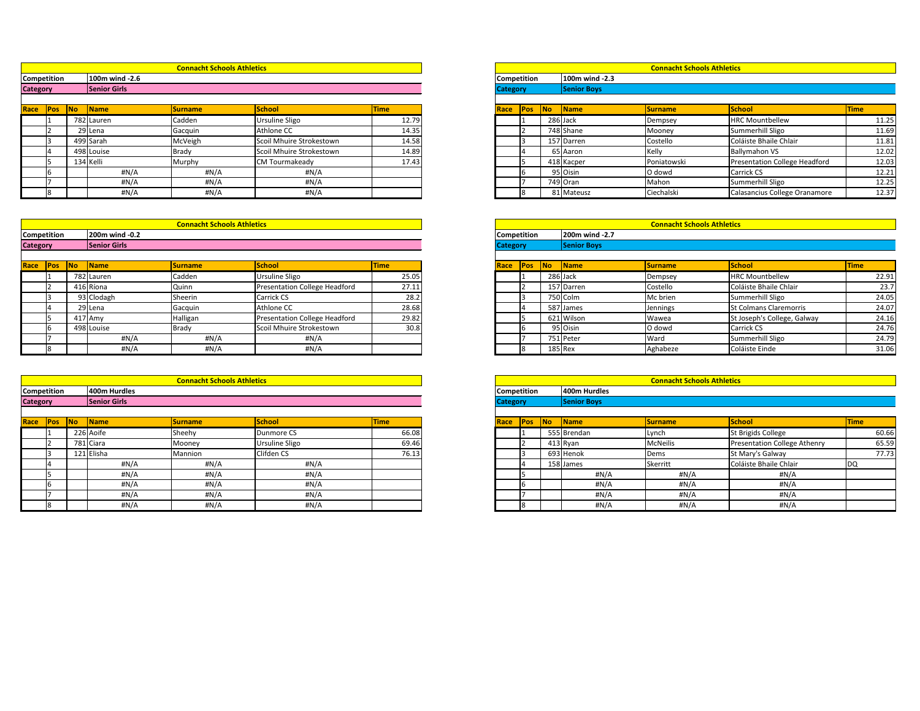|                    |            |            |                     | <b>Connacht Schools Athletics</b> |                          |             |      |                    |    |                     | <b>Connacht Schools Athletics</b> |                               |      |
|--------------------|------------|------------|---------------------|-----------------------------------|--------------------------|-------------|------|--------------------|----|---------------------|-----------------------------------|-------------------------------|------|
| <b>Competition</b> |            |            | 100m wind -2.6      |                                   |                          |             |      | <b>Competition</b> |    | 100m wind -2.3      |                                   |                               |      |
| <b>Category</b>    |            |            | <b>Senior Girls</b> |                                   |                          |             |      | <b>Category</b>    |    | <b>Senior Boys</b>  |                                   |                               |      |
|                    |            |            |                     |                                   |                          |             |      |                    |    |                     |                                   |                               |      |
| Race               | <b>Pos</b> | <b>INo</b> | <b>Name</b>         | <b>Surname</b>                    | School                   | <b>Time</b> | Race | <b>IPos</b>        | No | $\blacksquare$ Name | <b>Surname</b>                    | <b>School</b>                 | Time |
|                    |            |            | 782 Lauren          | Cadden                            | <b>Ursuline Sligo</b>    | 12.79       |      |                    |    | 286 Jack            | Dempsey                           | <b>HRC Mountbellew</b>        |      |
|                    |            |            | 29 Lena             | Gacquin                           | Athlone CC               | 14.35       |      |                    |    | 748 Shane           | Mooney                            | Summerhill Sligo              |      |
|                    |            |            | 499 Sarah           | McVeigh                           | Scoil Mhuire Strokestown | 14.58       |      |                    |    | 157 Darren          | Costello                          | Coláiste Bhaile Chlair        |      |
|                    |            |            | 498 Louise          | Brady                             | Scoil Mhuire Strokestown | 14.89       |      |                    |    | 65 Aaron            | Kelly                             | <b>Ballymahon VS</b>          |      |
|                    |            |            | 134 Kelli           | Murphy                            | <b>CM Tourmakeady</b>    | 17.43       |      |                    |    | 418 Kacper          | Poniatowski                       | Presentation College Headford |      |
|                    |            |            | $\#N/A$             | #N/A                              | #N/A                     |             |      |                    |    | 95 Oisin            | O dowd                            | <b>Carrick CS</b>             |      |
|                    |            |            | #N/A                | H N/A                             | #N/A                     |             |      |                    |    | 749 Oran            | Mahon                             | Summerhill Sligo              |      |
|                    |            |            | H N/A               | #N/A                              | #N/A                     |             |      |                    |    | 81 Mateusz          | Ciechalski                        | Calasancius College Oranamore |      |

|            |    |                     | <b>Connacht Schools Athletics</b> |                          |             |                 |     |           |                    | <b>Connacht Schools Athletics</b> |                                      |             |
|------------|----|---------------------|-----------------------------------|--------------------------|-------------|-----------------|-----|-----------|--------------------|-----------------------------------|--------------------------------------|-------------|
| tition     |    | 100m wind -2.6      |                                   |                          |             | Competition     |     |           | 100m wind -2.3     |                                   |                                      |             |
|            |    | <b>Senior Girls</b> |                                   |                          |             | <b>Category</b> |     |           | <b>Senior Boys</b> |                                   |                                      |             |
|            |    |                     |                                   |                          |             |                 |     |           |                    |                                   |                                      |             |
| <b>Pos</b> | No | <b>Name</b>         | <b>Surname</b>                    | <b>School</b>            | <b>Time</b> | Race            | Pos | <b>No</b> | Name               | <b>Surname</b>                    | <b>School</b>                        | <b>Time</b> |
|            |    | 782 Lauren          | Cadden                            | Ursuline Sligo           | 12.79       |                 |     |           | 286 Jack           | Dempsey                           | <b>HRC Mountbellew</b>               | 11.25       |
|            |    | 29 Lena             | Gacquin                           | Athlone CC               | 14.35       |                 |     |           | 748 Shane          | Mooney                            | Summerhill Sligo                     | 11.69       |
|            |    | 499 Sarah           | McVeigh                           | Scoil Mhuire Strokestown | 14.58       |                 |     |           | 157 Darren         | Costello                          | Coláiste Bhaile Chlair               | 11.81       |
|            |    | 498 Louise          | Brady                             | Scoil Mhuire Strokestown | 14.89       |                 |     |           | 65 Aaron           | Kelly                             | <b>Ballymahon VS</b>                 | 12.02       |
|            |    | 134 Kelli           | Murphy                            | <b>CM Tourmakeady</b>    | 17.43       |                 |     |           | 418 Kacper         | Poniatowski                       | <b>Presentation College Headford</b> | 12.03       |
|            |    | #N/A                | #N/A                              | #N/A                     |             |                 |     |           | 95 Oisin           | O dowd                            | Carrick CS                           | 12.21       |
|            |    | #N/A                | #N/A                              | H N/A                    |             |                 |     |           | 749 Oran           | Mahon                             | Summerhill Sligo                     | 12.25       |
|            |    | #N/A                | #N/A                              | #N/A                     |             |                 |     |           | 81 Mateusz         | Ciechalski                        | Calasancius College Oranamore        | 12.37       |

|                 |             |           |                     | <b>Connacht Schools Athletics</b> |                               |             |                    |            |            |                | <b>Connacht Schools Athletics</b> |                               |             |
|-----------------|-------------|-----------|---------------------|-----------------------------------|-------------------------------|-------------|--------------------|------------|------------|----------------|-----------------------------------|-------------------------------|-------------|
|                 | Competition |           | 200m wind -0.2      |                                   |                               |             | <b>Competition</b> |            |            | 200m wind -2.7 |                                   |                               |             |
| <b>Category</b> |             |           | <b>Senior Girls</b> |                                   |                               |             | <b>Category</b>    |            |            | Senior Boys    |                                   |                               |             |
|                 |             |           |                     |                                   |                               |             |                    |            |            |                |                                   |                               |             |
| Race            | <b>Pos</b>  | <b>No</b> | $\blacksquare$ Name | <b>Surname</b>                    | School                        | <b>Time</b> | Race               | <b>Pos</b> | <b>INo</b> | <b>Name</b>    | <b>Surname</b>                    | School                        | <b>Time</b> |
|                 |             |           | 782 Lauren          | Cadden                            | <b>Ursuline Sligo</b>         | 25.05       |                    |            |            | 286 Jack       | Dempsey                           | <b>HRC Mountbellew</b>        |             |
|                 |             |           | 416 Ríona           | Quinn                             | Presentation College Headford | 27.11       |                    |            |            | 157 Darren     | Costello                          | Coláiste Bhaile Chlair        |             |
|                 |             |           | 93 Clodagh          | Sheerin                           | <b>Carrick CS</b>             | 28.2        |                    |            |            | 750 Colm       | Mc brien                          | Summerhill Sligo              |             |
|                 |             |           | 29 Lena             | Gacquin                           | Athlone CC                    | 28.68       |                    |            |            | 587 James      | <b>Jennings</b>                   | <b>St Colmans Claremorris</b> |             |
|                 |             |           | $417$ Amy           | Halligan                          | Presentation College Headford | 29.82       |                    |            |            | 621 Wilson     | Wawea                             | St Joseph's College, Galway   |             |
|                 |             |           | 498 Louise          | Brady                             | Scoil Mhuire Strokestown      | 30.8        |                    |            |            | 95 Oisin       | O dowd                            | <b>Carrick CS</b>             |             |
|                 |             |           | #N/A                | #N/A                              | #N/A                          |             |                    |            |            | 751 Peter      | Ward                              | Summerhill Sligo              |             |
|                 |             |           | #N/A                | #N/A                              | #N/A                          |             |                    |            |            | $185$ Rex      | Aghabeze                          | Coláiste Einde                |             |

|        |    |                     |                |                               |       |                 |                    | <b>Connacht Schools Athletics</b> |                    |                |                               |             |
|--------|----|---------------------|----------------|-------------------------------|-------|-----------------|--------------------|-----------------------------------|--------------------|----------------|-------------------------------|-------------|
| tition |    | 200m wind -0.2      |                |                               |       |                 | <b>Competition</b> |                                   | 200m wind -2.7     |                |                               |             |
|        |    | <b>Senior Girls</b> |                |                               |       | <b>Category</b> |                    |                                   | <b>Senior Boys</b> |                |                               |             |
| Pos    | No | <b>Name</b>         | <b>Surname</b> | <b>School</b>                 | Time  | <b>Race</b>     | <b>IPos</b>        | <b>INo</b>                        | <b>Name</b>        | <b>Surname</b> | School                        | <b>Time</b> |
|        |    | 782 Lauren          | Cadden         | Ursuline Sligo                | 25.05 |                 |                    |                                   | 286 Jack           | Dempsey        | <b>HRC Mountbellew</b>        | 22.91       |
|        |    | 416 Ríona           | Quinn          | Presentation College Headford | 27.11 |                 |                    |                                   | 157 Darren         | Costello       | Coláiste Bhaile Chlair        | 23.7        |
|        |    | 93 Clodagh          | Sheerin        | Carrick CS                    | 28.2  |                 |                    |                                   | 750 Colm           | Mc brien       | Summerhill Sligo              | 24.05       |
|        |    | 29 Lena             | Gacquin        | Athlone CC                    | 28.68 |                 |                    |                                   | 587 James          | Jennings       | <b>St Colmans Claremorris</b> | 24.07       |
|        |    | 417 Amy             | Halligan       | Presentation College Headford | 29.82 |                 |                    |                                   | 621 Wilson         | Wawea          | St Joseph's College, Galway   | 24.16       |
|        |    | 498 Louise          | <b>Brady</b>   | Scoil Mhuire Strokestown      | 30.8  |                 |                    |                                   | 95 Oisin           | O dowd         | <b>Carrick CS</b>             | 24.76       |
|        |    | H N/A               | #N/A           | #N/A                          |       |                 |                    |                                   | 751 Peter          | Ward           | Summerhill Sligo              | 24.79       |
|        |    | #N/A                | #N/A           | #N/A                          |       |                 |                    |                                   | $185$ Rex          | Aghabeze       | Coláiste Einde                | 31.06       |
|        |    |                     |                |                               |       |                 |                    |                                   |                    |                |                               |             |

|        |           |              | <b>Connacht Schools Athletics</b> |                       |             |                 |     |    |                      | <b>Connacht Schools Athletics</b> |                                     |             |
|--------|-----------|--------------|-----------------------------------|-----------------------|-------------|-----------------|-----|----|----------------------|-----------------------------------|-------------------------------------|-------------|
| tition |           | 400m Hurdles |                                   |                       |             | Competition     |     |    | 400m Hurdles         |                                   |                                     |             |
|        |           | Senior Girls |                                   |                       |             | <b>Category</b> |     |    | <b>Senior Boys</b>   |                                   |                                     |             |
|        |           |              |                                   |                       |             |                 |     |    |                      |                                   |                                     |             |
| Pos    | <b>No</b> | Name         | <b>Surname</b>                    | <b>School</b>         | <b>Time</b> | Race            | Pos | No | $\sqrt{\frac{1}{1}}$ | Surname                           | <b>School</b>                       | <b>Time</b> |
|        |           | 226 Aoife    | Sheehy                            | Dunmore CS            | 66.08       |                 |     |    | 555 Brendan          | Lynch                             | St Brigids College                  | 60.66       |
|        |           | 781 Ciara    | Mooney                            | <b>Ursuline Sligo</b> | 69.46       |                 |     |    | $413$ Ryan           | <b>McNeilis</b>                   | <b>Presentation College Athenry</b> | 65.59       |
|        |           | 121 Elisha   | Mannion                           | Clifden CS            | 76.13       |                 |     |    | 693 Henok            | Dems                              | St Mary's Galway                    | 77.73       |
|        |           | #N/A         | #N/A                              | #N/A                  |             |                 |     |    | 158 James            | Skerritt                          | Coláiste Bhaile Chlair              | υu          |
|        |           | #N/A         | #N/A                              | #N/A                  |             |                 |     |    | #N/A                 | #N/A                              | #N/A                                |             |
|        |           | #N/A         | #N/A                              | #N/A                  |             |                 |     |    | #N/A                 | #N/A                              | #N/A                                |             |
|        |           | #N/A         | #N/A                              | #N/A                  |             |                 |     |    | #N/A                 | #N/A                              | #N/A                                |             |
|        |           | #N/A         | #N/A                              | #N/A                  |             |                 |     |    | #N/A                 | #N/A                              | #N/A                                |             |

|                 |             |    |              | <b>Connacht Schools Athletics</b> |                       |             |                 |                    |            |                     | <b>Connacht Schools Athletics</b> |                                     |             |
|-----------------|-------------|----|--------------|-----------------------------------|-----------------------|-------------|-----------------|--------------------|------------|---------------------|-----------------------------------|-------------------------------------|-------------|
|                 | Competition |    | 400m Hurdles |                                   |                       |             |                 | <b>Competition</b> |            | 400m Hurdles        |                                   |                                     |             |
| <b>Category</b> |             |    | Senior Girls |                                   |                       |             | <b>Category</b> |                    |            | <b>Senior Boys</b>  |                                   |                                     |             |
|                 |             |    |              |                                   |                       |             |                 |                    |            |                     |                                   |                                     |             |
| Race            | <b>Pos</b>  | No | <b>Name</b>  | <b>Surname</b>                    | School                | <b>Time</b> | Race            | <b>Pos</b>         | <b>INo</b> | $\blacksquare$ Name | <b>Surname</b>                    | School                              | <b>Time</b> |
|                 |             |    | 226 Aoife    | Sheehy                            | Dunmore CS            | 66.08       |                 |                    |            | 555 Brendan         | Lynch                             | St Brigids College                  |             |
|                 |             |    | 781 Ciara    | Mooney                            | <b>Ursuline Sligo</b> | 69.46       |                 |                    |            | $413$ Ryan          | <b>McNeilis</b>                   | <b>Presentation College Athenry</b> |             |
|                 |             |    | 121 Elisha   | Mannion                           | Clifden CS            | 76.13       |                 |                    |            | 693 Henok           | Dems                              | St Mary's Galway                    |             |
|                 |             |    | #N/A         | #N/A                              | #N/A                  |             |                 |                    |            | 158 James           | Skerritt                          | Coláiste Bhaile Chlair              | DQ          |
|                 |             |    | #N/A         | #N/A                              | #N/A                  |             |                 |                    |            | #N/A                | #N/A                              | #N/A                                |             |
|                 |             |    | $\#N/A$      | H N/A                             | #N/A                  |             |                 |                    |            | #N/A                | $\sharp N/A$                      | H N/A                               |             |
|                 |             |    | #N/A         | H N/A                             | #N/A                  |             |                 |                    |            | H N/A               | #N/A                              | #N/A                                |             |
|                 |             |    | #N/A         | #N/A                              | # $N/A$               |             |                 |                    |            | #N/A                | H N/A                             | #N/A                                |             |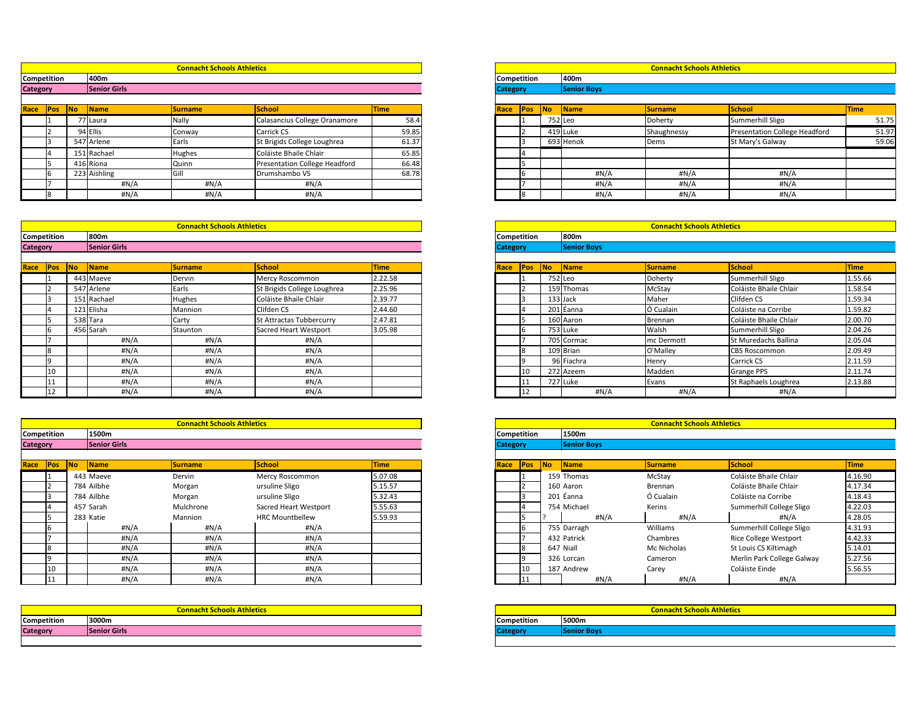|        |           |                     | <b>Connacht Schools Athletics</b> |                               |             |                 |             |           |                    | <b>Connacht Schools Athletics</b> |                                      |             |
|--------|-----------|---------------------|-----------------------------------|-------------------------------|-------------|-----------------|-------------|-----------|--------------------|-----------------------------------|--------------------------------------|-------------|
| tition |           | 400m                |                                   |                               |             |                 | Competition |           | 400m               |                                   |                                      |             |
|        |           | <b>Senior Girls</b> |                                   |                               |             | <b>Category</b> |             |           | <b>Senior Boys</b> |                                   |                                      |             |
|        |           |                     |                                   |                               |             |                 |             |           |                    |                                   |                                      |             |
| Pos    | <b>No</b> | <b>Name</b>         | <b>Surname</b>                    | <b>School</b>                 | <b>Time</b> | Race            | <b>Pos</b>  | <b>No</b> | Name               | <b>Surname</b>                    | School                               | <b>Time</b> |
|        |           | 7 Laura             | Nally                             | Calasancius College Oranamore | 58.4        |                 |             |           | 752 Leo            | Doherty                           | Summerhill Sligo                     | 51.75       |
|        |           | 94 Ellis            | Conway                            | Carrick CS                    | 59.85       |                 |             |           | 419 Luke           | Shaughnessy                       | <b>Presentation College Headford</b> | 51.97       |
|        |           | 547 Arlene          | Earls                             | St Brigids College Loughrea   | 61.37       |                 |             |           | 693 Henok          | Dems                              | St Mary's Galway                     | 59.06       |
|        |           | 151 Rachael         | Hughes                            | Coláiste Bhaile Chlair        | 65.85       |                 |             |           |                    |                                   |                                      |             |
|        |           | 416 Ríona           | Quinn                             | Presentation College Headford | 66.48       |                 |             |           |                    |                                   |                                      |             |
|        |           | 223 Aishling        | Gill                              | Drumshambo VS                 | 68.78       |                 |             |           | #N/A               | #N/A                              | #N/A                                 |             |
|        |           | $\sharp N/A$        | #N/A                              | #N/A                          |             |                 |             |           | #N/A               | H N/A                             | #N/A                                 |             |
|        |           | #N/A                | #N/A                              | H N/A                         |             |                 |             |           | #N/A               | #N/A                              | H N/A                                |             |

|        |           |                     | <b>Connacht Schools Athletics</b> |                              |             |      |                 |           |                    | <b>Connacht Schools Athletics</b> |                        |             |
|--------|-----------|---------------------|-----------------------------------|------------------------------|-------------|------|-----------------|-----------|--------------------|-----------------------------------|------------------------|-------------|
| tition |           | 800m                |                                   |                              |             |      | Competition     |           | 800m               |                                   |                        |             |
|        |           | <b>Senior Girls</b> |                                   |                              |             |      | <b>Category</b> |           | <b>Senior Boys</b> |                                   |                        |             |
|        |           |                     |                                   |                              |             |      |                 |           |                    |                                   |                        |             |
| os     | <b>No</b> | Name                | <b>Surname</b>                    | <b>School</b>                | <b>Time</b> | Race | <b>Pos</b>      | <b>No</b> | Name               | <b>Surname</b>                    | <b>School</b>          | <b>Time</b> |
|        |           | 443 Maeve           | Dervin                            | Mercy Roscommon              | 2.22.58     |      |                 |           | 752 Leo            | Doherty                           | Summerhill Sligo       | 1.55.66     |
|        |           | 547 Arlene          | Earls                             | St Brigids College Loughrea  | 2.25.96     |      |                 |           | 159 Thomas         | McStay                            | Coláiste Bhaile Chlair | 1.58.54     |
|        |           | 151 Rachael         | <b>Hughes</b>                     | Coláiste Bhaile Chlair       | 2.39.77     |      |                 |           | 133 Jack           | Maher                             | Clifden CS             | 1.59.34     |
|        |           | 121 Elisha          | Mannion                           | Clifden CS                   | 2.44.60     |      |                 |           | 201 Éanna          | Ó Cualain                         | Coláiste na Corribe    | 1.59.82     |
|        |           | 538 Tara            | Carty                             | St Attractas Tubbercurry     | 2.47.81     |      |                 |           | 160 Aaron          | Brennan                           | Coláiste Bhaile Chlair | 2.00.70     |
|        |           | 456 Sarah           | Staunton                          | <b>Sacred Heart Westport</b> | 3.05.98     |      |                 |           | 753 Luke           | Walsh                             | Summerhill Sligo       | 2.04.26     |
|        |           | #N/A                | #N/A                              | #N/A                         |             |      |                 |           | 705 Cormac         | mc Dermott                        | St Muredachs Ballina   | 2.05.04     |
|        |           | #N/A                | #N/A                              | #N/A                         |             |      |                 |           | 109 Brian          | O'Malley                          | <b>CBS Roscommon</b>   | 2.09.49     |
|        |           | #N/A                | #N/A                              | #N/A                         |             |      |                 |           | 96 Fiachra         | Henry                             | Carrick CS             | 2.11.59     |
| 10     |           | H N/A               | #N/A                              | #N/A                         |             |      | 10              |           | 272 Azeem          | Madden                            | <b>Grange PPS</b>      | 2.11.74     |
|        |           | #N/A                | #N/A                              | #N/A                         |             |      | ∣⊥⊥             |           | 727 Luke           | Evans                             | St Raphaels Loughrea   | 2.13.88     |
| 12     |           | H N/A               | H N/A                             | $\sharp N/A$                 |             |      | $ 12\rangle$    |           | #N/A               | H N/A                             | #N/A                   |             |

|                 |            |            |                     | <b>Connacht Schools Athletics</b> |                               |             |                 |             |            |             | <b>Connacht Schools Athletics</b> |                               |      |
|-----------------|------------|------------|---------------------|-----------------------------------|-------------------------------|-------------|-----------------|-------------|------------|-------------|-----------------------------------|-------------------------------|------|
| Competition     |            |            | 400m                |                                   |                               |             |                 | Competition |            | 400m        |                                   |                               |      |
| <b>Category</b> |            |            | <b>Senior Girls</b> |                                   |                               |             | <b>Category</b> |             |            | Senior Boys |                                   |                               |      |
|                 |            |            |                     |                                   |                               |             |                 |             |            |             |                                   |                               |      |
| Race            | <b>Pos</b> | <b>INo</b> | <b>Name</b>         | <b>Surname</b>                    | School                        | <b>Time</b> | Race            | <b>Pos</b>  | <b>INo</b> | <b>Name</b> | <b>Surname</b>                    | School                        | Time |
|                 |            |            | 77 Laura            | Nally                             | Calasancius College Oranamore | 58.4        |                 |             |            | 752 Leo     | Doherty                           | Summerhill Sligo              |      |
|                 |            |            | 94 Ellis            | Conway                            | Carrick CS                    | 59.85       |                 |             |            | 419 Luke    | Shaughnessy                       | Presentation College Headford |      |
|                 |            |            | 547 Arlene          | Earls                             | St Brigids College Loughrea   | 61.37       |                 |             |            | 693 Henok   | Dems                              | St Mary's Galway              |      |
|                 |            |            | 151 Rachael         | Hughes                            | Coláiste Bhaile Chlair        | 65.85       |                 |             |            |             |                                   |                               |      |
|                 |            |            | 416 Ríona           | Quinn                             | Presentation College Headford | 66.48       |                 |             |            |             |                                   |                               |      |
|                 |            |            | 223 Aishling        | Gill                              | Drumshambo VS                 | 68.78       |                 |             |            | #N/A        | H N/A                             | #N/A                          |      |
|                 |            |            | H N/A               | #N/A                              | #N/A                          |             |                 |             |            | #N/A        | H N/A                             | H N/A                         |      |
|                 |            |            | #N/A                | #N/A                              | #N/A                          |             |                 |             |            | #N/A        | H N/A                             | #N/A                          |      |

|                 |                    |                             |                      | <b>Connacht Schools Athletics</b> |                             |             |                 |             |    |                    | <b>Connacht Schools Athletics</b> |                        |             |
|-----------------|--------------------|-----------------------------|----------------------|-----------------------------------|-----------------------------|-------------|-----------------|-------------|----|--------------------|-----------------------------------|------------------------|-------------|
|                 | <b>Competition</b> |                             | 800m                 |                                   |                             |             |                 | Competition |    | 800m               |                                   |                        |             |
| <b>Category</b> |                    |                             | <b>Senior Girls</b>  |                                   |                             |             | <b>Category</b> |             |    | <b>Senior Boys</b> |                                   |                        |             |
| Race <b>Pos</b> |                    | $\overline{\phantom{a}}$ No | $\sqrt{\frac{1}{2}}$ | <b>Surname</b>                    | <b>School</b>               | <b>Time</b> | Race            | <b>Pos</b>  | No | Name               | Surname                           | School                 | <b>Time</b> |
|                 |                    |                             | 443 Maeve            | Dervin                            | Mercy Roscommon             | 2.22.58     |                 |             |    | $752$ Leo          | Doherty                           | Summerhill Sligo       | 1.55.       |
|                 |                    |                             | 547 Arlene           | Earls                             | St Brigids College Loughrea | 2.25.96     |                 |             |    | 159 Thomas         | McStay                            | Coláiste Bhaile Chlair | 1.58.       |
|                 |                    |                             | 151 Rachael          | Hughes                            | Coláiste Bhaile Chlair      | 2.39.77     |                 |             |    | $133$ Jack         | Maher                             | Clifden CS             | 1.59.       |
|                 |                    |                             | 121 Elisha           | Mannion                           | Clifden CS                  | 2.44.60     |                 |             |    | 201 Eanna          | Ó Cualain                         | Coláiste na Corribe    | 1.59.       |
|                 |                    |                             | 538 Tara             | Carty                             | St Attractas Tubbercurry    | 2.47.81     |                 |             |    | 160 Aaron          | Brennan                           | Coláiste Bhaile Chlair | 2.00.       |
|                 |                    |                             | 456 Sarah            | Staunton                          | Sacred Heart Westport       | 3.05.98     |                 |             |    | 753 Luke           | Walsh                             | Summerhill Sligo       | 2.04.       |
|                 |                    |                             | #N/A                 | #N/A                              | #N/A                        |             |                 |             |    | 705 Cormac         | mc Dermott                        | St Muredachs Ballina   | 2.05.       |
|                 | l8                 |                             | #N/A                 | H N/A                             | #N/A                        |             |                 |             |    | 109 Brian          | O'Malley                          | <b>CBS Roscommon</b>   | 2.09.       |
|                 |                    |                             | #N/A                 | #N/A                              | #N/A                        |             |                 |             |    | 96 Fiachra         | Henry                             | Carrick CS             | 2.11.       |
|                 | 10                 |                             | #N/A                 | H N/A                             | #N/A                        |             |                 | 10          |    | 272 Azeem          | Madden                            | <b>Grange PPS</b>      | 2.11.       |
|                 |                    |                             | #N/A                 | #N/A                              | #N/A                        |             |                 |             |    | 727 Luke           | Evans                             | St Raphaels Loughrea   | 2.13.       |
|                 |                    |                             | #N/A                 | H N/A                             | #N/A                        |             |                 | 12          |    | #N/A               | #N/A                              | #N/A                   |             |

|                 |                    |            |                     | <b>Connacht Schools Athletics</b> |                        |             |                 |              |           |                    | <b>Connacht Schools Athletics</b> |                              |             |
|-----------------|--------------------|------------|---------------------|-----------------------------------|------------------------|-------------|-----------------|--------------|-----------|--------------------|-----------------------------------|------------------------------|-------------|
|                 | <b>Competition</b> |            | 1500m               |                                   |                        |             |                 | Competition  |           | 1500m              |                                   |                              |             |
| <b>Category</b> |                    |            | <b>Senior Girls</b> |                                   |                        |             | <b>Category</b> |              |           | <b>Senior Boys</b> |                                   |                              |             |
| <b>Race Pos</b> |                    | <b>INo</b> | <b>Name</b>         | <b>Surname</b>                    | <b>School</b>          | <b>Time</b> | Race            | Pos          | <b>No</b> | Name               | <b>Surname</b>                    | School                       | <b>Time</b> |
|                 |                    |            | 443 Maeve           | Dervin                            | <b>Mercy Roscommon</b> | 5.07.08     |                 |              |           | 159 Thomas         | McStay                            | Coláiste Bhaile Chlair       | 4.16.       |
|                 |                    |            | 784 Ailbhe          | Morgan                            | ursuline Sligo         | 5.15.57     |                 |              |           | 160 Aaron          | Brennan                           | Coláiste Bhaile Chlair       | 4.17.       |
|                 |                    |            | 784 Ailbhe          | Morgan                            | ursuline Sligo         | 5.32.43     |                 |              |           | 201 Éanna          | Ó Cualain                         | Coláiste na Corribe          | 4.18.       |
|                 |                    |            | 457 Sarah           | Mulchrone                         | Sacred Heart Westport  | 5.55.63     |                 |              |           | 754 Michael        | Kerins                            | Summerhill College Sligo     | 4.22.       |
|                 |                    |            | 283 Katie           | Mannion                           | <b>HRC Mountbellew</b> | 5.59.93     |                 |              |           | #N/A               | #N/A                              | #N/A                         | 4.28.       |
|                 |                    |            | #N/A                | #N/A                              | H N/A                  |             |                 |              |           | 755 Darragh        | Williams                          | Summerhill College Sligo     | 4.31.       |
|                 |                    |            | #N/A                | #N/A                              | H N/A                  |             |                 |              |           | 432 Patrick        | Chambres                          | <b>Rice College Westport</b> | 4.42.       |
|                 |                    |            | #N/A                | #N/A                              | #N/A                   |             |                 |              |           | 647 Niall          | Mc Nicholas                       | St Louis CS Kiltimagh        | 5.14.       |
|                 |                    |            | #N/A                | #N/A                              | #N/A                   |             |                 |              |           | 326 Lorcan         | Cameron                           | Merlin Park College Galway   | 5.27        |
|                 |                    |            | #N/A                | #N/A                              | #N/A                   |             |                 | $ 10\rangle$ |           | 187 Andrew         | Carey                             | Coláiste Einde               | 5.56.       |
|                 | 11                 |            | #N/A                | #N/A                              | H N/A                  |             |                 |              |           | #N/A               | $\sharp N/A$                      | #N/A                         |             |

|        |    |                     | <b>Connacht Schools Athletics</b> |                        |             |                 |             |            |                    | <b>Connacht Schools Athletics</b> |                              |             |
|--------|----|---------------------|-----------------------------------|------------------------|-------------|-----------------|-------------|------------|--------------------|-----------------------------------|------------------------------|-------------|
| tition |    | 1500m               |                                   |                        |             |                 | Competition |            | 1500m              |                                   |                              |             |
|        |    | <b>Senior Girls</b> |                                   |                        |             | <b>Category</b> |             |            | <b>Senior Boys</b> |                                   |                              |             |
|        |    |                     |                                   |                        |             |                 |             |            |                    |                                   |                              |             |
| פס∙    | No | Name                | <b>Surname</b>                    | School                 | <b>Time</b> | <b>Race</b>     | <b>Pos</b>  | <b>INo</b> | Name               | <b>Surname</b>                    | School                       | <b>Time</b> |
|        |    | 443 Maeve           | Dervin                            | <b>Mercy Roscommon</b> | 5.07.08     |                 |             |            | 159 Thomas         | McStay                            | Coláiste Bhaile Chlair       | 4.16.90     |
|        |    | 784 Ailbhe          | Morgan                            | ursuline Sligo         | 5.15.57     |                 |             |            | 160 Aaron          | Brennan                           | Coláiste Bhaile Chlair       | 4.17.34     |
|        |    | 784 Ailbhe          | Morgan                            | ursuline Sligo         | 5.32.43     |                 |             |            | 201 Éanna          | Ó Cualain                         | Coláiste na Corribe          | 4.18.43     |
|        |    | 457 Sarah           | Mulchrone                         | Sacred Heart Westport  | 5.55.63     |                 |             |            | 754 Michael        | Kerins                            | Summerhill College Sligo     | 4.22.03     |
|        |    | 283 Katie           | Mannion                           | <b>HRC Mountbellew</b> | 5.59.93     |                 |             |            | #N/A               | #N/A                              | #N/A                         | 4.28.05     |
|        |    | H N/A               | #N/A                              | #N/A                   |             |                 |             |            | 755 Darragh        | Williams                          | Summerhill College Sligo     | 4.31.93     |
|        |    | #N/A                | #N/A                              | #N/A                   |             |                 |             |            | 432 Patrick        | Chambres                          | <b>Rice College Westport</b> | 4.42.33     |
|        |    | #N/A                | #N/A                              | #N/A                   |             |                 |             |            | 647 Niall          | Mc Nicholas                       | St Louis CS Kiltimagh        | 5.14.01     |
|        |    | #N/A                | #N/A                              | #N/A                   |             |                 |             |            | 326 Lorcan         | Cameron                           | Merlin Park College Galway   | 5.27.56     |
| 10     |    | #N/A                | #N/A                              | #N/A                   |             |                 | 10          |            | 187 Andrew         | Carey                             | Coláiste Einde               | 5.56.55     |
| 11     |    | H N/A               | #N/A                              | #N/A                   |             |                 |             |            | #N/A               | #N/A                              | # $N/A$                      |             |

| <b>Competition</b> | I5000m             |
|--------------------|--------------------|
| <b>Category</b>    | <b>Senior Boys</b> |
|                    |                    |

|                 | <b>Connacht Schools Athletics</b> |                    |       |
|-----------------|-----------------------------------|--------------------|-------|
| Competition     | 3000m                             | <b>Competition</b> | 5000m |
| <b>Category</b> | <b>Senior Girls</b>               | $\sigma$ nrv       |       |
|                 |                                   |                    |       |

## **Connacht Schools Athletics Connacht Schools Athletics**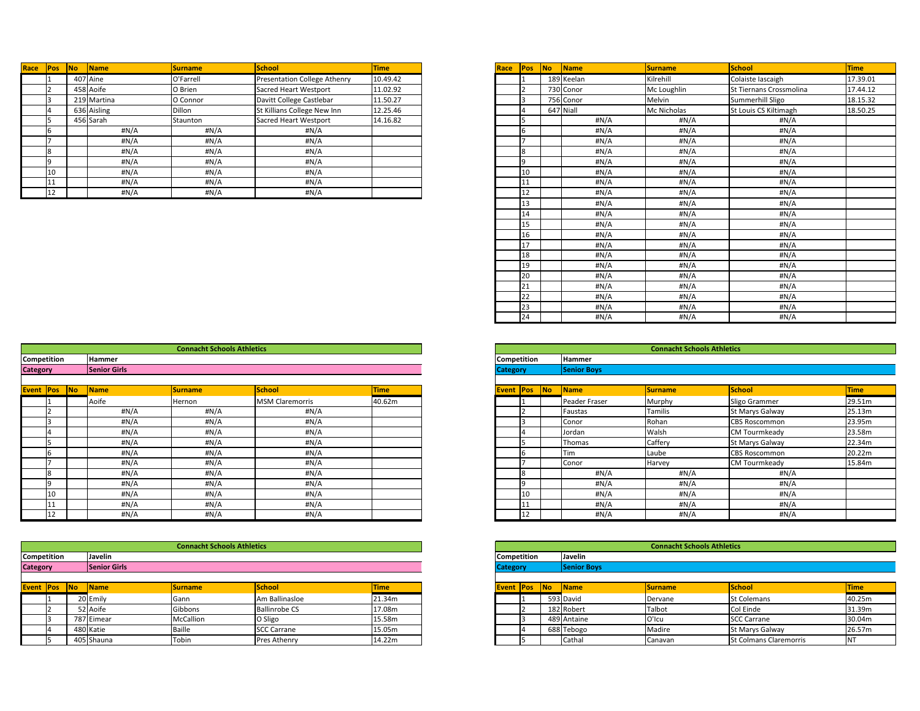| Race<br> Pos | Name<br><b>No</b> | <b>Surname</b> | <b>School</b>                | <b>Time</b> |
|--------------|-------------------|----------------|------------------------------|-------------|
|              | 407 Aine          | O'Farrell      | Presentation College Athenry | 10.49.42    |
|              | 458 Aoife         | O Brien        | Sacred Heart Westport        | 11.02.92    |
|              | 219 Martina       | O Connor       | Davitt College Castlebar     | 11.50.27    |
|              | 636 Aisling       | Dillon         | St Killians College New Inn  | 12.25.46    |
|              | 456 Sarah         | Staunton       | Sacred Heart Westport        | 14.16.82    |
|              | #N/A              | #N/A           | #N/A                         |             |
|              | #N/A              | #N/A           | #N/A                         |             |
|              | #N/A              | #N/A           | #N/A                         |             |
|              | #N/A              | #N/A           | #N/A                         |             |
|              | #N/A              | #N/A           | #N/A                         |             |
|              | #N/A              | #N/A           | #N/A                         |             |
| 12           | #N/A              | H N/A          | #N/A                         |             |

| <b>Pos</b> | No | Name         | <b>Surname</b> | School                       | <b>Time</b> | <b>Race Pos</b> | $\overline{\mathsf{No}}$ | Name       | <b>Surname</b> | School                  | <b>Time</b> |
|------------|----|--------------|----------------|------------------------------|-------------|-----------------|--------------------------|------------|----------------|-------------------------|-------------|
|            |    | 407 Aine     | O'Farrell      | Presentation College Athenry | 10.49.42    |                 |                          | 189 Keelan | Kilrehill      | Colaiste Iascaigh       | 17.39.01    |
|            |    | 458 Aoife    | O Brien        | <b>Sacred Heart Westport</b> | 11.02.92    |                 |                          | 730 Conor  | Mc Loughlin    | St Tiernans Crossmolina | 17.44.12    |
|            |    | 219 Martina  | O Connor       | Davitt College Castlebar     | 11.50.27    |                 |                          | 756 Conor  | Melvin         | Summerhill Sligo        | 18.15.32    |
|            |    | 636 Aisling  | Dillon         | St Killians College New Inn  | 12.25.46    |                 |                          | 647 Niall  | Mc Nicholas    | St Louis CS Kiltimagh   | 18.50.25    |
|            |    | 456 Sarah    | Staunton       | Sacred Heart Westport        | 14.16.82    | 5               |                          | #N/A       | #N/A           | #N/A                    |             |
|            |    | $\sharp N/A$ | #N/A           | #N/A                         |             | 6               |                          | #N/A       | $\sharp N/A$   | #N/A                    |             |
|            |    | #N/A         | #N/A           | $\sharp N/A$                 |             | ⇁               |                          | #N/A       | #N/A           | #N/A                    |             |
|            |    | #N/A         | #N/A           | $\sharp N/A$                 |             | 8               |                          | #N/A       | #N/A           | #N/A                    |             |
|            |    | #N/A         | #N/A           | #N/A                         |             | I۹              |                          | #N/A       | #N/A           | #N/A                    |             |
| 10         |    | #N/A         | #N/A           | $\sharp N/A$                 |             | 10              |                          | #N/A       | #N/A           | #N/A                    |             |
| 11         |    | #N/A         | #N/A           | $\sharp N/A$                 |             | 11              |                          | #N/A       | #N/A           | #N/A                    |             |
| 12         |    | #N/A         | #N/A           | #N/A                         |             | 12              |                          | #N/A       | #N/A           | #N/A                    |             |
|            |    |              |                |                              |             | 13              |                          | #N/A       | #N/A           | #N/A                    |             |
|            |    |              |                |                              |             | 14              |                          | #N/A       | $\sharp N/A$   | #N/A                    |             |
|            |    |              |                |                              |             | 15              |                          | #N/A       | #N/A           | #N/A                    |             |
|            |    |              |                |                              |             | 16              |                          | #N/A       | #N/A           | #N/A                    |             |
|            |    |              |                |                              |             | 17              |                          | #N/A       | #N/A           | #N/A                    |             |
|            |    |              |                |                              |             | 18              |                          | #N/A       | #N/A           | #N/A                    |             |
|            |    |              |                |                              |             | 19              |                          | #N/A       | #N/A           | #N/A                    |             |
|            |    |              |                |                              |             | 20              |                          | #N/A       | #N/A           | #N/A                    |             |
|            |    |              |                |                              |             | 21              |                          | #N/A       | #N/A           | #N/A                    |             |
|            |    |              |                |                              |             | 22              |                          | #N/A       | #N/A           | #N/A                    |             |
|            |    |              |                |                              |             | 23              |                          | #N/A       | #N/A           | #N/A                    |             |
|            |    |              |                |                              |             | 24              |                          | #N/A       | #N/A           | #N/A                    |             |

|                    |    |    |                     | <b>Connacht Schools Athletics</b> |                        |             |                 |                    |    |                    | <b>Connacht Schools Athletics</b> |                        |             |
|--------------------|----|----|---------------------|-----------------------------------|------------------------|-------------|-----------------|--------------------|----|--------------------|-----------------------------------|------------------------|-------------|
| <b>Competition</b> |    |    | <b>Hammer</b>       |                                   |                        |             |                 | <b>Competition</b> |    | <b>Hammer</b>      |                                   |                        |             |
| <b>Category</b>    |    |    | <b>Senior Girls</b> |                                   |                        |             | <b>Category</b> |                    |    | <b>Senior Boys</b> |                                   |                        |             |
| <b>Event Pos</b>   |    | No | <b>Name</b>         | Surname                           | School                 | <b>Time</b> |                 | <b>Event Pos</b>   | No | <b>Name</b>        | Surname                           | School                 | <b>Time</b> |
|                    |    |    | Aoife               | Hernon                            | <b>MSM Claremorris</b> | 40.62m      |                 |                    |    | Peader Fraser      | Murphy                            | Sligo Grammer          | 29.5        |
|                    |    |    | #N/A                | #N/A                              | #N/A                   |             |                 |                    |    | Faustas            | Tamilis                           | <b>St Marys Galway</b> | 25.1        |
|                    |    |    | #N/A                | #N/A                              | #N/A                   |             |                 |                    |    | Conor              | Rohan                             | <b>CBS Roscommon</b>   | 23.9        |
|                    |    |    | #N/A                | #N/A                              | #N/A                   |             |                 |                    |    | Jordan             | Walsh                             | <b>CM Tourmkeady</b>   | 23.5        |
|                    |    |    | #N/A                | #N/A                              | #N/A                   |             |                 |                    |    | Thomas             | Caffery                           | <b>St Marys Galway</b> | 22.34       |
|                    |    |    | #N/A                | #N/A                              | #N/A                   |             |                 |                    |    | Tim                | Laube                             | <b>CBS Roscommon</b>   | 20.27       |
|                    |    |    | #N/A                | #N/A                              | #N/A                   |             |                 |                    |    | Conor              | Harvey                            | CM Tourmkeady          | 15.84       |
|                    |    |    | #N/A                | H N/A                             | #N/A                   |             |                 | IR                 |    | #N/A               | #N/A                              | #N/A                   |             |
|                    |    |    | #N/A                | #N/A                              | #N/A                   |             |                 |                    |    | #N/A               | #N/A                              | #N/A                   |             |
|                    |    |    | #N/A                | #N/A                              | #N/A                   |             |                 | 10                 |    | #N/A               | #N/A                              | $\sharp N/A$           |             |
|                    |    |    | #N/A                | #N/A                              | #N/A                   |             |                 | ن11                |    | #N/A               | #N/A                              | #N/A                   |             |
|                    | 12 |    | #N/A                | H N/A                             | #N/A                   |             |                 | 12                 |    | #N/A               | #N/A                              | #N/A                   |             |

|                 |    |                     | <b>Connacht Schools Athletics</b> |                        |             |                  |    |                             |                    | <b>Connacht Schools Athletics</b> |                        |             |
|-----------------|----|---------------------|-----------------------------------|------------------------|-------------|------------------|----|-----------------------------|--------------------|-----------------------------------|------------------------|-------------|
| tition          |    | Hammer              |                                   |                        |             | Competition      |    |                             | <b>Hammer</b>      |                                   |                        |             |
|                 |    | <b>Senior Girls</b> |                                   |                        |             | <b>Category</b>  |    |                             | <b>Senior Boys</b> |                                   |                        |             |
|                 |    |                     |                                   |                        |             |                  |    |                             |                    |                                   |                        |             |
| Pos             | No | <b>Name</b>         | Surname                           | <b>School</b>          | <b>Time</b> | <b>Event Pos</b> |    | $\overline{\phantom{a}}$ No | <b>Name</b>        | <b>Surname</b>                    | School                 | <b>Time</b> |
|                 |    | Aoife               | Hernon                            | <b>MSM Claremorris</b> | 40.62m      |                  |    |                             | Peader Fraser      | Murphy                            | Sligo Grammer          | 29.51m      |
|                 |    | #N/A                | #N/A                              | #N/A                   |             |                  |    |                             | Faustas            | Tamilis                           | <b>St Marys Galway</b> | 25.13m      |
|                 |    | #N/A                | #N/A                              | #N/A                   |             |                  |    |                             | Conor              | Rohan                             | <b>CBS Roscommon</b>   | 23.95m      |
|                 |    | #N/A                | #N/A                              | #N/A                   |             |                  |    |                             | Jordan             | Walsh                             | <b>CM Tourmkeady</b>   | 23.58m      |
|                 |    | #N/A                | #N/A                              | #N/A                   |             |                  |    |                             | Thomas             | Caffery                           | <b>St Marys Galway</b> | 22.34m      |
|                 |    | #N/A                | #N/A                              | #N/A                   |             |                  |    |                             | Tim                | Laube                             | <b>CBS Roscommon</b>   | 20.22m      |
|                 |    | #N/A                | #N/A                              | #N/A                   |             |                  |    |                             | Conor              | Harvey                            | <b>CM Tourmkeady</b>   | 15.84m      |
|                 |    | #N/A                | #N/A                              | #N/A                   |             |                  |    |                             | #N/A               | #N/A                              | #N/A                   |             |
|                 |    | #N/A                | #N/A                              | #N/A                   |             |                  |    |                             | #N/A               | #N/A                              | #N/A                   |             |
| 10              |    | #N/A                | #N/A                              | #N/A                   |             |                  | 10 |                             | #N/A               | #N/A                              | #N/A                   |             |
| 11              |    | #N/A                | #N/A                              | #N/A                   |             |                  |    |                             | #N/A               | #N/A                              | #N/A                   |             |
| 12 <sup>1</sup> |    | #N/A                | #N/A                              | #N/A                   |             |                  | 12 |                             | #N/A               | #N/A                              | #N/A                   |             |

|                    |            |                    | <b>Connacht Schools Athletics</b> |                               |             |
|--------------------|------------|--------------------|-----------------------------------|-------------------------------|-------------|
| <b>Competition</b> |            | <b>Javelin</b>     |                                   |                               |             |
| <b>Category</b>    |            | <b>Senior Boys</b> |                                   |                               |             |
|                    |            |                    |                                   |                               |             |
| <b>Event Pos</b>   | <b>INo</b> | <b>Name</b>        | <b>Surname</b>                    | <b>School</b>                 | <b>Time</b> |
|                    |            | 593 David          | Dervane                           | <b>St Colemans</b>            | 40.25m      |
|                    |            | 182 Robert         | Talbot                            | Col Einde                     | 31.39m      |
|                    |            | 489 Antaine        | O'Icu                             | <b>SCC Carrane</b>            | 30.04m      |
|                    |            | 688 Tebogo         | Madire                            | St Marys Galway               | 26.57m      |
|                    |            | Cathal             | Canavan                           | <b>St Colmans Claremorris</b> | <b>INT</b>  |

|                 |                     |                     | <b>Connacht Schools Athletics</b> |                      |             |                    |           |                    | <b>Connacht Schools Athletics</b> |                               |             |
|-----------------|---------------------|---------------------|-----------------------------------|----------------------|-------------|--------------------|-----------|--------------------|-----------------------------------|-------------------------------|-------------|
|                 | Competition         | <b>Javelin</b>      |                                   |                      |             | <b>Competition</b> |           | Javelin            |                                   |                               |             |
| <b>Category</b> |                     | <b>Senior Girls</b> |                                   |                      |             | <b>Category</b>    |           | <b>Senior Boys</b> |                                   |                               |             |
|                 |                     |                     |                                   |                      |             |                    |           |                    |                                   |                               |             |
|                 | <b>Event Pos No</b> | <b>Name</b>         | <b>Surname</b>                    | School               | <b>Time</b> | <b>Event Pos</b>   | <b>No</b> | Name               | <b>Surname</b>                    | School                        | <b>Time</b> |
|                 |                     | 20 Emily            | Gann                              | Am Ballinasloe       | 21.34m      |                    |           | 593 David          | Dervane                           | <b>St Colemans</b>            | 40.25m      |
|                 |                     | 52 Aoife            | Gibbons                           | <b>Ballinrobe CS</b> | 17.08m      |                    |           | 182 Robert         | Talbot                            | Col Einde                     | 31.39m      |
|                 |                     | 787 Eimear          | McCallion                         | O Sligo              | 15.58m      |                    |           | 489 Antaine        | O'Icu                             | <b>SCC Carrane</b>            | 30.04m      |
|                 |                     | 480 Katie           | <b>Baille</b>                     | <b>SCC Carrane</b>   | 15.05m      |                    |           | 688 Tebogo         | Madire                            | <b>St Marys Galway</b>        | 26.57m      |
|                 |                     | 405 Shauna          | Tobin                             | <b>Pres Athenry</b>  | 14.22m      |                    |           | Cathal             | Canavan                           | <b>St Colmans Claremorris</b> | <b>NT</b>   |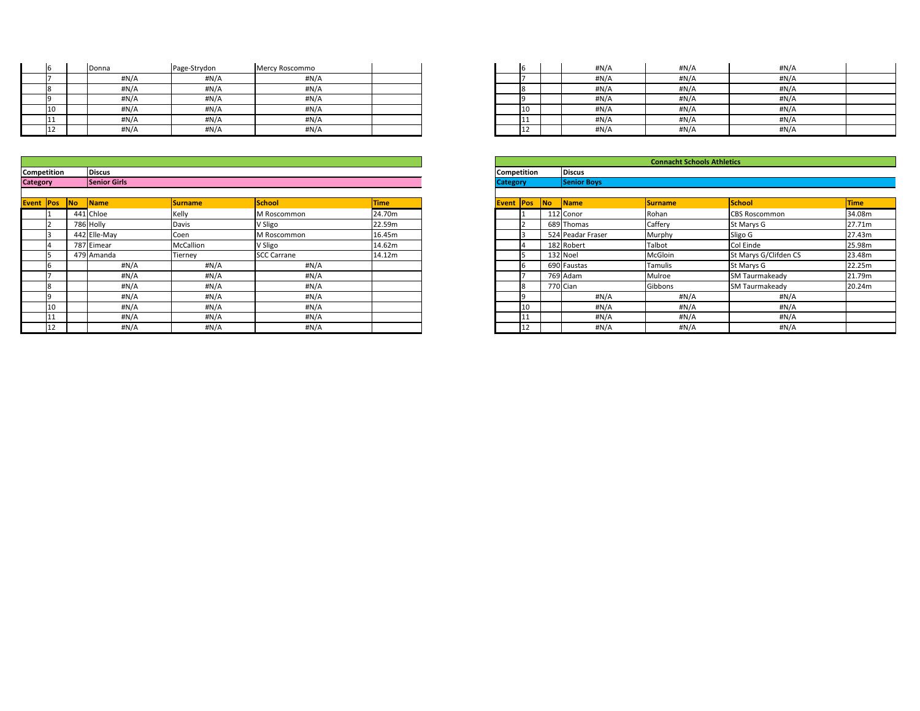|                          | Donna | Page-Strydon | Mercy Roscommo |  | IЬ  | #N/A | #N/A  | #N/A |
|--------------------------|-------|--------------|----------------|--|-----|------|-------|------|
|                          | #N/A  | H N/A        | #N/A           |  |     | #N/A | #N/A  | #N/A |
|                          | #N/A  | H N/A        | #N/A           |  | 18  | #N/A | H N/A | #N/A |
|                          | #N/A  | H N/A        | #N/A           |  |     | #N/A | #N/A  | #N/A |
| 10                       | #N/A  | $\sharp N/A$ | #N/A           |  | 10  | #N/A | H N/A | #N/A |
| 11 <sup>7</sup><br>1 T T | #N/A  | $\sharp N/A$ | #N/A           |  | .   | #N/A | #N/A  | #N/A |
| 12                       | #N/A  | H N/A        | #N/A           |  | --- | #N/A | #N/A  | #N/A |

| <b>Event Pos</b> |              | <b>No</b><br><b>Name</b> | <b>Surname</b>   | <b>School</b>      | <b>Time</b> |
|------------------|--------------|--------------------------|------------------|--------------------|-------------|
|                  |              | 441 Chloe                | Kelly            | M Roscommon        | 24.70m      |
|                  |              | 786 Holly                | Davis            | V Sligo            | 22.59m      |
|                  |              | 442 Elle-May             | Coen             | M Roscommon        | 16.45m      |
|                  |              | 787 Eimear               | <b>McCallion</b> | V Sligo            | 14.62m      |
|                  |              | 479 Amanda               | Tiernev          | <b>SCC Carrane</b> | 14.12m      |
|                  |              | #N/A                     | #N/A             | #N/A               |             |
|                  |              | #N/A                     | #N/A             | #N/A               |             |
|                  |              | #N/A                     | #N/A             | #N/A               |             |
|                  |              | #N/A                     | #N/A             | #N/A               |             |
|                  | $ 10\rangle$ | #N/A                     | #N/A             | #N/A               |             |
|                  |              | #N/A                     | #N/A             | #N/A               |             |
|                  | '12          | #N/A                     | #N/A             | #N/A               |             |

| 6  | #N/A | #N/A | #N/A |  |
|----|------|------|------|--|
|    | #N/A | #N/A | #N/A |  |
| 8  | #N/A | #N/A | #N/A |  |
| 9  | #N/A | #N/A | #N/A |  |
| 10 | #N/A | #N/A | #N/A |  |
| 11 | #N/A | #N/A | #N/A |  |
| 12 | #N/A | #N/A | #N/A |  |

|            |           |                     |           |                     |             |                    |    |          |                    | <b>Connacht Schools Athletics</b> |                       |             |
|------------|-----------|---------------------|-----------|---------------------|-------------|--------------------|----|----------|--------------------|-----------------------------------|-----------------------|-------------|
| tition     |           | <b>Discus</b>       |           |                     |             | <b>Competition</b> |    |          | <b>Discus</b>      |                                   |                       |             |
|            |           | <b>Senior Girls</b> |           |                     |             | <b>Category</b>    |    |          | <b>Senior Boys</b> |                                   |                       |             |
|            |           |                     |           |                     |             |                    |    |          |                    |                                   |                       |             |
| <b>Pos</b> | <b>No</b> | <b>Name</b>         | Surname   | School              | <b>Time</b> | <b>Event Pos</b>   |    | No       | Name               | <b>Surname</b>                    | School                | <b>Time</b> |
|            |           | 441 Chloe           | Kelly     | M Roscommon         | 24.70m      |                    |    |          | 112 Conor          | Rohan                             | <b>CBS Roscommon</b>  | 34.08m      |
|            |           | 786 Holly           | Davis     | V Sligo             | 22.59m      |                    |    |          | 689 Thomas         | Caffery                           | St Marys G            | 27.71m      |
|            |           | 442 Elle-May        | Coen      | <b>IM Roscommon</b> | 16.45m      |                    |    |          | 524 Peadar Fraser  | Murphy                            | Sligo G               | 27.43m      |
|            |           | 787 Eimear          | McCallion | V Sligo             | 14.62m      |                    |    |          | 182 Robert         | Talbot                            | Col Einde             | 25.98m      |
|            |           | 479 Amanda          | Tierney   | <b>SCC Carrane</b>  | 14.12m      |                    |    |          | $132$ Noel         | McGloin                           | St Marys G/Clifden CS | 23.48m      |
|            |           | #N/A                | #N/A      | #N/A                |             |                    |    |          | 690 Faustas        | <b>Tamulis</b>                    | St Marys G            | 22.25m      |
|            |           | #N/A                | #N/A      | #N/A                |             |                    |    |          | 769 Adam           | Mulroe                            | <b>SM Taurmakeady</b> | 21.79m      |
|            |           | #N/A                | #N/A      | #N/A                |             |                    |    | 770 Cian |                    | Gibbons                           | <b>SM Taurmakeady</b> | 20.24m      |
|            |           | H N/A               | #N/A      | #N/A                |             |                    |    |          | #N/A               | #N/A                              | #N/A                  |             |
| 10         |           | #N/A                | #N/A      | #N/A                |             |                    |    |          | #N/A               | #N/A                              | #N/A                  |             |
| 11         |           | #N/A                | #N/A      | #N/A                |             |                    |    |          | #N/A               | #N/A                              | #N/A                  |             |
| 12         |           | H N/A               | #N/A      | #N/A                |             |                    | 12 |          | #N/A               | #N/A                              | #N/A                  |             |

| <b>Competition</b> | <b>Discus</b>       | <b>Competition</b> | <b>Discus</b> |
|--------------------|---------------------|--------------------|---------------|
| <b>Category</b>    | <b>Senior Girls</b> | <i>וייחמ</i>       |               |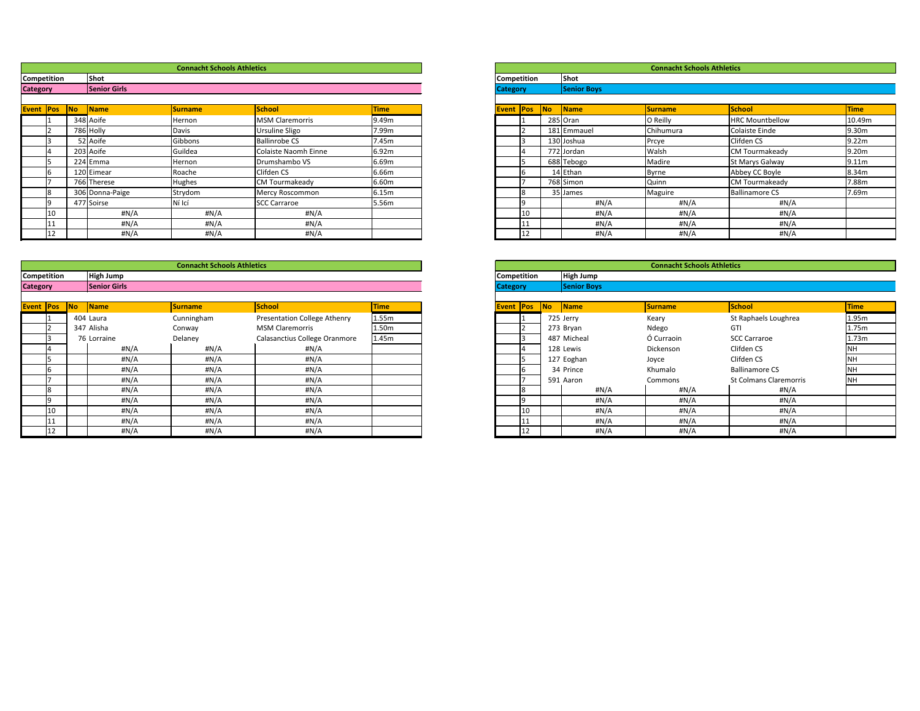|        |           |                     | <b>Connacht Schools Athletics</b> |                        |             |
|--------|-----------|---------------------|-----------------------------------|------------------------|-------------|
| tition |           | Shot                |                                   |                        |             |
|        |           | <b>Senior Girls</b> |                                   |                        |             |
|        |           |                     |                                   |                        |             |
| Pos    | <b>No</b> | <b>Name</b>         | <b>Surname</b>                    | School                 | <b>Time</b> |
|        |           | 348 Aoife           | Hernon                            | <b>MSM Claremorris</b> | 9.49m       |
|        |           | 786 Holly           | Davis                             | Ursuline Sligo         | 7.99m       |
|        |           | 52 Aoife            | Gibbons                           | <b>Ballinrobe CS</b>   | 7.45m       |
|        |           | 203 Aoife           | Guildea                           | Colaiste Naomh Einne   | 6.92m       |
|        |           | 224 Emma            | Hernon                            | Drumshambo VS          | 6.69m       |
|        |           | 120 Eimear          | Roache                            | Clifden CS             | 6.66m       |
|        |           | 766 Therese         | Hughes                            | <b>CM Tourmakeady</b>  | 6.60m       |
|        |           | 306 Donna-Paige     | Strydom                           | Mercy Roscommon        | 6.15m       |
|        |           | 477 Soirse          | Ní Icí                            | <b>SCC Carraroe</b>    | 5.56m       |
| 10     |           | #N/A                | #N/A                              | #N/A                   |             |
| 11     |           | #N/A                | #N/A                              | #N/A                   |             |
| 12     |           | H N/A               | #N/A                              | #N/A                   |             |

|                 |                     |                      | <b>Connacht Schools Athletics</b> |                        |             |                    |    |           |                    | <b>Connacht Schools Athletics</b> |                        |                   |
|-----------------|---------------------|----------------------|-----------------------------------|------------------------|-------------|--------------------|----|-----------|--------------------|-----------------------------------|------------------------|-------------------|
|                 | Competition         | <b>Shot</b>          |                                   |                        |             | <b>Competition</b> |    |           | <b>Shot</b>        |                                   |                        |                   |
| <b>Category</b> |                     | <b>Senior Girls</b>  |                                   |                        |             | <b>Category</b>    |    |           | <b>Senior Boys</b> |                                   |                        |                   |
|                 |                     |                      |                                   |                        |             |                    |    |           |                    |                                   |                        |                   |
|                 | <b>Event Pos No</b> | $\sqrt{\frac{1}{1}}$ | <b>Surname</b>                    | School                 | <b>Time</b> | <b>Event Pos</b>   |    | <b>No</b> | Name               | <b>Surname</b>                    | <b>School</b>          | Time              |
|                 |                     | 348 Aoife            | Hernon                            | <b>MSM Claremorris</b> | 9.49m       |                    |    |           | 285 Oran           | O Reilly                          | <b>HRC Mountbellow</b> | 10.49             |
|                 |                     | 786 Holly            | Davis                             | <b>Ursuline Sligo</b>  | 7.99m       |                    |    |           | 181 Emmauel        | Chihumura                         | Colaiste Einde         | 9.30m             |
|                 |                     | 52 Aoife             | Gibbons                           | <b>Ballinrobe CS</b>   | 7.45m       |                    |    |           | 130 Joshua         | Prcye                             | Clifden CS             | 9.22 <sub>m</sub> |
|                 |                     | 203 Aoife            | Guildea                           | Colaiste Naomh Einne   | 6.92m       |                    |    |           | 772 Jordan         | Walsh                             | <b>CM Tourmakeady</b>  | 9.20m             |
|                 |                     | 224 Emma             | Hernon                            | Drumshambo VS          | 6.69m       |                    |    |           | 688 Tebogo         | Madire                            | St Marys Galway        | 9.11 <sub>m</sub> |
|                 |                     | 120 Eimear           | Roache                            | Clifden CS             | 6.66m       |                    |    |           | 14 Ethan           | Byrne                             | Abbey CC Boyle         | 8.34m             |
|                 |                     | 766 Therese          | Hughes                            | <b>CM Tourmakeady</b>  | 6.60m       |                    |    |           | 768 Simon          | Quinn                             | <b>CM Tourmakeady</b>  | 7.88m             |
|                 |                     | 306 Donna-Paige      | Strydom                           | Mercy Roscommon        | 6.15m       |                    |    |           | 35 James           | Maguire                           | <b>Ballinamore CS</b>  | 7.69m             |
|                 |                     | 477 Soirse           | Ní Icí                            | <b>SCC Carraroe</b>    | 5.56m       |                    |    |           | #N/A               | #N/A                              | #N/A                   |                   |
|                 | <sup>10</sup>       | #N/A                 | #N/A                              | #N/A                   |             |                    | 10 |           | #N/A               | #N/A                              | #N/A                   |                   |
|                 |                     | #N/A                 | #N/A                              | #N/A                   |             |                    |    |           | #N/A               | #N/A                              | #N/A                   |                   |
|                 |                     | #N/A                 | H N/A                             | #N/A                   |             |                    |    |           | #N/A               | #N/A                              | #N/A                   |                   |

|                  |                    |           |                      | <b>Connacht Schools Athletics</b> |                                     |             |                    |    |    |                           | <b>Connacht Schools Athletics</b> |                               |             |
|------------------|--------------------|-----------|----------------------|-----------------------------------|-------------------------------------|-------------|--------------------|----|----|---------------------------|-----------------------------------|-------------------------------|-------------|
|                  | <b>Competition</b> |           | High Jump            |                                   |                                     |             | <b>Competition</b> |    |    | <b>High Jump</b>          |                                   |                               |             |
| <b>Category</b>  |                    |           | <b>Senior Girls</b>  |                                   |                                     |             | <b>Category</b>    |    |    | <b>Senior Boys</b>        |                                   |                               |             |
|                  |                    |           |                      |                                   |                                     |             |                    |    |    |                           |                                   |                               |             |
| <b>Event Pos</b> |                    | <b>No</b> | $\sqrt{\frac{1}{1}}$ | <b>Surname</b>                    | School                              | <b>Time</b> | <b>Event Pos</b>   |    | No | $\sqrt{\frac{1}{1}}$ Name | <b>Surname</b>                    | <b>School</b>                 | <b>Time</b> |
|                  |                    |           | 404 Laura            | Cunningham                        | <b>Presentation College Athenry</b> | 1.55m       |                    |    |    | 725 Jerry                 | Keary                             | St Raphaels Loughrea          | 1.95m       |
|                  |                    |           | 347 Alisha           | Conway                            | <b>MSM Claremorris</b>              | 1.50m       |                    |    |    | 273 Bryan                 | Ndego                             | <b>GTI</b>                    | 1.75m       |
|                  |                    |           | 76 Lorraine          | Delaney                           | Calasanctius College Oranmore       | 1.45m       |                    |    |    | 487 Micheal               | Ó Curraoin                        | <b>SCC Carraroe</b>           | 1.73m       |
|                  |                    |           | #N/A                 | H N/A                             | #N/A                                |             |                    |    |    | 128 Lewis                 | Dickenson                         | Clifden CS                    | <b>NH</b>   |
|                  |                    |           | #N/A                 | #N/A                              | #N/A                                |             |                    |    |    | 127 Eoghan                | Joyce                             | Clifden CS                    | NH          |
|                  |                    |           | #N/A                 | #N/A                              | #N/A                                |             |                    |    |    | 34 Prince                 | Khumalo                           | <b>Ballinamore CS</b>         | <b>NH</b>   |
|                  |                    |           | #N/A                 | #N/A                              | #N/A                                |             |                    |    |    | 591 Aaron                 | Commons                           | <b>St Colmans Claremorris</b> | <b>NH</b>   |
|                  |                    |           | $\#N/A$              | #N/A                              | #N/A                                |             |                    |    |    | #N/A                      | #N/A                              | #N/A                          |             |
|                  |                    |           | #N/A                 | #N/A                              | #N/A                                |             |                    |    |    | #N/A                      | #N/A                              | #N/A                          |             |
|                  | 10                 |           | #N/A                 | #N/A                              | #N/A                                |             |                    | 10 |    | #N/A                      | #N/A                              | #N/A                          |             |
|                  |                    |           | $\#N/A$              | #N/A                              | #N/A                                |             |                    |    |    | #N/A                      | #N/A                              | #N/A                          |             |
|                  |                    |           | #N/A                 | H N/A                             | #N/A                                |             |                    |    |    | #N/A                      | #N/A                              | #N/A                          |             |

|                    |     |    |                    | <b>Connacht Schools Athletics</b> |                               |             |
|--------------------|-----|----|--------------------|-----------------------------------|-------------------------------|-------------|
| <b>Competition</b> |     |    | <b>High Jump</b>   |                                   |                               |             |
| <b>Category</b>    |     |    | <b>Senior Boys</b> |                                   |                               |             |
|                    |     |    |                    |                                   |                               |             |
| Event              | Pos | No | Name               | <b>Surname</b>                    | <b>School</b>                 | <b>Time</b> |
|                    | 1   |    | 725 Jerry          | Keary                             | St Raphaels Loughrea          | 1.95m       |
|                    | 2   |    | 273 Bryan          | Ndego                             | GTI                           | 1.75m       |
|                    | 3   |    | 487 Micheal        | Ó Curraoin                        | <b>SCC Carraroe</b>           | 1.73m       |
|                    | 14  |    | 128 Lewis          | Dickenson                         | Clifden CS                    | <b>NH</b>   |
|                    | 5   |    | 127 Eoghan         | Joyce                             | Clifden CS                    | <b>NH</b>   |
|                    | 6   |    | 34 Prince          | Khumalo                           | <b>Ballinamore CS</b>         | <b>NH</b>   |
|                    |     |    | 591 Aaron          | Commons                           | <b>St Colmans Claremorris</b> | <b>NH</b>   |
|                    | 8   |    | #N/A               | #N/A                              | $\sharp N/A$                  |             |
|                    | 9   |    | #N/A               | #N/A                              | $\sharp N/A$                  |             |
|                    | 10  |    | #N/A               | #N/A                              | $\sharp N/A$                  |             |
|                    | 11  |    | #N/A               | #N/A                              | #N/A                          |             |
|                    | 12  |    | #N/A               | #N/A                              | #N/A                          |             |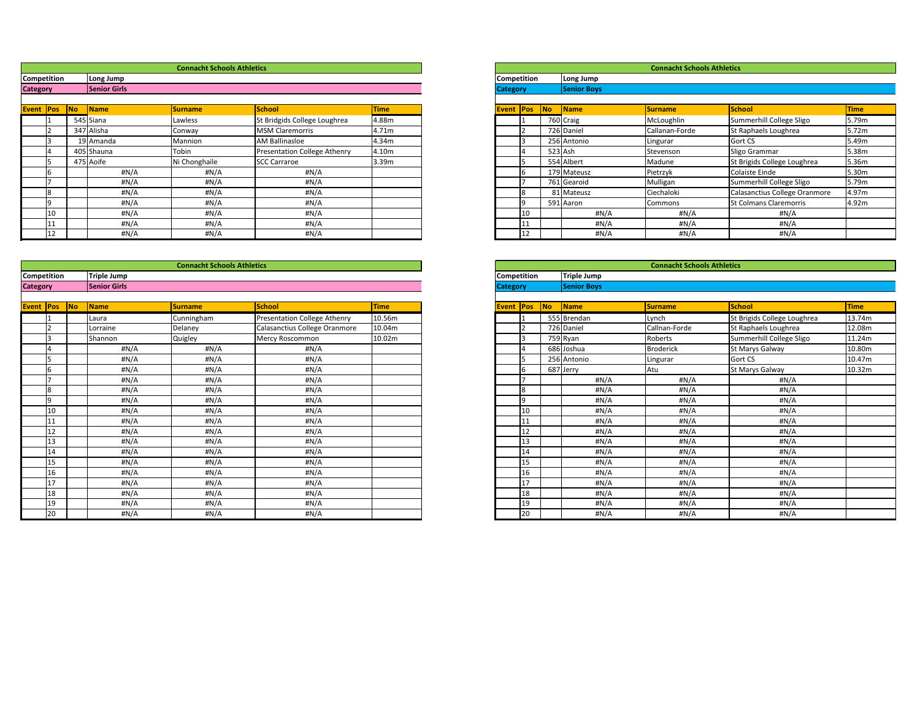|                 |                  |    |                     | <b>Connacht Schools Athletics</b> |                                     |             |                  |    |    |                    | <b>Connacht Schools Athletics</b> |                               |                   |
|-----------------|------------------|----|---------------------|-----------------------------------|-------------------------------------|-------------|------------------|----|----|--------------------|-----------------------------------|-------------------------------|-------------------|
|                 | Competition      |    | Long Jump           |                                   |                                     |             | Competition      |    |    | Long Jump          |                                   |                               |                   |
| <b>Category</b> |                  |    | <b>Senior Girls</b> |                                   |                                     |             | <b>Category</b>  |    |    | <b>Senior Boys</b> |                                   |                               |                   |
|                 |                  |    |                     |                                   | School                              |             |                  |    | No |                    |                                   |                               |                   |
|                 | <b>Event Pos</b> | No | Name                | <b>Surname</b>                    |                                     | <b>Time</b> | <b>Event Pos</b> |    |    | Name               | <b>Surname</b>                    | <b>School</b>                 | <b>Time</b>       |
|                 |                  |    | 545 Siana           | Lawless                           | St Bridgids College Loughrea        | 4.88m       |                  |    |    | 760 Craig          | McLoughlin                        | Summerhill College Sligo      | 5.79m             |
|                 |                  |    | 347 Alisha          | Conway                            | <b>MSM Claremorris</b>              | 4.71m       |                  |    |    | 726 Daniel         | Callanan-Forde                    | St Raphaels Loughrea          | 5.72 <sub>m</sub> |
|                 |                  |    | 19 Amanda           | Mannion                           | <b>AM Ballinasloe</b>               | 4.34m       |                  |    |    | 256 Antonio        | Lingurar                          | <b>Gort CS</b>                | 5.49m             |
|                 |                  |    | 405 Shauna          | Tobin                             | <b>Presentation College Athenry</b> | 4.10m       |                  |    |    | $523$ Ash          | Stevenson                         | Sligo Grammar                 | 5.38m             |
|                 |                  |    | 475 Aoife           | Ni Chonghaile                     | <b>SCC Carraroe</b>                 | 3.39m       |                  |    |    | 554 Albert         | Madune                            | St Brigids College Loughrea   | 5.36m             |
|                 |                  |    | #N/A                | #N/A                              | #N/A                                |             |                  |    |    | 179 Mateusz        | Pietrzyk                          | <b>Colaiste Einde</b>         | 5.30m             |
|                 |                  |    | #N/A                | #N/A                              | #N/A                                |             |                  |    |    | 761 Gearoid        | Mulligan                          | Summerhill College Sligo      | 5.79m             |
|                 |                  |    | #N/A                | H N/A                             | #N/A                                |             |                  |    |    | 81 Mateusz         | Ciechaloki                        | Calasanctius College Oranmore | 4.97m             |
|                 |                  |    | #N/A                | #N/A                              | #N/A                                |             |                  |    |    | 591 Aaron          | Commons                           | <b>St Colmans Claremorris</b> | 4.92m             |
|                 |                  |    | #N/A                | #N/A                              | #N/A                                |             |                  | 10 |    | #N/A               | #N/A                              | #N/A                          |                   |
|                 |                  |    | #N/A                | H N/A                             | #N/A                                |             |                  |    |    | #N/A               | #N/A                              | #N/A                          |                   |
|                 | TT.              |    | #N/A                | #N/A                              | #N/A                                |             |                  |    |    | #N/A               | #N/A                              | #N/A                          |                   |

|                    |       |                     | <b>Connacht Schools Athletics</b> |                                     |             |                    |            |                    | <b>Connacht Schools Athletics</b> |                             |             |  |  |  |
|--------------------|-------|---------------------|-----------------------------------|-------------------------------------|-------------|--------------------|------------|--------------------|-----------------------------------|-----------------------------|-------------|--|--|--|
| <b>Competition</b> |       | Triple Jump         |                                   |                                     |             | <b>Competition</b> |            | <b>Triple Jump</b> |                                   |                             |             |  |  |  |
| <b>Category</b>    |       | <b>Senior Girls</b> |                                   |                                     |             | <b>Category</b>    |            | <b>Senior Boys</b> |                                   |                             |             |  |  |  |
|                    |       |                     |                                   |                                     |             |                    |            |                    |                                   |                             |             |  |  |  |
| Event   Pos   No   |       | Name                | <b>Surname</b>                    | <b>School</b>                       | <b>Time</b> | <b>Event Pos</b>   | $\sqrt{N}$ | Name               | <b>Surname</b>                    | School                      | <b>Time</b> |  |  |  |
|                    |       | Laura               | Cunningham                        | <b>Presentation College Athenry</b> | 10.56m      |                    |            | 555 Brendan        | Lynch                             | St Brigids College Loughrea | 13.74m      |  |  |  |
|                    |       | Lorraine            | Delaney                           | Calasanctius College Oranmore       | 10.04m      |                    |            | 726 Daniel         | Callnan-Forde                     | St Raphaels Loughrea        | 12.08m      |  |  |  |
|                    |       | Shannon             | Quigley                           | Mercy Roscommon                     | 10.02m      |                    |            | 759 Ryan           | Roberts                           | Summerhill College Sligo    | 11.24m      |  |  |  |
|                    |       | #N/A                | #N/A                              | #N/A                                |             |                    |            | 686 Joshua         | <b>Broderick</b>                  | St Marys Galway             | 10.80m      |  |  |  |
|                    |       | #N/A                | #N/A                              | #N/A                                |             |                    |            | 256 Antonio        | Lingurar                          | Gort CS                     | 10.47m      |  |  |  |
|                    | 16    | $\#N/A$             | #N/A                              | #N/A                                |             | I6.                |            | 687 Jerry          | Atu                               | St Marys Galway             | 10.32m      |  |  |  |
|                    |       | $\#N/A$             | #N/A                              | #N/A                                |             |                    |            | #N/A               | $\#N/A$                           | #N/A                        |             |  |  |  |
|                    | l8    | #N/A                | #N/A                              | #N/A                                |             | l8                 |            | #N/A               | $\#N/A$                           | #N/A                        |             |  |  |  |
|                    | ١q    | $\#N/A$             | #N/A                              | #N/A                                |             | O                  |            | #N/A               | $\#N/A$                           | #N/A                        |             |  |  |  |
|                    | 10    | $\#N/A$             | #N/A                              | #N/A                                |             | 10                 |            | #N/A               | #N/A                              | #N/A                        |             |  |  |  |
|                    |       | #N/A                | #N/A                              | #N/A                                |             | 11                 |            | #N/A               | #N/A                              | #N/A                        |             |  |  |  |
|                    | 12    | $\#N/A$             | #N/A                              | #N/A                                |             | 12                 |            | #N/A               | #N/A                              | #N/A                        |             |  |  |  |
|                    | 13    | #N/A                | #N/A                              | #N/A                                |             | 13                 |            | #N/A               | #N/A                              | #N/A                        |             |  |  |  |
|                    | 14    | #N/A                | #N/A                              | #N/A                                |             | 14                 |            | #N/A               | #N/A                              | #N/A                        |             |  |  |  |
|                    | 15    | #N/A                | #N/A                              | #N/A                                |             | 15                 |            | #N/A               | $\#N/A$                           | #N/A                        |             |  |  |  |
|                    | 16    | #N/A                | #N/A                              | #N/A                                |             | 16                 |            | #N/A               | $\#N/A$                           | #N/A                        |             |  |  |  |
|                    | l 1 7 | $\#N/A$             | #N/A                              | #N/A                                |             | 17                 |            | #N/A               | #N/A                              | #N/A                        |             |  |  |  |
|                    | 18    | #N/A                | #N/A                              | #N/A                                |             | 18                 |            | #N/A               | $\#N/A$                           | #N/A                        |             |  |  |  |
|                    |       | #N/A                | #N/A                              | #N/A                                |             | 19                 |            | #N/A               | #N/A                              | #N/A                        |             |  |  |  |
|                    | 20    | #N/A                | #N/A                              | #N/A                                |             | 20                 |            | H N/A              | #N/A                              | #N/A                        |             |  |  |  |

| <b>Connacht Schools Athletics</b> |                               |             |                    |    |                             |                    | <b>Connacht Schools Athletics</b> |                             |             |
|-----------------------------------|-------------------------------|-------------|--------------------|----|-----------------------------|--------------------|-----------------------------------|-----------------------------|-------------|
|                                   |                               |             | <b>Competition</b> |    |                             | Triple Jump        |                                   |                             |             |
|                                   |                               |             | <b>Category</b>    |    |                             | <b>Senior Boys</b> |                                   |                             |             |
|                                   |                               |             |                    |    |                             |                    |                                   |                             |             |
| <u>urname</u>                     | <b>School</b>                 | <b>Time</b> | Event Pos          |    | $\overline{\phantom{a}}$ No | Name               | <b>Surname</b>                    | School                      | <b>Time</b> |
| unningham                         | Presentation College Athenry  | 10.56m      |                    |    |                             | 555 Brendan        | Lynch                             | St Brigids College Loughrea | 13.74m      |
| elaney                            | Calasanctius College Oranmore | 10.04m      |                    |    |                             | 726 Daniel         | Callnan-Forde                     | St Raphaels Loughrea        | 12.08m      |
| uigley                            | Mercy Roscommon               | 10.02m      |                    |    |                             | 759 Ryan           | Roberts                           | Summerhill College Sligo    | 11.24m      |
| #N/A                              | #N/A                          |             |                    |    |                             | 686 Joshua         | <b>Broderick</b>                  | St Marys Galway             | 10.80m      |
| #N/A                              | #N/A                          |             |                    | 5  |                             | 256 Antonio        | Lingurar                          | Gort CS                     | 10.47m      |
| #N/A                              | #N/A                          |             |                    | b  |                             | 687 Jerry          | Atu                               | St Marys Galway             | 10.32m      |
| #N/A                              | #N/A                          |             |                    |    |                             | $\sharp N/A$       | #N/A                              | $\sharp N/A$                |             |
| #N/A                              | #N/A                          |             |                    | 8  |                             | $\sharp N/A$       | $\sharp N/A$                      | #N/A                        |             |
| #N/A                              | #N/A                          |             |                    | 9  |                             | #N/A               | #N/A                              | #N/A                        |             |
| #N/A                              | #N/A                          |             |                    | 10 |                             | #N/A               | #N/A                              | #N/A                        |             |
| #N/A                              | #N/A                          |             |                    | 11 |                             | #N/A               | $\sharp N/A$                      | #N/A                        |             |
| #N/A                              | #N/A                          |             |                    | 12 |                             | $\sharp N/A$       | $\sharp N/A$                      | #N/A                        |             |
| #N/A                              | #N/A                          |             |                    | 13 |                             | #N/A               | $\sharp N/A$                      | #N/A                        |             |
| #N/A                              | #N/A                          |             |                    | 14 |                             | #N/A               | #N/A                              | #N/A                        |             |
| #N/A                              | #N/A                          |             |                    | 15 |                             | #N/A               | $\sharp N/A$                      | #N/A                        |             |
| #N/A                              | #N/A                          |             |                    | 16 |                             | #N/A               | $\sharp N/A$                      | H N/A                       |             |
| #N/A                              | #N/A                          |             |                    | 17 |                             | #N/A               | #N/A                              | #N/A                        |             |
| #N/A                              | #N/A                          |             |                    | 18 |                             | #N/A               | $\sharp N/A$                      | H N/A                       |             |
| #N/A                              | #N/A                          |             |                    | 19 |                             | #N/A               | #N/A                              | #N/A                        |             |
| #N/A                              | #N/A                          |             |                    | 20 |                             | #N/A               | #N/A                              | H N/A                       |             |

| <b>Connacht Schools Athletics</b> |                              |             |                  |                    |           |                    | <b>Connacht Schools Athletics</b> |                               |  |
|-----------------------------------|------------------------------|-------------|------------------|--------------------|-----------|--------------------|-----------------------------------|-------------------------------|--|
|                                   |                              |             |                  | <b>Competition</b> |           | Long Jump          |                                   |                               |  |
|                                   |                              |             | <b>Category</b>  |                    |           | <b>Senior Boys</b> |                                   |                               |  |
|                                   |                              |             |                  |                    |           |                    |                                   |                               |  |
| urname                            | <b>School</b>                | <b>Time</b> | <b>Event Pos</b> |                    | <b>No</b> | <b>Name</b>        | <b>Surname</b>                    | School                        |  |
| awless                            | St Bridgids College Loughrea | 4.88m       |                  |                    |           | 760 Craig          | McLoughlin                        | Summerhill College Sligo      |  |
| onway                             | <b>MSM Claremorris</b>       | 4.71m       |                  |                    |           | 726 Daniel         | Callanan-Forde                    | St Raphaels Loughrea          |  |
| <i>Aannion</i>                    | <b>AM Ballinasloe</b>        | 4.34m       |                  |                    |           | 256 Antonio        | Lingurar                          | <b>Gort CS</b>                |  |
| obin                              | Presentation College Athenry | 4.10m       |                  |                    |           | $523$ Ash          | Stevenson                         | Sligo Grammar                 |  |
| i Chonghaile                      | <b>SCC Carraroe</b>          | 3.39m       |                  |                    |           | 554 Albert         | Madune                            | St Brigids College Loughrea   |  |
| #N/A                              | #N/A                         |             |                  |                    |           | 179 Mateusz        | Pietrzyk                          | Colaiste Einde                |  |
| #N/A                              | #N/A                         |             |                  |                    |           | 761 Gearoid        | Mulligan                          | Summerhill College Sligo      |  |
| #N/A                              | #N/A                         |             |                  |                    |           | 81 Mateusz         | Ciechaloki                        | Calasanctius College Oranmore |  |
| #N/A                              | $\sharp N/A$                 |             |                  |                    |           | 591 Aaron          | Commons                           | <b>St Colmans Claremorris</b> |  |
| #N/A                              | #N/A                         |             |                  | 10                 |           | #N/A               | #N/A                              | #N/A                          |  |
| #N/A                              | #N/A                         |             |                  | 11                 |           | #N/A               | #N/A                              | $\sharp N/A$                  |  |
| #N/A                              | #N/A                         |             |                  | 12                 |           | H N/A              | $\sharp N/A$                      | #N/A                          |  |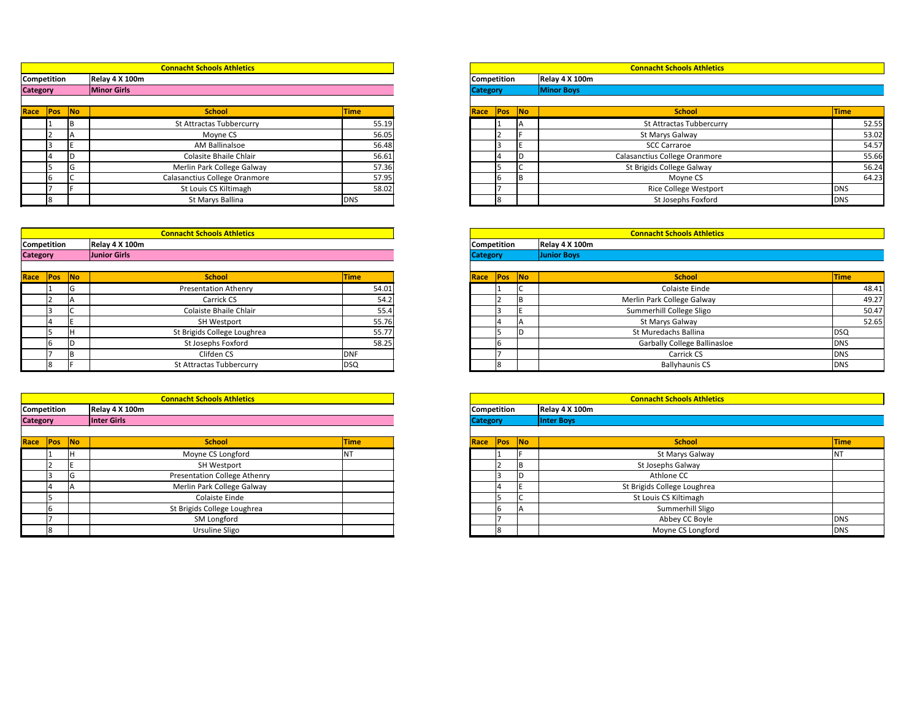|                 |    | <b>Connacht Schools Athletics</b> |             |                    |  | <b>Connacht Schools Athletics</b> |              |
|-----------------|----|-----------------------------------|-------------|--------------------|--|-----------------------------------|--------------|
| Competition     |    | Relay 4 X 100m                    |             | <b>Competition</b> |  | Relay 4 X 100m                    |              |
| <b>Category</b> |    | <b>Minor Girls</b>                |             | <b>Category</b>    |  | <b>Minor Boys</b>                 |              |
|                 |    |                                   |             |                    |  |                                   |              |
| Race Pos No     |    | <b>School</b>                     | <b>Time</b> | Race Pos No        |  | <b>School</b>                     | <b>Time</b>  |
|                 |    | <b>St Attractas Tubbercurry</b>   | 55.19       |                    |  | <b>St Attractas Tubbercurry</b>   | 52.55        |
|                 |    | Moyne CS                          | 56.05       |                    |  | St Marys Galway                   | 53.02        |
|                 |    | <b>AM Ballinalsoe</b>             | 56.48       |                    |  | <b>SCC Carraroe</b>               | 54.57        |
|                 |    | Colasite Bhaile Chlair            | 56.61       |                    |  | Calasanctius College Oranmore     | 55.66        |
|                 | טו | Merlin Park College Galway        | 57.36       |                    |  | St Brigids College Galway         | 56.24        |
|                 |    | Calasanctius College Oranmore     | 57.95       |                    |  | Moyne CS                          | 64.23        |
|                 |    | St Louis CS Kiltimagh             | 58.02       |                    |  | <b>Rice College Westport</b>      | <b>DNS</b>   |
|                 |    | St Marys Ballina                  | <b>DNS</b>  |                    |  | St Josephs Foxford                | <b>I</b> DNS |

|                          |    | <b>Connacht Schools Athletics</b> |             |
|--------------------------|----|-----------------------------------|-------------|
| Competition              |    | Relay 4 X 100m                    |             |
| <b>Category</b>          |    | Junior Girls                      |             |
|                          |    |                                   |             |
| Race <mark>Pos No</mark> |    | <b>School</b>                     | <b>Time</b> |
|                          | ıч | <b>Presentation Athenry</b>       | 54.01       |
|                          |    | Carrick CS                        | 54.2        |
|                          |    | Colaiste Bhaile Chlair            | 55.4        |
|                          |    | <b>SH Westport</b>                | 55.76       |
|                          |    | St Brigids College Loughrea       | 55.77       |
|                          |    | St Josephs Foxford                | 58.25       |
|                          |    | Clifden CS                        | <b>DNF</b>  |
|                          |    | <b>St Attractas Tubbercurry</b>   | <b>DSQ</b>  |

|                 |                               |           | <b>Connacht Schools Athletics</b> |              |                 |      |            |                                     |  |  |
|-----------------|-------------------------------|-----------|-----------------------------------|--------------|-----------------|------|------------|-------------------------------------|--|--|
|                 | Competition<br>Relay 4 X 100m |           |                                   |              |                 |      |            | <b>Competition</b>                  |  |  |
| <b>Category</b> |                               |           | <b>Minor Girls</b>                |              | <b>Category</b> |      |            | Relay 4 X 100m<br><b>Minor Boys</b> |  |  |
|                 |                               |           |                                   |              |                 |      |            |                                     |  |  |
| Race            | Pos                           | <b>No</b> | <b>School</b>                     | <b>Time</b>  |                 | Race | <b>Pos</b> | $\overline{\mathsf{No}}$            |  |  |
|                 |                               | ΙB        | <b>St Attractas Tubbercurry</b>   | 55.19        |                 |      |            | ΙA                                  |  |  |
|                 |                               |           | Moyne CS                          | 56.05        |                 |      |            |                                     |  |  |
|                 |                               |           | AM Ballinalsoe                    | 56.48        |                 |      |            |                                     |  |  |
|                 |                               |           | Colasite Bhaile Chlair            | 56.61        |                 |      | 14         | ID                                  |  |  |
|                 |                               | lG.       | Merlin Park College Galway        | 57.36        |                 |      |            | IC                                  |  |  |
|                 | b                             |           | Calasanctius College Oranmore     | 57.95        |                 |      | I6         | IВ                                  |  |  |
|                 |                               |           | St Louis CS Kiltimagh             | 58.02        |                 |      |            |                                     |  |  |
|                 |                               |           | St Marys Ballina                  | <b>I</b> DNS |                 |      | l8         |                                     |  |  |

|                 |             |            | <b>Connacht Schools Athletics</b>   |                 |                      | <b>Connacht Schools Athlet</b> |
|-----------------|-------------|------------|-------------------------------------|-----------------|----------------------|--------------------------------|
| Competition     |             |            | Relay 4 X 100m                      |                 | <b>Competition</b>   | Relay 4 X 100m                 |
| <b>Category</b> |             |            | Inter Girls                         | <b>Category</b> | <b>Inter Boys</b>    |                                |
|                 |             |            |                                     |                 |                      |                                |
| Race            | <b>IPos</b> | <b>INo</b> | <b>School</b>                       | <b>Time</b>     | No <br> Pos <br>Race |                                |
|                 |             |            | Moyne CS Longford                   | IN I            |                      | St Marys Galway                |
|                 |             |            | <b>SH Westport</b>                  |                 | IB.                  | St Josephs Galway              |
|                 |             |            | <b>Presentation College Athenry</b> |                 | ID                   | Athlone CC                     |
|                 |             |            | Merlin Park College Galway          |                 |                      | St Brigids College Loughrea    |
|                 |             |            | Colaiste Einde                      |                 |                      | St Louis CS Kiltimagh          |
|                 |             |            | St Brigids College Loughrea         |                 |                      | Summerhill Sligo               |
|                 |             |            |                                     |                 |                      |                                |

|                    |                          |    | <b>Connacht Schools Athletics</b>   |             |
|--------------------|--------------------------|----|-------------------------------------|-------------|
| <b>Competition</b> |                          |    | Relay 4 X 100m                      |             |
| <b>Category</b>    |                          |    | <b>Inter Girls</b>                  |             |
|                    |                          |    |                                     |             |
|                    | Race <mark>Pos No</mark> |    | <b>School</b>                       | <b>Time</b> |
|                    |                          |    | Moyne CS Longford                   |             |
|                    |                          |    | <b>SH Westport</b>                  |             |
|                    |                          | ıч | <b>Presentation College Athenry</b> |             |
|                    |                          |    | Merlin Park College Galway          |             |
|                    |                          |    | <b>Colaiste Einde</b>               |             |
|                    |                          |    | St Brigids College Loughrea         |             |
|                    |                          |    | SM Longford                         |             |
|                    |                          |    | Ursuline Sligo                      |             |

|                    |     |           | <b>Connacht Schools Athletics</b> |                 |      |                    |                          |                |
|--------------------|-----|-----------|-----------------------------------|-----------------|------|--------------------|--------------------------|----------------|
| <b>Competition</b> |     |           | Relay 4 X 100m                    |                 |      | <b>Competition</b> |                          | Relay 4 X 100m |
| <b>Category</b>    |     |           | <b>Junior Girls</b>               | <b>Category</b> |      |                    | <b>Junior Boys</b>       |                |
|                    |     |           |                                   |                 |      |                    |                          |                |
| Race               | Pos | <b>No</b> | <b>School</b>                     | <b>Time</b>     | Race | <b>Pos</b>         | $\overline{\mathsf{No}}$ |                |
|                    |     | lG        | <b>Presentation Athenry</b>       | 54.01           |      |                    | J                        |                |
|                    |     | ΙA        | Carrick CS                        | 54.2            |      |                    | IВ                       |                |
|                    |     | ◡         | Colaiste Bhaile Chlair            | 55.4            |      |                    |                          |                |
|                    | 4   |           | <b>SH Westport</b>                | 55.76           |      | 4                  | IΑ                       |                |
|                    |     | Iн        | St Brigids College Loughrea       | 55.77           |      |                    | ID                       |                |
|                    | 6   | ID        | St Josephs Foxford                | 58.25           |      | I6                 |                          |                |
|                    |     | IΒ        | Clifden CS                        | <b>DNF</b>      |      |                    |                          |                |
|                    | 18  |           | <b>St Attractas Tubbercurry</b>   | <b>DSQ</b>      |      | l8                 |                          |                |